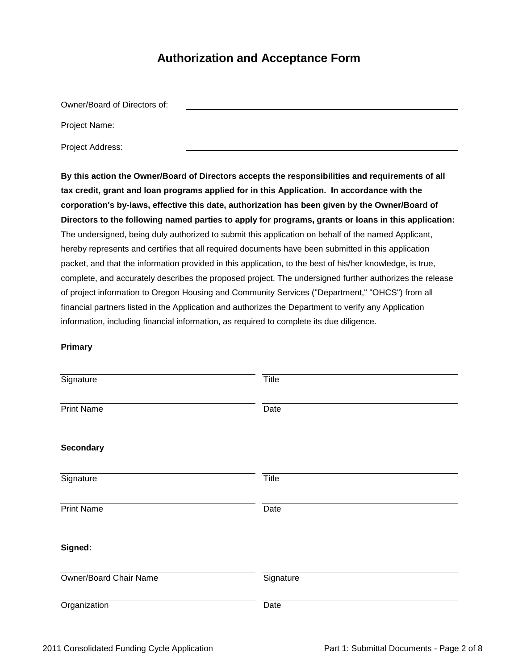# **Authorization and Acceptance Form**

| Owner/Board of Directors of: |  |
|------------------------------|--|
| Project Name:                |  |
| Project Address:             |  |

**By this action the Owner/Board of Directors accepts the responsibilities and requirements of all tax credit, grant and loan programs applied for in this Application. In accordance with the corporation's by-laws, effective this date, authorization has been given by the Owner/Board of Directors to the following named parties to apply for programs, grants or loans in this application:**  The undersigned, being duly authorized to submit this application on behalf of the named Applicant, hereby represents and certifies that all required documents have been submitted in this application packet, and that the information provided in this application, to the best of his/her knowledge, is true, complete, and accurately describes the proposed project. The undersigned further authorizes the release of project information to Oregon Housing and Community Services ("Department," "OHCS") from all financial partners listed in the Application and authorizes the Department to verify any Application information, including financial information, as required to complete its due diligence.

#### **Primary**

| Signature              | Title     |
|------------------------|-----------|
| <b>Print Name</b>      | Date      |
| <b>Secondary</b>       |           |
| Signature              | Title     |
| <b>Print Name</b>      | Date      |
| Signed:                |           |
| Owner/Board Chair Name | Signature |
| Organization           | Date      |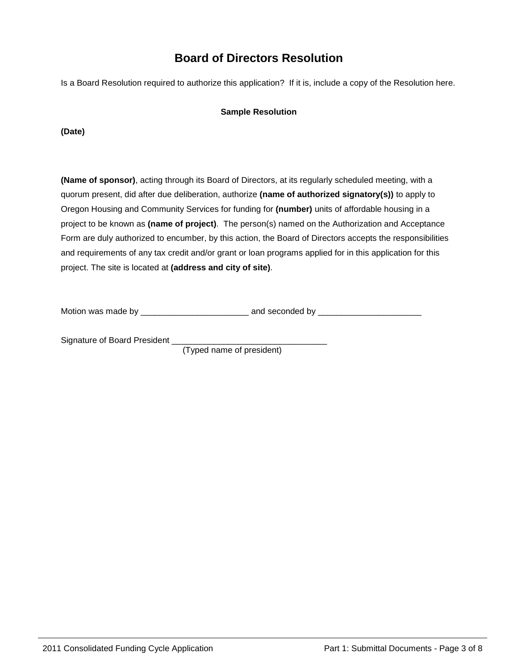# **Board of Directors Resolution**

Is a Board Resolution required to authorize this application? If it is, include a copy of the Resolution here.

#### **Sample Resolution**

**(Date)**

**(Name of sponsor)**, acting through its Board of Directors, at its regularly scheduled meeting, with a quorum present, did after due deliberation, authorize **(name of authorized signatory(s))** to apply to Oregon Housing and Community Services for funding for **(number)** units of affordable housing in a project to be known as **(name of project)**. The person(s) named on the Authorization and Acceptance Form are duly authorized to encumber, by this action, the Board of Directors accepts the responsibilities and requirements of any tax credit and/or grant or loan programs applied for in this application for this project. The site is located at **(address and city of site)**.

Motion was made by \_\_\_\_\_\_\_\_\_\_\_\_\_\_\_\_\_\_\_\_\_\_\_ and seconded by \_\_\_\_\_\_\_\_\_\_\_\_\_\_\_\_\_\_\_\_\_\_

Signature of Board President

(Typed name of president)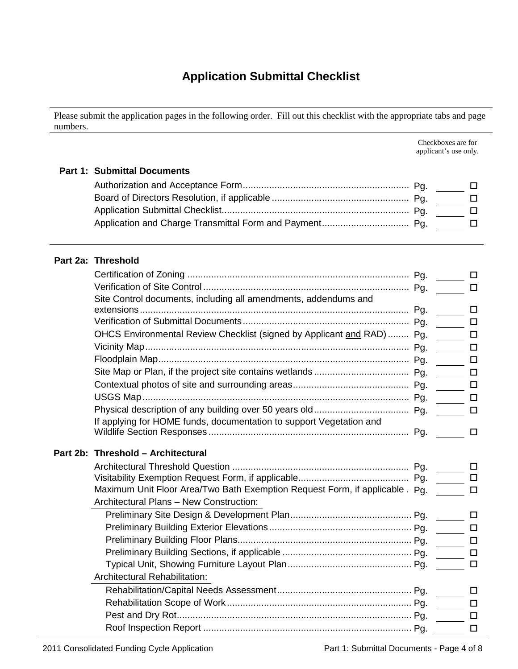# **Application Submittal Checklist**

Please submit the application pages in the following order. Fill out this checklist with the appropriate tabs and page numbers.

|                                                                              | Checkboxes are for<br>applicant's use only. |
|------------------------------------------------------------------------------|---------------------------------------------|
| <b>Part 1: Submittal Documents</b>                                           |                                             |
|                                                                              | ц                                           |
|                                                                              | ப                                           |
|                                                                              | □                                           |
|                                                                              | ⊔                                           |
| Part 2a: Threshold                                                           |                                             |
|                                                                              | ⊔                                           |
|                                                                              | □                                           |
| Site Control documents, including all amendments, addendums and              |                                             |
|                                                                              | □                                           |
|                                                                              | □                                           |
| OHCS Environmental Review Checklist (signed by Applicant and RAD)  Pg.       | □                                           |
|                                                                              | □                                           |
|                                                                              | □                                           |
|                                                                              | □                                           |
|                                                                              | □                                           |
|                                                                              | $\Box$                                      |
|                                                                              | □                                           |
| If applying for HOME funds, documentation to support Vegetation and          | □                                           |
| Part 2b: Threshold - Architectural                                           |                                             |
|                                                                              | ப                                           |
|                                                                              | □                                           |
| Maximum Unit Floor Area/Two Bath Exemption Request Form, if applicable . Pg. | □                                           |
| Architectural Plans - New Construction:                                      |                                             |
|                                                                              | $\Box$                                      |
|                                                                              | ப                                           |
|                                                                              | □                                           |
|                                                                              | $\Box$                                      |
|                                                                              | □                                           |
| <b>Architectural Rehabilitation:</b>                                         |                                             |
|                                                                              | $\Box$                                      |
|                                                                              | 0                                           |
|                                                                              | □                                           |
|                                                                              | □                                           |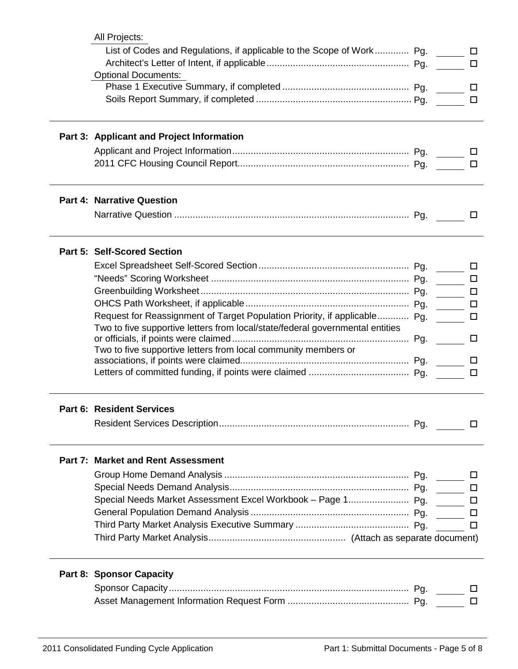| All Projects:                                                                 |        |
|-------------------------------------------------------------------------------|--------|
| List of Codes and Regulations, if applicable to the Scope of Work Pg.         | ப      |
|                                                                               | $\Box$ |
| <b>Optional Documents:</b>                                                    |        |
|                                                                               | $\Box$ |
|                                                                               | □      |
| Part 3: Applicant and Project Information                                     |        |
|                                                                               |        |
|                                                                               | $\Box$ |
|                                                                               | □      |
| <b>Part 4: Narrative Question</b>                                             |        |
|                                                                               | □      |
| Part 5: Self-Scored Section                                                   |        |
|                                                                               | $\Box$ |
|                                                                               | □      |
|                                                                               | □      |
|                                                                               | □      |
| Request for Reassignment of Target Population Priority, if applicable Pg.     | $\Box$ |
| Two to five supportive letters from local/state/federal governmental entities |        |
|                                                                               | □      |
| Two to five supportive letters from local community members or                |        |
|                                                                               | ப      |
|                                                                               | □      |
| Part 6: Resident Services                                                     |        |
|                                                                               | ш      |
| <b>Part 7: Market and Rent Assessment</b>                                     |        |
|                                                                               | $\Box$ |
|                                                                               | ц      |
| Special Needs Market Assessment Excel Workbook - Page 1 Pg.                   | $\Box$ |
|                                                                               |        |
|                                                                               |        |
|                                                                               |        |
| <b>Part 8: Sponsor Capacity</b>                                               |        |
|                                                                               |        |
|                                                                               | Ц      |
|                                                                               | □      |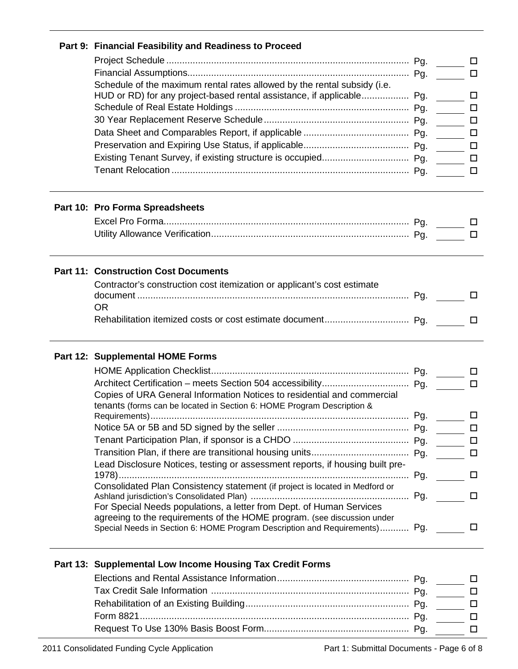## **Part 9: Financial Feasibility and Readiness to Proceed**

| Schedule of the maximum rental rates allowed by the rental subsidy (i.e. |  |  |
|--------------------------------------------------------------------------|--|--|
|                                                                          |  |  |
|                                                                          |  |  |
|                                                                          |  |  |
|                                                                          |  |  |
|                                                                          |  |  |
|                                                                          |  |  |
|                                                                          |  |  |
|                                                                          |  |  |

# **Part 10: Pro Forma Spreadsheets**

# **Part 11: Construction Cost Documents**

| Contractor's construction cost itemization or applicant's cost estimate |  |
|-------------------------------------------------------------------------|--|
| <b>OR</b>                                                               |  |
|                                                                         |  |

# **Part 12: Supplemental HOME Forms**

| Copies of URA General Information Notices to residential and commercial                                                                               |     |  |
|-------------------------------------------------------------------------------------------------------------------------------------------------------|-----|--|
| tenants (forms can be located in Section 6: HOME Program Description &                                                                                |     |  |
|                                                                                                                                                       | Pq. |  |
|                                                                                                                                                       |     |  |
|                                                                                                                                                       |     |  |
|                                                                                                                                                       |     |  |
| Lead Disclosure Notices, testing or assessment reports, if housing built pre-                                                                         |     |  |
|                                                                                                                                                       | Pg. |  |
| Consolidated Plan Consistency statement (if project is located in Medford or                                                                          |     |  |
|                                                                                                                                                       | Pg. |  |
| For Special Needs populations, a letter from Dept. of Human Services                                                                                  |     |  |
| agreeing to the requirements of the HOME program. (see discussion under<br>Special Needs in Section 6: HOME Program Description and Requirements) Pg. |     |  |
|                                                                                                                                                       |     |  |

# **Part 13: Supplemental Low Income Housing Tax Credit Forms**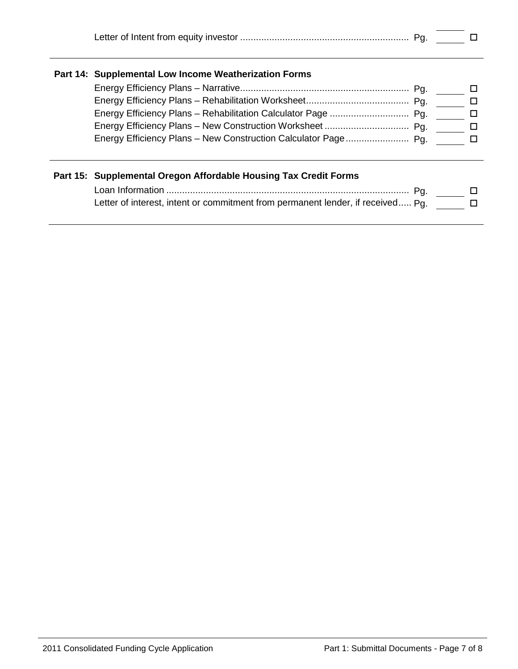## **Part 14: Supplemental Low Income Weatherization Forms**

|  | $\mathbf{C} = \mathbf{C} \mathbf{C}$ |  |
|--|--------------------------------------|--|
|  |                                      |  |
|  |                                      |  |
|  |                                      |  |
|  |                                      |  |

# **Part 15: Supplemental Oregon Affordable Housing Tax Credit Forms** Loan Information ............................................................................................ Pg. Letter of interest, intent or commitment from permanent lender, if received..... Pg.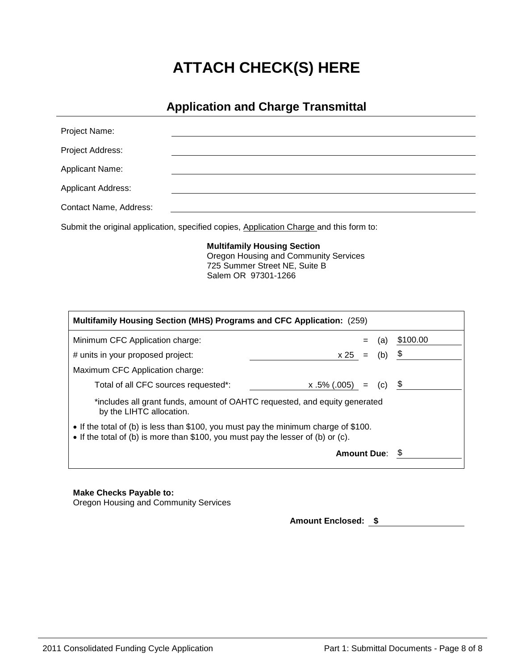# **ATTACH CHECK(S) HERE**

# **Application and Charge Transmittal**

| Project Name:             |                                                                                         |
|---------------------------|-----------------------------------------------------------------------------------------|
| Project Address:          |                                                                                         |
| <b>Applicant Name:</b>    |                                                                                         |
| <b>Applicant Address:</b> |                                                                                         |
| Contact Name, Address:    |                                                                                         |
|                           | Submit the original application, specified copies, Application Charge and this form to: |

 **Multifamily Housing Section** Oregon Housing and Community Services 725 Summer Street NE, Suite B Salem OR 97301-1266

| Multifamily Housing Section (MHS) Programs and CFC Application: (259)                                                                                                   |          |  |  |  |  |
|-------------------------------------------------------------------------------------------------------------------------------------------------------------------------|----------|--|--|--|--|
| Minimum CFC Application charge:<br>(a)                                                                                                                                  | \$100.00 |  |  |  |  |
| $x 25 =$<br># units in your proposed project:<br>(b)                                                                                                                    | \$       |  |  |  |  |
| Maximum CFC Application charge:                                                                                                                                         |          |  |  |  |  |
| $(C)$ \$<br>Total of all CFC sources requested*:<br>x .5% (.005)<br>$=$                                                                                                 |          |  |  |  |  |
| *includes all grant funds, amount of OAHTC requested, and equity generated<br>by the LIHTC allocation.                                                                  |          |  |  |  |  |
| • If the total of (b) is less than \$100, you must pay the minimum charge of \$100.<br>• If the total of (b) is more than \$100, you must pay the lesser of (b) or (c). |          |  |  |  |  |
| <b>Amount Due:</b>                                                                                                                                                      |          |  |  |  |  |

# **Make Checks Payable to:**

Oregon Housing and Community Services

**Amount Enclosed: \$**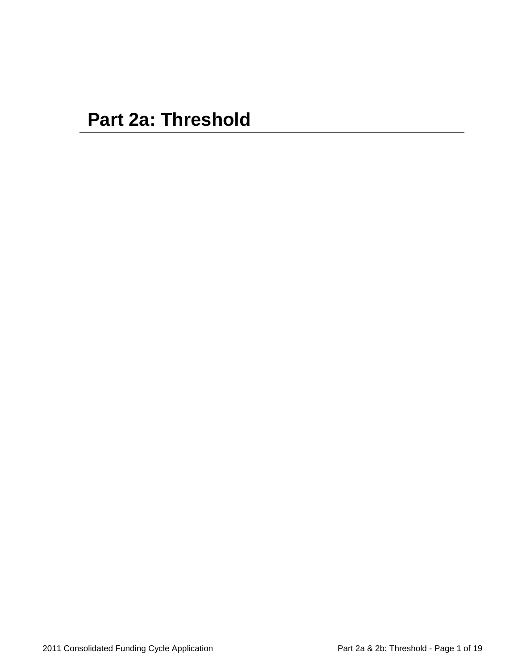# **Part 2a: Threshold**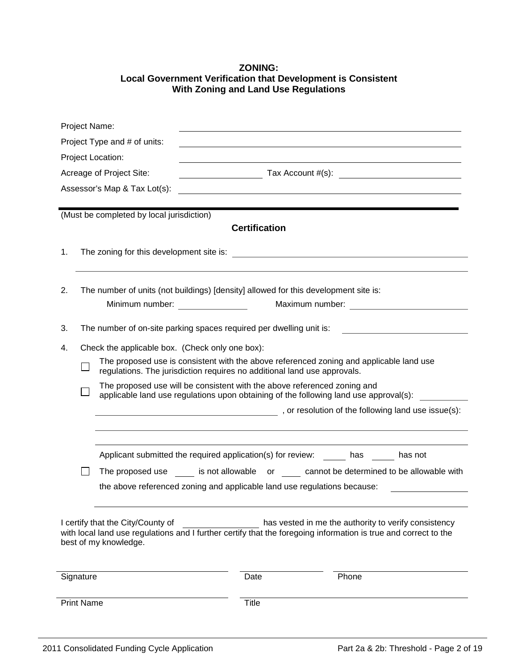### **ZONING: Local Government Verification that Development is Consistent With Zoning and Land Use Regulations**

| Project Name:     |                                                 |                                                                                                                                                                         |
|-------------------|-------------------------------------------------|-------------------------------------------------------------------------------------------------------------------------------------------------------------------------|
|                   | Project Type and # of units:                    |                                                                                                                                                                         |
| Project Location: |                                                 |                                                                                                                                                                         |
|                   | Acreage of Project Site:                        | Tax Account #(s):                                                                                                                                                       |
|                   | Assessor's Map & Tax Lot(s):                    |                                                                                                                                                                         |
|                   |                                                 |                                                                                                                                                                         |
|                   | (Must be completed by local jurisdiction)       | <b>Certification</b>                                                                                                                                                    |
|                   |                                                 |                                                                                                                                                                         |
| 1.                |                                                 |                                                                                                                                                                         |
|                   |                                                 |                                                                                                                                                                         |
| 2.                |                                                 | The number of units (not buildings) [density] allowed for this development site is:                                                                                     |
|                   | Minimum number: Ninimum number:                 | Maximum number: Waximum number:                                                                                                                                         |
| 3.                |                                                 | The number of on-site parking spaces required per dwelling unit is:<br>the control of the control of the control of the control of the control of the control of        |
| 4.                | Check the applicable box. (Check only one box): |                                                                                                                                                                         |
|                   |                                                 | The proposed use is consistent with the above referenced zoning and applicable land use<br>regulations. The jurisdiction requires no additional land use approvals.     |
|                   |                                                 | The proposed use will be consistent with the above referenced zoning and<br>applicable land use regulations upon obtaining of the following land use approval(s):       |
|                   |                                                 |                                                                                                                                                                         |
|                   |                                                 |                                                                                                                                                                         |
|                   |                                                 | Applicant submitted the required application(s) for review: has _____ has not                                                                                           |
|                   |                                                 | The proposed use is not allowable or cannot be determined to be allowable with                                                                                          |
|                   |                                                 | the above referenced zoning and applicable land use regulations because:                                                                                                |
|                   |                                                 |                                                                                                                                                                         |
|                   | I certify that the City/County of               | has vested in me the authority to verify consistency<br>with local land use regulations and I further certify that the foregoing information is true and correct to the |
|                   | best of my knowledge.                           |                                                                                                                                                                         |
|                   |                                                 |                                                                                                                                                                         |
| Signature         |                                                 | Date<br>Phone                                                                                                                                                           |
| <b>Print Name</b> |                                                 | Title                                                                                                                                                                   |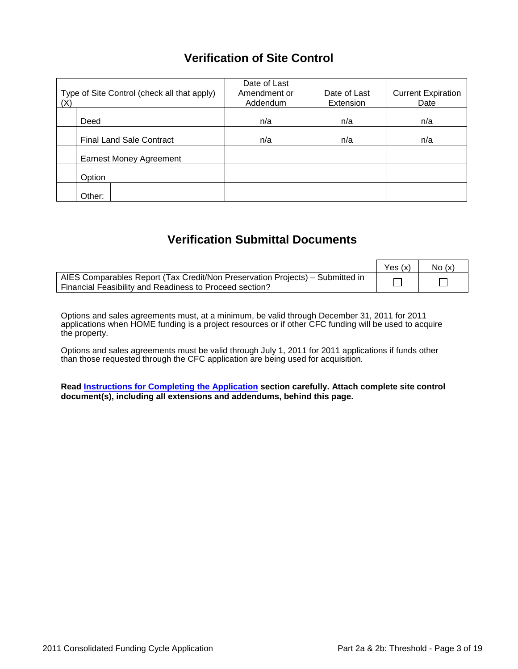# **Verification of Site Control**

| Type of Site Control (check all that apply)<br>(X) |                                 | Date of Last<br>Amendment or<br>Addendum | Date of Last<br><b>Extension</b> | <b>Current Expiration</b><br>Date |
|----------------------------------------------------|---------------------------------|------------------------------------------|----------------------------------|-----------------------------------|
|                                                    | Deed                            | n/a                                      | n/a                              | n/a                               |
|                                                    | <b>Final Land Sale Contract</b> | n/a                                      | n/a                              | n/a                               |
|                                                    | Earnest Money Agreement         |                                          |                                  |                                   |
|                                                    | Option                          |                                          |                                  |                                   |
|                                                    | Other:                          |                                          |                                  |                                   |

# **Verification Submittal Documents**

|                                                                               | Yes $(x)$ | No(x) |
|-------------------------------------------------------------------------------|-----------|-------|
| AIES Comparables Report (Tax Credit/Non Preservation Projects) – Submitted in |           |       |
| Financial Feasibility and Readiness to Proceed section?                       |           |       |

Options and sales agreements must, at a minimum, be valid through December 31, 2011 for 2011 applications when HOME funding is a project resources or if other CFC funding will be used to acquire the property.

Options and sales agreements must be valid through July 1, 2011 for 2011 applications if funds other than those requested through the CFC application are being used for acquisition.

**Read [Instructions for Completing the Application](http://www.ohcs.oregon.gov/OHCS/HD/HRS/CFCApp/InstructionsForCompletingApplication.doc) section carefully. Attach complete site control document(s), including all extensions and addendums, behind this page.**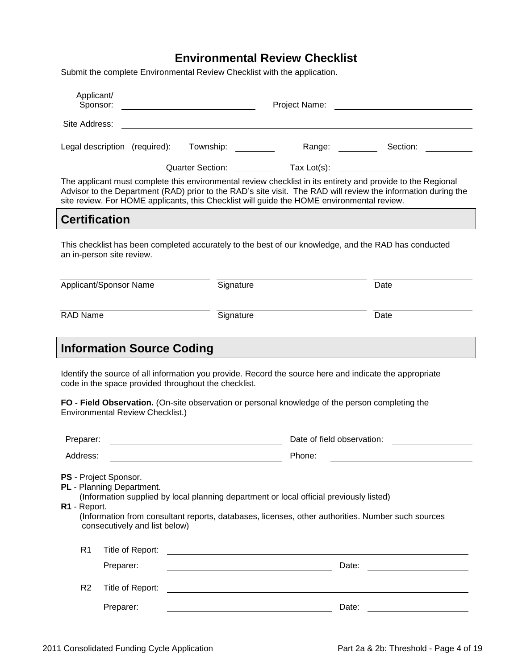# **Environmental Review Checklist**

Submit the complete Environmental Review Checklist with the application.

| Applicant/<br>Sponsor:                                                                                                                                                                                                                                                                              |                                                      |                         |           | Project Name:                                                                                                                                                                                                                  |                                                                                                                                                                                                                               |
|-----------------------------------------------------------------------------------------------------------------------------------------------------------------------------------------------------------------------------------------------------------------------------------------------------|------------------------------------------------------|-------------------------|-----------|--------------------------------------------------------------------------------------------------------------------------------------------------------------------------------------------------------------------------------|-------------------------------------------------------------------------------------------------------------------------------------------------------------------------------------------------------------------------------|
| Site Address:                                                                                                                                                                                                                                                                                       |                                                      |                         |           |                                                                                                                                                                                                                                |                                                                                                                                                                                                                               |
|                                                                                                                                                                                                                                                                                                     | Legal description (required):                        | Township:               |           | Range: and the state of the state of the state of the state of the state of the state of the state of the state of the state of the state of the state of the state of the state of the state of the state of the state of the | Section:                                                                                                                                                                                                                      |
|                                                                                                                                                                                                                                                                                                     |                                                      | <b>Quarter Section:</b> |           | Tax $Lot(s)$ :                                                                                                                                                                                                                 |                                                                                                                                                                                                                               |
|                                                                                                                                                                                                                                                                                                     |                                                      |                         |           | site review. For HOME applicants, this Checklist will guide the HOME environmental review.                                                                                                                                     | The applicant must complete this environmental review checklist in its entirety and provide to the Regional<br>Advisor to the Department (RAD) prior to the RAD's site visit. The RAD will review the information during the  |
| <b>Certification</b>                                                                                                                                                                                                                                                                                |                                                      |                         |           |                                                                                                                                                                                                                                |                                                                                                                                                                                                                               |
|                                                                                                                                                                                                                                                                                                     | an in-person site review.                            |                         |           |                                                                                                                                                                                                                                | This checklist has been completed accurately to the best of our knowledge, and the RAD has conducted                                                                                                                          |
|                                                                                                                                                                                                                                                                                                     | Applicant/Sponsor Name                               |                         | Signature |                                                                                                                                                                                                                                | Date                                                                                                                                                                                                                          |
| <b>RAD Name</b>                                                                                                                                                                                                                                                                                     |                                                      |                         | Signature |                                                                                                                                                                                                                                | Date                                                                                                                                                                                                                          |
|                                                                                                                                                                                                                                                                                                     | <b>Information Source Coding</b>                     |                         |           |                                                                                                                                                                                                                                |                                                                                                                                                                                                                               |
|                                                                                                                                                                                                                                                                                                     | code in the space provided throughout the checklist. |                         |           |                                                                                                                                                                                                                                | Identify the source of all information you provide. Record the source here and indicate the appropriate                                                                                                                       |
|                                                                                                                                                                                                                                                                                                     | <b>Environmental Review Checklist.)</b>              |                         |           | FO - Field Observation. (On-site observation or personal knowledge of the person completing the                                                                                                                                |                                                                                                                                                                                                                               |
| Preparer:                                                                                                                                                                                                                                                                                           |                                                      |                         |           | Date of field observation:                                                                                                                                                                                                     |                                                                                                                                                                                                                               |
| Address:                                                                                                                                                                                                                                                                                            |                                                      |                         |           | Phone:                                                                                                                                                                                                                         |                                                                                                                                                                                                                               |
| PS - Project Sponsor.<br>PL - Planning Department.<br>(Information supplied by local planning department or local official previously listed)<br>R1 - Report.<br>(Information from consultant reports, databases, licenses, other authorities. Number such sources<br>consecutively and list below) |                                                      |                         |           |                                                                                                                                                                                                                                |                                                                                                                                                                                                                               |
| R <sub>1</sub>                                                                                                                                                                                                                                                                                      | Title of Report:                                     |                         |           | <u> 1989 - Johann Stoff, deutscher Stoffen und der Stoffen und der Stoffen und der Stoffen und der Stoffen und der</u>                                                                                                         |                                                                                                                                                                                                                               |
|                                                                                                                                                                                                                                                                                                     | Preparer:                                            |                         |           | <u> 1989 - Johann Barnett, fransk politik (d. 1989)</u>                                                                                                                                                                        | Date: <u>________________________________</u>                                                                                                                                                                                 |
| R <sub>2</sub>                                                                                                                                                                                                                                                                                      | Title of Report:                                     |                         |           |                                                                                                                                                                                                                                |                                                                                                                                                                                                                               |
|                                                                                                                                                                                                                                                                                                     | Preparer:                                            |                         |           | Date:<br><u> 1989 - Johann Barnett, fransk politik (d. 1989)</u>                                                                                                                                                               | the control of the control of the control of the control of the control of the control of the control of the control of the control of the control of the control of the control of the control of the control of the control |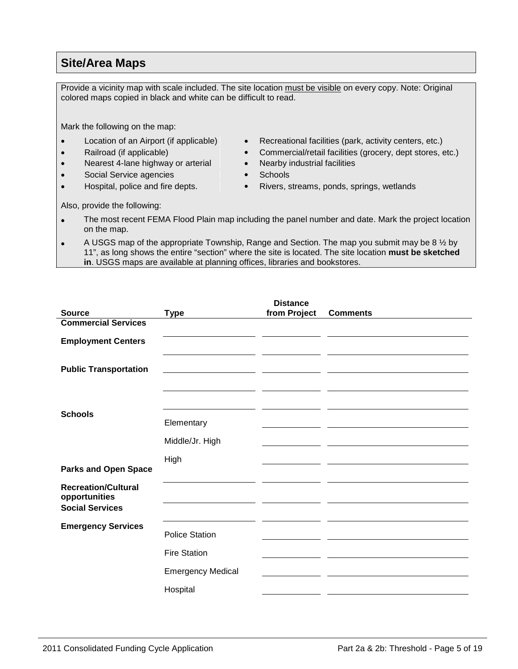# **Site/Area Maps**

Provide a vicinity map with scale included. The site location must be visible on every copy. Note: Original colored maps copied in black and white can be difficult to read.

Mark the following on the map:

- 
- 
- Nearest 4-lane highway or arterial Nearby industrial facilities
- Social Service agencies Schools
- 
- Location of an Airport (if applicable) Recreational facilities (park, activity centers, etc.)
- Railroad (if applicable) Commercial/retail facilities (grocery, dept stores, etc.)
	-
	-
- Hospital, police and fire depts. Rivers, streams, ponds, springs, wetlands

Also, provide the following:

- The most recent FEMA Flood Plain map including the panel number and date. Mark the project location on the map.
- A USGS map of the appropriate Township, Range and Section. The map you submit may be 8  $\frac{1}{2}$  by 11", as long shows the entire "section" where the site is located. The site location **must be sketched in**. USGS maps are available at planning offices, libraries and bookstores.

|                                                                       |                                                                                 | <b>Distance</b> |                 |
|-----------------------------------------------------------------------|---------------------------------------------------------------------------------|-----------------|-----------------|
| <b>Source</b>                                                         | <b>Type</b>                                                                     | from Project    | <b>Comments</b> |
| <b>Commercial Services</b>                                            |                                                                                 |                 |                 |
| <b>Employment Centers</b>                                             |                                                                                 |                 |                 |
| <b>Public Transportation</b>                                          | the contract of the contract of the contract of the contract of the contract of |                 |                 |
| <b>Schools</b>                                                        |                                                                                 |                 |                 |
|                                                                       | Elementary                                                                      |                 |                 |
|                                                                       | Middle/Jr. High                                                                 |                 |                 |
|                                                                       | High                                                                            |                 |                 |
| <b>Parks and Open Space</b>                                           |                                                                                 |                 |                 |
| <b>Recreation/Cultural</b><br>opportunities<br><b>Social Services</b> |                                                                                 |                 |                 |
|                                                                       |                                                                                 |                 |                 |
| <b>Emergency Services</b>                                             | <b>Police Station</b>                                                           |                 |                 |
|                                                                       | <b>Fire Station</b>                                                             |                 |                 |
|                                                                       | <b>Emergency Medical</b>                                                        |                 |                 |
|                                                                       | Hospital                                                                        |                 |                 |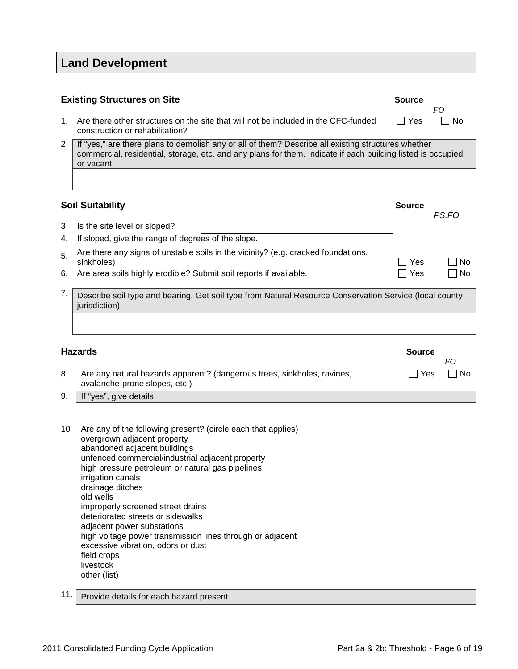# **Land Development**

|     | <b>Existing Structures on Site</b>                                                                                                                                                                                              | <b>Source</b> |          |
|-----|---------------------------------------------------------------------------------------------------------------------------------------------------------------------------------------------------------------------------------|---------------|----------|
| 1.  | Are there other structures on the site that will not be included in the CFC-funded<br>construction or rehabilitation?                                                                                                           | ∣ Yes         | FO<br>No |
| 2   | If "yes," are there plans to demolish any or all of them? Describe all existing structures whether<br>commercial, residential, storage, etc. and any plans for them. Indicate if each building listed is occupied<br>or vacant. |               |          |
|     |                                                                                                                                                                                                                                 |               |          |
|     | <b>Soil Suitability</b>                                                                                                                                                                                                         | <b>Source</b> | PS,FO    |
| 3   | Is the site level or sloped?                                                                                                                                                                                                    |               |          |
| 4.  | If sloped, give the range of degrees of the slope.                                                                                                                                                                              |               |          |
| 5.  | Are there any signs of unstable soils in the vicinity? (e.g. cracked foundations,<br>sinkholes)                                                                                                                                 | Yes           | No       |
| 6.  | Are area soils highly erodible? Submit soil reports if available.                                                                                                                                                               | Yes           | No       |
| 7.  | Describe soil type and bearing. Get soil type from Natural Resource Conservation Service (local county<br>jurisdiction).                                                                                                        |               |          |
|     |                                                                                                                                                                                                                                 |               |          |
|     | <b>Hazards</b>                                                                                                                                                                                                                  | <b>Source</b> | FO       |
| 8.  | Are any natural hazards apparent? (dangerous trees, sinkholes, ravines,<br>avalanche-prone slopes, etc.)                                                                                                                        | Yes<br>$\Box$ | No       |
| 9.  | If "yes", give details.                                                                                                                                                                                                         |               |          |
|     |                                                                                                                                                                                                                                 |               |          |
| 10  | Are any of the following present? (circle each that applies)                                                                                                                                                                    |               |          |
|     | overgrown adjacent property<br>abandoned adjacent buildings                                                                                                                                                                     |               |          |
|     | unfenced commercial/industrial adjacent property                                                                                                                                                                                |               |          |
|     | high pressure petroleum or natural gas pipelines                                                                                                                                                                                |               |          |
|     | irrigation canals<br>drainage ditches                                                                                                                                                                                           |               |          |
|     | old wells                                                                                                                                                                                                                       |               |          |
|     | improperly screened street drains<br>deteriorated streets or sidewalks                                                                                                                                                          |               |          |
|     | adjacent power substations                                                                                                                                                                                                      |               |          |
|     | high voltage power transmission lines through or adjacent                                                                                                                                                                       |               |          |
|     | excessive vibration, odors or dust<br>field crops                                                                                                                                                                               |               |          |
|     | livestock                                                                                                                                                                                                                       |               |          |
|     | other (list)                                                                                                                                                                                                                    |               |          |
| 11. | Provide details for each hazard present.                                                                                                                                                                                        |               |          |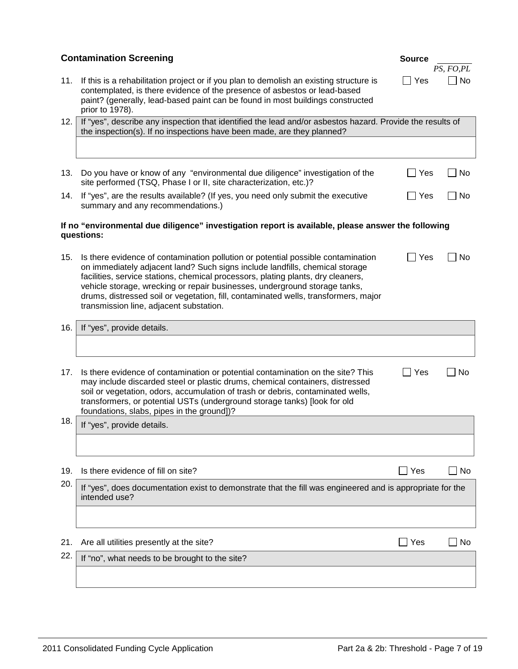|     | <b>Contamination Screening</b>                                                                                                                                                                                                                                                                                                                                                                                                                                       | <b>Source</b> | PS, FO, PL |
|-----|----------------------------------------------------------------------------------------------------------------------------------------------------------------------------------------------------------------------------------------------------------------------------------------------------------------------------------------------------------------------------------------------------------------------------------------------------------------------|---------------|------------|
| 11. | If this is a rehabilitation project or if you plan to demolish an existing structure is<br>contemplated, is there evidence of the presence of asbestos or lead-based<br>paint? (generally, lead-based paint can be found in most buildings constructed<br>prior to 1978).                                                                                                                                                                                            | $\exists$ Yes | No         |
| 12. | If "yes", describe any inspection that identified the lead and/or asbestos hazard. Provide the results of<br>the inspection(s). If no inspections have been made, are they planned?                                                                                                                                                                                                                                                                                  |               |            |
|     |                                                                                                                                                                                                                                                                                                                                                                                                                                                                      |               |            |
| 13. | Do you have or know of any "environmental due diligence" investigation of the<br>site performed (TSQ, Phase I or II, site characterization, etc.)?                                                                                                                                                                                                                                                                                                                   | $\Box$ Yes    | $\Box$ No  |
| 14. | If "yes", are the results available? (If yes, you need only submit the executive<br>summary and any recommendations.)                                                                                                                                                                                                                                                                                                                                                | Yes           | No         |
|     | If no "environmental due diligence" investigation report is available, please answer the following<br>questions:                                                                                                                                                                                                                                                                                                                                                     |               |            |
| 15. | Is there evidence of contamination pollution or potential possible contamination<br>on immediately adjacent land? Such signs include landfills, chemical storage<br>facilities, service stations, chemical processors, plating plants, dry cleaners,<br>vehicle storage, wrecking or repair businesses, underground storage tanks,<br>drums, distressed soil or vegetation, fill, contaminated wells, transformers, major<br>transmission line, adjacent substation. | Yes           | No         |
| 16. | If "yes", provide details.                                                                                                                                                                                                                                                                                                                                                                                                                                           |               |            |
|     |                                                                                                                                                                                                                                                                                                                                                                                                                                                                      |               |            |
| 17. | Is there evidence of contamination or potential contamination on the site? This<br>may include discarded steel or plastic drums, chemical containers, distressed<br>soil or vegetation, odors, accumulation of trash or debris, contaminated wells,<br>transformers, or potential USTs (underground storage tanks) [look for old<br>foundations, slabs, pipes in the ground])?                                                                                       | Yes           | No         |
| 18. | If "yes", provide details.                                                                                                                                                                                                                                                                                                                                                                                                                                           |               |            |
|     |                                                                                                                                                                                                                                                                                                                                                                                                                                                                      |               |            |
| 19. | Is there evidence of fill on site?                                                                                                                                                                                                                                                                                                                                                                                                                                   | Yes           | No         |
| 20. | If "yes", does documentation exist to demonstrate that the fill was engineered and is appropriate for the<br>intended use?                                                                                                                                                                                                                                                                                                                                           |               |            |
|     |                                                                                                                                                                                                                                                                                                                                                                                                                                                                      |               |            |
| 21. | Are all utilities presently at the site?                                                                                                                                                                                                                                                                                                                                                                                                                             | $\Box$ Yes    | No         |
| 22. | If "no", what needs to be brought to the site?                                                                                                                                                                                                                                                                                                                                                                                                                       |               |            |
|     |                                                                                                                                                                                                                                                                                                                                                                                                                                                                      |               |            |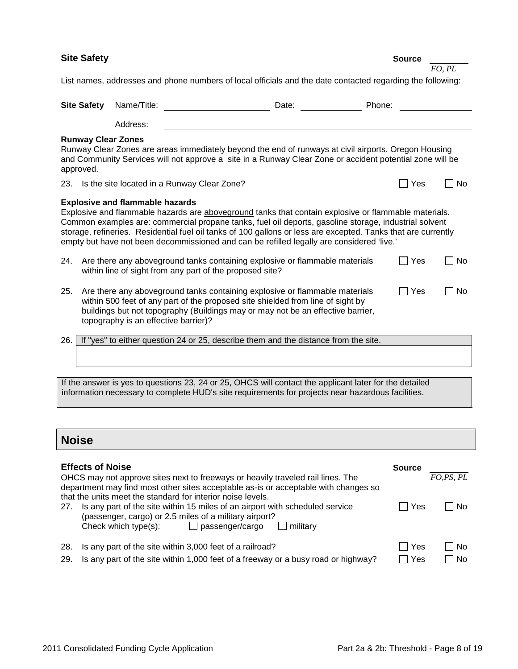|     | <b>Site Safety</b>                     |                                        |                                                          |                                                                                                                                                                                                                                                                                                                                                                                                                             |        | <b>Source</b> |           |
|-----|----------------------------------------|----------------------------------------|----------------------------------------------------------|-----------------------------------------------------------------------------------------------------------------------------------------------------------------------------------------------------------------------------------------------------------------------------------------------------------------------------------------------------------------------------------------------------------------------------|--------|---------------|-----------|
|     |                                        |                                        |                                                          | List names, addresses and phone numbers of local officials and the date contacted regarding the following:                                                                                                                                                                                                                                                                                                                  |        |               | FO, PL    |
|     |                                        |                                        |                                                          |                                                                                                                                                                                                                                                                                                                                                                                                                             |        |               |           |
|     | <b>Site Safety</b>                     | Name/Title:                            |                                                          | Date:                                                                                                                                                                                                                                                                                                                                                                                                                       | Phone: |               |           |
|     |                                        | Address:                               |                                                          |                                                                                                                                                                                                                                                                                                                                                                                                                             |        |               |           |
|     | <b>Runway Clear Zones</b><br>approved. |                                        |                                                          | Runway Clear Zones are areas immediately beyond the end of runways at civil airports. Oregon Housing<br>and Community Services will not approve a site in a Runway Clear Zone or accident potential zone will be                                                                                                                                                                                                            |        |               |           |
|     |                                        |                                        | 23. Is the site located in a Runway Clear Zone?          |                                                                                                                                                                                                                                                                                                                                                                                                                             |        | Yes           | No        |
|     |                                        | <b>Explosive and flammable hazards</b> |                                                          | Explosive and flammable hazards are aboveground tanks that contain explosive or flammable materials.<br>Common examples are: commercial propane tanks, fuel oil deports, gasoline storage, industrial solvent<br>storage, refineries. Residential fuel oil tanks of 100 gallons or less are excepted. Tanks that are currently<br>empty but have not been decommissioned and can be refilled legally are considered 'live.' |        |               |           |
| 24. |                                        |                                        | within line of sight from any part of the proposed site? | Are there any aboveground tanks containing explosive or flammable materials                                                                                                                                                                                                                                                                                                                                                 |        | Yes           | No        |
| 25. |                                        | topography is an effective barrier)?   |                                                          | Are there any aboveground tanks containing explosive or flammable materials<br>within 500 feet of any part of the proposed site shielded from line of sight by<br>buildings but not topography (Buildings may or may not be an effective barrier,                                                                                                                                                                           |        | Yes           | <b>No</b> |
| 26. |                                        |                                        |                                                          | If "yes" to either question 24 or 25, describe them and the distance from the site.                                                                                                                                                                                                                                                                                                                                         |        |               |           |
|     |                                        |                                        |                                                          |                                                                                                                                                                                                                                                                                                                                                                                                                             |        |               |           |
|     |                                        |                                        |                                                          | If the answer is yes to questions 23, 24 or 25, OHCS will contact the applicant later for the detailed                                                                                                                                                                                                                                                                                                                      |        |               |           |
|     |                                        |                                        |                                                          | information necessary to complete HUD's site requirements for projects near hazardous facilities.                                                                                                                                                                                                                                                                                                                           |        |               |           |

|  | <b>Noise</b> |  |
|--|--------------|--|
|--|--------------|--|

| <b>Effects of Noise</b>                                                                  | <b>Source</b> |            |
|------------------------------------------------------------------------------------------|---------------|------------|
| OHCS may not approve sites next to freeways or heavily traveled rail lines. The          |               | FO, PS, PL |
| department may find most other sites acceptable as-is or acceptable with changes so      |               |            |
| that the units meet the standard for interior noise levels.                              |               |            |
| Is any part of the site within 15 miles of an airport with scheduled service<br>27.      | Yes           | - I No     |
| (passenger, cargo) or 2.5 miles of a military airport?                                   |               |            |
| $\Box$ passenger/cargo<br>Check which type(s):<br>militarv                               |               |            |
|                                                                                          |               |            |
| Is any part of the site within 3,000 feet of a railroad?<br>28.                          | Yes           | ∣No        |
| Is any part of the site within 1,000 feet of a freeway or a busy road or highway?<br>29. | ı Yes         | No         |
|                                                                                          |               |            |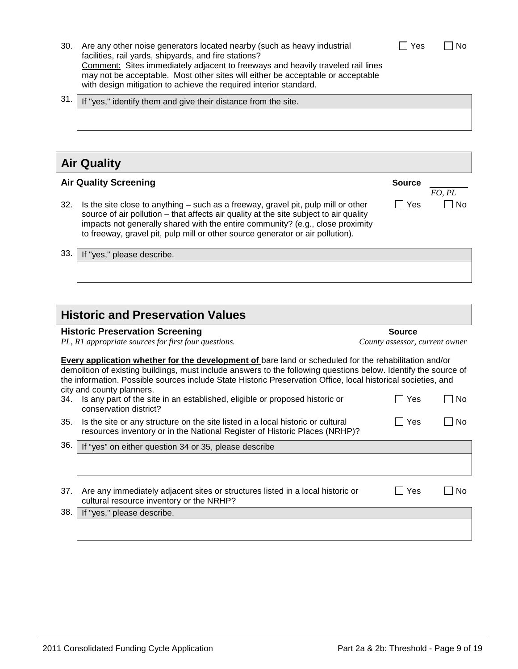- 30. Are any other noise generators located nearby (such as heavy industrial facilities, rail yards, shipyards, and fire stations? Comment: Sites immediately adjacent to freeways and heavily traveled rail lines may not be acceptable. Most other sites will either be acceptable or acceptable with design mitigation to achieve the required interior standard.
- $31.$  If "yes," identify them and give their distance from the site.

# **Air Quality**

|     | <b>Air Quality Screening</b>                                                                                                                                                                                                                                                                                                                   | <b>Source</b> | FO. PL          |
|-----|------------------------------------------------------------------------------------------------------------------------------------------------------------------------------------------------------------------------------------------------------------------------------------------------------------------------------------------------|---------------|-----------------|
| 32. | Is the site close to anything – such as a freeway, gravel pit, pulp mill or other<br>source of air pollution – that affects air quality at the site subject to air quality<br>impacts not generally shared with the entire community? (e.g., close proximity<br>to freeway, gravel pit, pulp mill or other source generator or air pollution). | l Yes         | <sup>i</sup> No |

# **Historic and Preservation Values**

#### **Historic Preservation Screening Source Source Source Source Source**

33. If "yes," please describe.

*PL, R1 appropriate sources for first four questions. County assessor, current owner*

**Every application whether for the development of** bare land or scheduled for the rehabilitation and/or demolition of existing buildings, must include answers to the following questions below. Identify the source of the information. Possible sources include State Historic Preservation Office, local historical societies, and city and county planners.

- 34. Is any part of the site in an established, eligible or proposed historic or conservation district?  $\Box$  Yes  $\Box$  No
- 35. Is the site or any structure on the site listed in a local historic or cultural resources inventory or in the National Register of Historic Places (NRHP)?  $\Box$  Yes  $\Box$  No

| 36. | If "yes" on either question 34 or 35, please describe                                                                             |           |  |
|-----|-----------------------------------------------------------------------------------------------------------------------------------|-----------|--|
|     |                                                                                                                                   |           |  |
|     |                                                                                                                                   |           |  |
| 37. | Yes<br>Are any immediately adjacent sites or structures listed in a local historic or<br>cultural resource inventory or the NRHP? | <b>No</b> |  |
| 38. | If "yes," please describe.                                                                                                        |           |  |
|     |                                                                                                                                   |           |  |

 $\Box$  Yes  $\Box$  No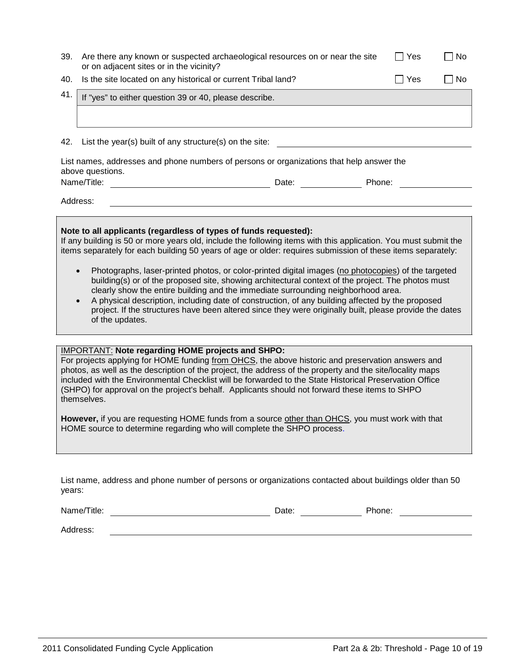|             | 2011 Consolidated Funding Cycle Application                   | Part 2a & 2b: Threshold - Page 10 of 19                                                                                                                                      |  |
|-------------|---------------------------------------------------------------|------------------------------------------------------------------------------------------------------------------------------------------------------------------------------|--|
|             |                                                               |                                                                                                                                                                              |  |
|             |                                                               |                                                                                                                                                                              |  |
|             |                                                               |                                                                                                                                                                              |  |
| Address:    |                                                               |                                                                                                                                                                              |  |
| Name/Title: | <u> 1989 - Johann Barn, fransk politik formuler (d. 1989)</u> | Phone: <u>______</u><br>Date: $\frac{1}{\sqrt{1-\frac{1}{2}} \cdot \frac{1}{\sqrt{1-\frac{1}{2}} \cdot \frac{1}{2}} \cdot \frac{1}{\sqrt{1-\frac{1}{2}} \cdot \frac{1}{2}}}$ |  |

| 42. List the year(s) built of any structure(s) on the site:                                                                                                                                                                                                                                        |       |        |
|----------------------------------------------------------------------------------------------------------------------------------------------------------------------------------------------------------------------------------------------------------------------------------------------------|-------|--------|
| List names, addresses and phone numbers of persons or organizations that help answer the<br>above questions.                                                                                                                                                                                       |       |        |
| Name/Title:                                                                                                                                                                                                                                                                                        | Date: | Phone: |
| Address:                                                                                                                                                                                                                                                                                           |       |        |
| Note to all applicants (regardless of types of funds requested):<br>If any building is 50 or more years old, include the following items with this application. You must submit the<br>items separately for each building 50 years of age or older: requires submission of these items separately: |       |        |

40. Is the site located on any historical or current Tribal land?  $\Box$  Yes  $\Box$  No

39. Are there any known or suspected archaeological resources on or near the site

or on adjacent sites or in the vicinity?

41. If "yes" to either question 39 or 40, please describe.

- Photographs, laser-printed photos, or color-printed digital images (no photocopies) of the targeted building(s) or of the proposed site, showing architectural context of the project. The photos must clearly show the entire building and the immediate surrounding neighborhood area.
- A physical description, including date of construction, of any building affected by the proposed project. If the structures have been altered since they were originally built, please provide the dates of the updates.

#### IMPORTANT: **Note regarding HOME projects and SHPO:**

For projects applying for HOME funding from OHCS, the above historic and preservation answers and photos, as well as the description of the project, the address of the property and the site/locality maps included with the Environmental Checklist will be forwarded to the State Historical Preservation Office (SHPO) for approval on the project's behalf. Applicants should not forward these items to SHPO themselves.

**However,** if you are requesting HOME funds from a source other than OHCS, you must work with that HOME source to determine regarding who will complete the SHPO process.

 $\Box$  Yes  $\Box$  No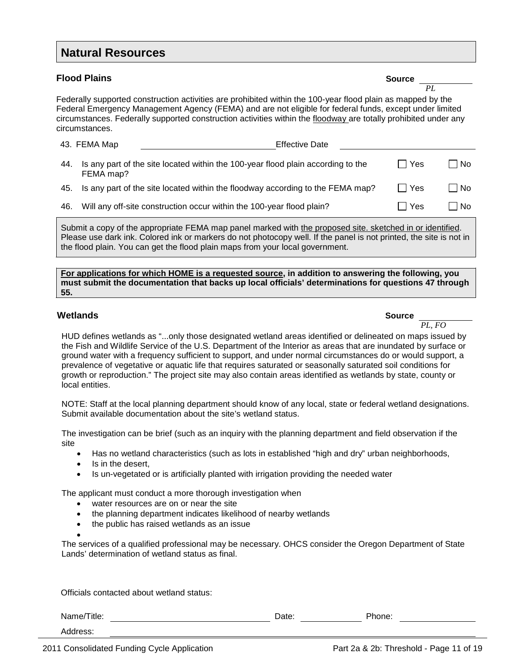# **Natural Resources**

#### **Flood Plains Source**

 *PL* Federally supported construction activities are prohibited within the 100-year flood plain as mapped by the Federal Emergency Management Agency (FEMA) and are not eligible for federal funds, except under limited circumstances. Federally supported construction activities within the floodway are totally prohibited under any circumstances.

| 43. FEMA Map | <b>Effective Date</b>                                                                |       |      |
|--------------|--------------------------------------------------------------------------------------|-------|------|
| FEMA map?    | 44. Is any part of the site located within the 100-year flood plain according to the | l Yes | ∃ No |

- 45. Is any part of the site located within the floodway according to the FEMA map?  $\Box$  Yes  $\Box$  No
- 46. Will any off-site construction occur within the 100-year flood plain?  $\Box$  Yes  $\Box$  No

Submit a copy of the appropriate FEMA map panel marked with the proposed site. sketched in or identified. Please use dark ink. Colored ink or markers do not photocopy well. If the panel is not printed, the site is not in the flood plain. You can get the flood plain maps from your local government.

**For applications for which HOME is a requested source, in addition to answering the following, you must submit the documentation that backs up local officials' determinations for questions 47 through 55.**

### **Wetlands Source**

*PL, FO*

HUD defines wetlands as "...only those designated wetland areas identified or delineated on maps issued by the Fish and Wildlife Service of the U.S. Department of the Interior as areas that are inundated by surface or ground water with a frequency sufficient to support, and under normal circumstances do or would support, a prevalence of vegetative or aquatic life that requires saturated or seasonally saturated soil conditions for growth or reproduction." The project site may also contain areas identified as wetlands by state, county or local entities.

NOTE: Staff at the local planning department should know of any local, state or federal wetland designations. Submit available documentation about the site's wetland status.

The investigation can be brief (such as an inquiry with the planning department and field observation if the site

- Has no wetland characteristics (such as lots in established "high and dry" urban neighborhoods,
- Is in the desert,
- Is un-vegetated or is artificially planted with irrigation providing the needed water

The applicant must conduct a more thorough investigation when

- water resources are on or near the site
- the planning department indicates likelihood of nearby wetlands
- the public has raised wetlands as an issue

The services of a qualified professional may be necessary. OHCS consider the Oregon Department of State Lands' determination of wetland status as final.

Officials contacted about wetland status:

•

Address:

Name/Title: Date: Phone:

2011 Consolidated Funding Cycle Application Part 2a & 2b: Threshold - Page 11 of 19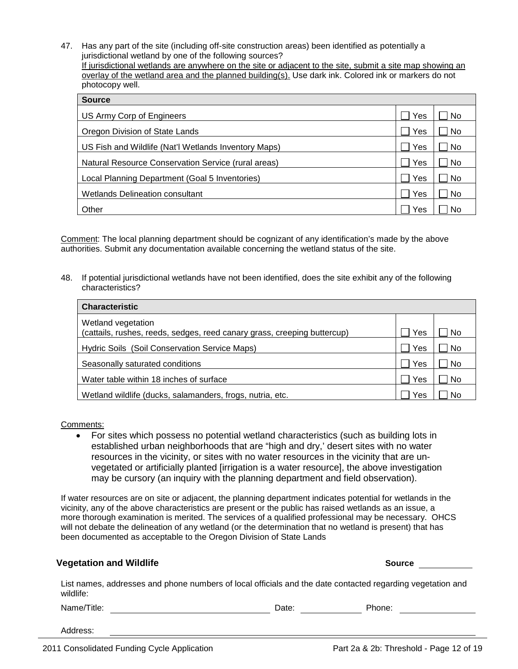2011 Consolidated Funding Cycle Application Part 2a & 2b: Threshold - Page 12 of 19 Address:

47. Has any part of the site (including off-site construction areas) been identified as potentially a jurisdictional wetland by one of the following sources? If jurisdictional wetlands are anywhere on the site or adjacent to the site, submit a site map showing an overlay of the wetland area and the planned building(s). Use dark ink. Colored ink or markers do not photocopy well.

| <b>Source</b>                                        |     |                |
|------------------------------------------------------|-----|----------------|
| US Army Corp of Engineers                            | Yes | No             |
| Oregon Division of State Lands                       | Yes | No             |
| US Fish and Wildlife (Nat'l Wetlands Inventory Maps) | Yes | N <sub>o</sub> |
| Natural Resource Conservation Service (rural areas)  | Yes | <b>No</b>      |
| Local Planning Department (Goal 5 Inventories)       | Yes | <b>No</b>      |
| <b>Wetlands Delineation consultant</b>               | Yes | No             |
| Other                                                | Yes | No             |

Comment: The local planning department should be cognizant of any identification's made by the above authorities. Submit any documentation available concerning the wetland status of the site.

48. If potential jurisdictional wetlands have not been identified, does the site exhibit any of the following characteristics?

| <b>Characteristic</b>                                                                          |     |           |  |
|------------------------------------------------------------------------------------------------|-----|-----------|--|
| Wetland vegetation<br>(cattails, rushes, reeds, sedges, reed canary grass, creeping buttercup) | Yes | No        |  |
| Hydric Soils (Soil Conservation Service Maps)                                                  | Yes | No        |  |
| Seasonally saturated conditions                                                                | Yes | No        |  |
| Water table within 18 inches of surface                                                        | Yes | <b>No</b> |  |
| Wetland wildlife (ducks, salamanders, frogs, nutria, etc.                                      | Yes | No        |  |

Comments:

• For sites which possess no potential wetland characteristics (such as building lots in established urban neighborhoods that are "high and dry,' desert sites with no water resources in the vicinity, or sites with no water resources in the vicinity that are unvegetated or artificially planted [irrigation is a water resource], the above investigation may be cursory (an inquiry with the planning department and field observation).

If water resources are on site or adjacent, the planning department indicates potential for wetlands in the vicinity, any of the above characteristics are present or the public has raised wetlands as an issue, a more thorough examination is merited. The services of a qualified professional may be necessary. OHCS will not debate the delineation of any wetland (or the determination that no wetland is present) that has been documented as acceptable to the Oregon Division of State Lands

#### **Vegetation and Wildlife Source**

List names, addresses and phone numbers of local officials and the date contacted regarding vegetation and wildlife:

Name/Title: Name/Title: Phone: Phone: Phone: Phone: Phone: Phone: Phone: Phone: Phone: Phone: Phone: Phone: Phone: Phone: Phone: Phone: Phone: Phone: Phone: Phone: Phone: Phone: Phone: Phone: Phone: Phone: Phone: Phone: Ph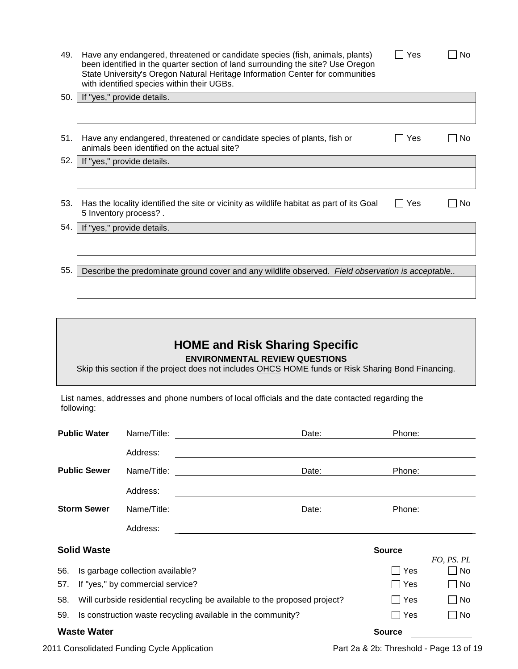| 49. | Have any endangered, threatened or candidate species (fish, animals, plants)<br>been identified in the quarter section of land surrounding the site? Use Oregon<br>State University's Oregon Natural Heritage Information Center for communities<br>with identified species within their UGBs. | Yes | No. |
|-----|------------------------------------------------------------------------------------------------------------------------------------------------------------------------------------------------------------------------------------------------------------------------------------------------|-----|-----|
| 50. | If "yes," provide details.                                                                                                                                                                                                                                                                     |     |     |
|     |                                                                                                                                                                                                                                                                                                |     |     |
| 51. | Have any endangered, threatened or candidate species of plants, fish or<br>animals been identified on the actual site?                                                                                                                                                                         | Yes | No. |
| 52. | If "yes," provide details.                                                                                                                                                                                                                                                                     |     |     |
|     |                                                                                                                                                                                                                                                                                                |     |     |
| 53. | Has the locality identified the site or vicinity as wildlife habitat as part of its Goal<br>5 Inventory process?.                                                                                                                                                                              | Yes | No  |
| 54. | If "yes," provide details.                                                                                                                                                                                                                                                                     |     |     |
|     |                                                                                                                                                                                                                                                                                                |     |     |
| 55. | Describe the predominate ground cover and any wildlife observed. Field observation is acceptable                                                                                                                                                                                               |     |     |

# **HOME and Risk Sharing Specific ENVIRONMENTAL REVIEW QUESTIONS**

Skip this section if the project does not includes OHCS HOME funds or Risk Sharing Bond Financing.

List names, addresses and phone numbers of local officials and the date contacted regarding the following:

|     | <b>Public Water</b> | Name/Title:                      | Date:                                                                     | Phone:                |                   |
|-----|---------------------|----------------------------------|---------------------------------------------------------------------------|-----------------------|-------------------|
|     |                     | Address:                         |                                                                           |                       |                   |
|     | <b>Public Sewer</b> | Name/Title:                      | Date:                                                                     | Phone:                |                   |
|     |                     | Address:                         |                                                                           |                       |                   |
|     | <b>Storm Sewer</b>  | Name/Title:                      | Date:                                                                     | Phone:                |                   |
|     |                     | Address:                         |                                                                           |                       |                   |
|     | <b>Solid Waste</b>  |                                  | <b>Source</b>                                                             |                       |                   |
|     |                     |                                  |                                                                           |                       | FO, PS. PL        |
| 56. |                     | Is garbage collection available? |                                                                           | Yes<br>$\blacksquare$ | $\blacksquare$ No |
| 57. |                     | If "yes," by commercial service? |                                                                           | Yes                   | __ No             |
| 58. |                     |                                  | Will curbside residential recycling be available to the proposed project? | $\Box$ Yes            | No                |
| 59. |                     |                                  | Is construction waste recycling available in the community?               | $\Box$ Yes            | No                |
|     | <b>Waste Water</b>  |                                  | <b>Source</b>                                                             |                       |                   |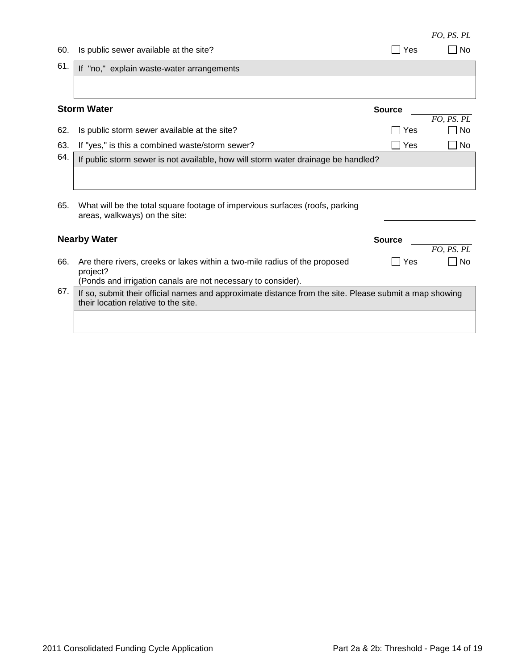|     |                                                                                                                                                        |               | FO. PS. PL           |
|-----|--------------------------------------------------------------------------------------------------------------------------------------------------------|---------------|----------------------|
| 60. | Is public sewer available at the site?                                                                                                                 | Yes           | No                   |
| 61. | If "no," explain waste-water arrangements                                                                                                              |               |                      |
|     |                                                                                                                                                        |               |                      |
|     | <b>Storm Water</b>                                                                                                                                     | <b>Source</b> |                      |
| 62. | Is public storm sewer available at the site?                                                                                                           | Yes           | $FO, PS.$ $PL$<br>No |
| 63. | If "yes," is this a combined waste/storm sewer?                                                                                                        | Yes           | No                   |
| 64. | If public storm sewer is not available, how will storm water drainage be handled?                                                                      |               |                      |
|     |                                                                                                                                                        |               |                      |
| 65. | What will be the total square footage of impervious surfaces (roofs, parking<br>areas, walkways) on the site:                                          |               |                      |
|     | <b>Nearby Water</b>                                                                                                                                    | <b>Source</b> | $FO, PS.$ $PL$       |
| 66. | Are there rivers, creeks or lakes within a two-mile radius of the proposed<br>project?<br>(Ponds and irrigation canals are not necessary to consider). | Yes           | <b>No</b>            |
| 67. | If so, submit their official names and approximate distance from the site. Please submit a map showing<br>their location relative to the site.         |               |                      |
|     |                                                                                                                                                        |               |                      |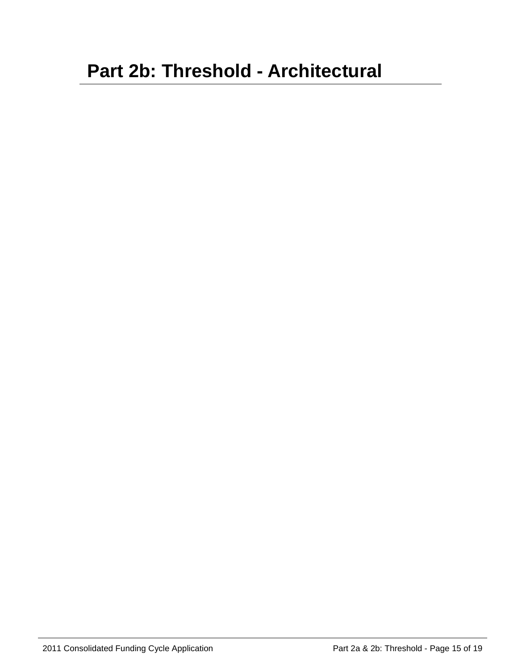# **Part 2b: Threshold - Architectural**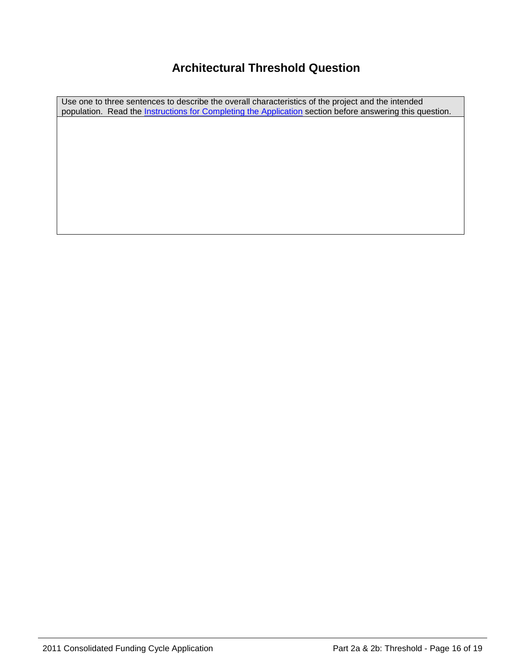# **Architectural Threshold Question**

Use one to three sentences to describe the overall characteristics of the project and the intended population. Read the *Instructions for Completing the Application* section before answering this question.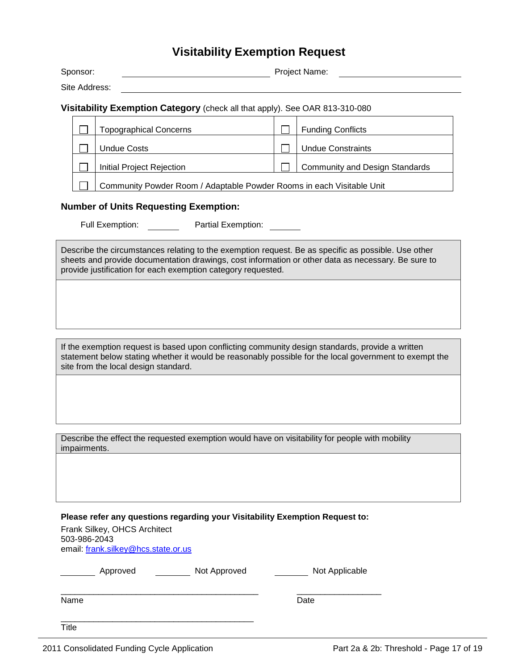# **Visitability Exemption Request**

| Sponsor:      |  |                                                                             |  | <b>Project Name:</b>                  |
|---------------|--|-----------------------------------------------------------------------------|--|---------------------------------------|
| Site Address: |  |                                                                             |  |                                       |
|               |  | Visitability Exemption Category (check all that apply). See OAR 813-310-080 |  |                                       |
|               |  | <b>Topographical Concerns</b>                                               |  | <b>Funding Conflicts</b>              |
|               |  | <b>Undue Costs</b>                                                          |  | <b>Undue Constraints</b>              |
|               |  | Initial Project Rejection                                                   |  | <b>Community and Design Standards</b> |
|               |  | Community Powder Room / Adaptable Powder Rooms in each Visitable Unit       |  |                                       |
|               |  |                                                                             |  |                                       |

#### **Number of Units Requesting Exemption:**

Full Exemption: Partial Exemption: Designation: 2001

Describe the circumstances relating to the exemption request. Be as specific as possible. Use other sheets and provide documentation drawings, cost information or other data as necessary. Be sure to provide justification for each exemption category requested.

If the exemption request is based upon conflicting community design standards, provide a written statement below stating whether it would be reasonably possible for the local government to exempt the site from the local design standard.

Describe the effect the requested exemption would have on visitability for people with mobility impairments.

**Please refer any questions regarding your Visitability Exemption Request to:**

Frank Silkey, OHCS Architect 503-986-2043 email: [frank.silkey@hcs.state.or.us](mailto:john.czarnecki@hcs.state.or.us)

| Approved | Not Approved | Not Applicable |
|----------|--------------|----------------|
|----------|--------------|----------------|

Name Date **Date** 

Title

\_\_\_\_\_\_\_\_\_\_\_\_\_\_\_\_\_\_\_\_\_\_\_\_\_\_\_\_\_\_\_\_\_\_\_\_\_\_\_\_\_\_ \_\_\_\_\_\_\_\_\_\_\_\_\_\_\_\_\_\_

\_\_\_\_\_\_\_\_\_\_\_\_\_\_\_\_\_\_\_\_\_\_\_\_\_\_\_\_\_\_\_\_\_\_\_\_\_\_\_\_\_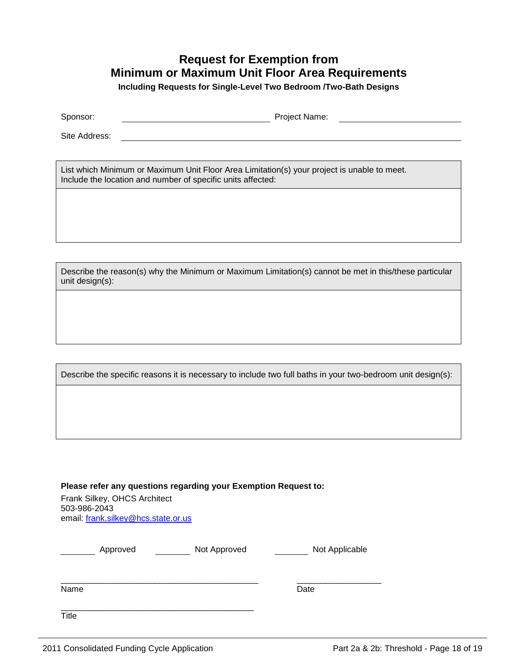# **Request for Exemption from Minimum or Maximum Unit Floor Area Requirements**

**Including Requests for Single-Level Two Bedroom /Two-Bath Designs**

Sponsor: Project Name:

Site Address:

List which Minimum or Maximum Unit Floor Area Limitation(s) your project is unable to meet. Include the location and number of specific units affected:

Describe the reason(s) why the Minimum or Maximum Limitation(s) cannot be met in this/these particular unit design(s):

Describe the specific reasons it is necessary to include two full baths in your two-bedroom unit design(s):

**Please refer any questions regarding your Exemption Request to:**

Frank Silkey, OHCS Architect 503-986-2043 email: [frank.silkey@hcs.state.or.us](mailto:john.czarnecki@hcs.state.or.us)

Not Approved Not Applicable

\_\_\_\_\_\_\_\_\_\_\_\_\_\_\_\_\_\_\_\_\_\_\_\_\_\_\_\_\_\_\_\_\_\_\_\_\_\_\_\_\_\_ \_\_\_\_\_\_\_\_\_\_\_\_\_\_\_\_\_\_ Name Date **Date** 

**Title** 

\_\_\_\_\_\_\_\_\_\_\_\_\_\_\_\_\_\_\_\_\_\_\_\_\_\_\_\_\_\_\_\_\_\_\_\_\_\_\_\_\_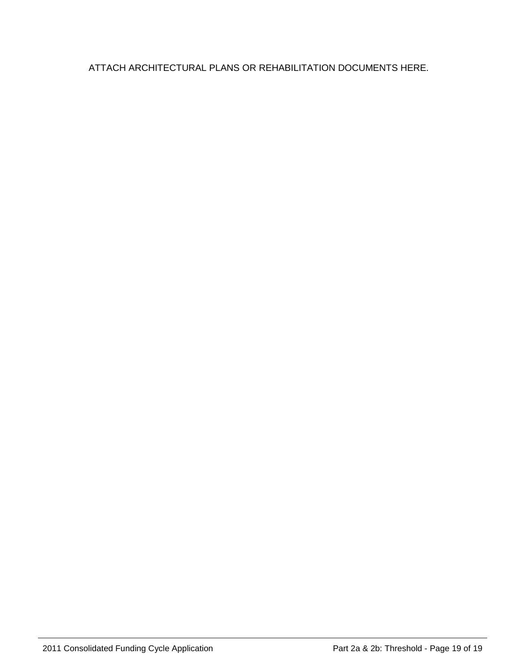ATTACH ARCHITECTURAL PLANS OR REHABILITATION DOCUMENTS HERE.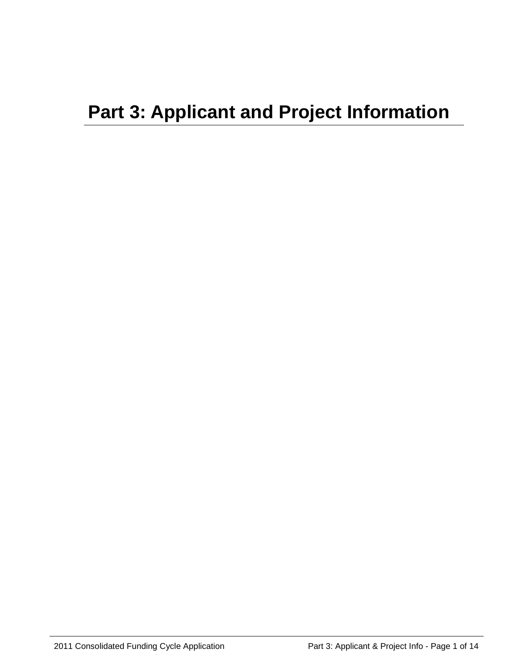# **Part 3: Applicant and Project Information**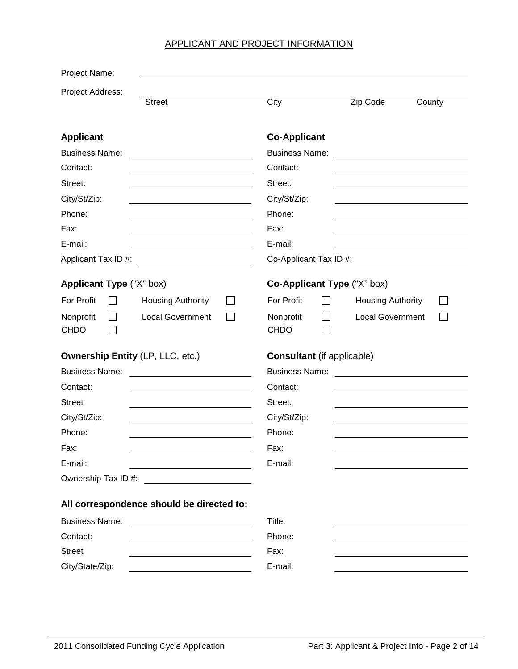# APPLICANT AND PROJECT INFORMATION

| Project Name:            |                                                                                                                      |                                   |                                    |        |  |
|--------------------------|----------------------------------------------------------------------------------------------------------------------|-----------------------------------|------------------------------------|--------|--|
| Project Address:         |                                                                                                                      |                                   |                                    |        |  |
|                          | <b>Street</b>                                                                                                        | City                              | Zip Code                           | County |  |
| <b>Applicant</b>         |                                                                                                                      | <b>Co-Applicant</b>               |                                    |        |  |
| <b>Business Name:</b>    |                                                                                                                      | <b>Business Name:</b>             |                                    |        |  |
| Contact:                 |                                                                                                                      | Contact:                          |                                    |        |  |
| Street:                  |                                                                                                                      | Street:                           |                                    |        |  |
| City/St/Zip:             |                                                                                                                      | City/St/Zip:                      |                                    |        |  |
| Phone:                   |                                                                                                                      | Phone:                            |                                    |        |  |
| Fax:                     |                                                                                                                      | Fax:                              |                                    |        |  |
| E-mail:                  |                                                                                                                      | E-mail:                           |                                    |        |  |
| Applicant Tax ID #:      |                                                                                                                      |                                   | Co-Applicant Tax ID #:             |        |  |
| Applicant Type ("X" box) |                                                                                                                      |                                   | <b>Co-Applicant Type ("X" box)</b> |        |  |
| For Profit               | <b>Housing Authority</b>                                                                                             | For Profit                        | <b>Housing Authority</b>           |        |  |
| Nonprofit                | <b>Local Government</b>                                                                                              | Nonprofit                         | <b>Local Government</b>            |        |  |
| <b>CHDO</b>              |                                                                                                                      | <b>CHDO</b>                       |                                    |        |  |
|                          | <b>Ownership Entity (LP, LLC, etc.)</b>                                                                              | <b>Consultant</b> (if applicable) |                                    |        |  |
| <b>Business Name:</b>    |                                                                                                                      | <b>Business Name:</b>             |                                    |        |  |
| Contact:                 |                                                                                                                      | Contact:                          |                                    |        |  |
| <b>Street</b>            |                                                                                                                      | Street:                           |                                    |        |  |
| City/St/Zip:             |                                                                                                                      | City/St/Zip:                      |                                    |        |  |
| Phone:                   |                                                                                                                      | Phone:                            |                                    |        |  |
| Fax:                     | <u> 1989 - Johann Barn, mars ann an t-Amhain Aonaich an t-Aonaich an t-Aonaich ann an t-Aonaich ann an t-Aonaich</u> | Fax:                              |                                    |        |  |
| E-mail:                  | <u> 1980 - Johann Barnett, fransk politik (</u>                                                                      | E-mail:                           |                                    |        |  |
|                          |                                                                                                                      |                                   |                                    |        |  |
|                          | All correspondence should be directed to:                                                                            |                                   |                                    |        |  |
| <b>Business Name:</b>    |                                                                                                                      | Title:                            |                                    |        |  |
| Contact:                 |                                                                                                                      | Phone:                            |                                    |        |  |
| <b>Street</b>            |                                                                                                                      | Fax:                              |                                    |        |  |
| City/State/Zip:          |                                                                                                                      | E-mail:                           |                                    |        |  |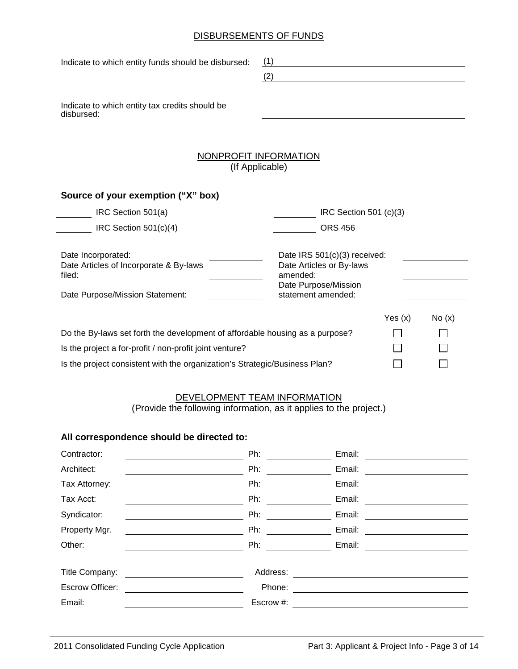#### DISBURSEMENTS OF FUNDS

| Indicate to which entity funds should be disbursed:                                                                                                                                                                           | (1)<br><u> 1989 - Johann Barn, mars eta bat erroman erroman erroman erroman erroman erroman erroman erroman erroman err</u> |                                                                                                                      |       |  |  |
|-------------------------------------------------------------------------------------------------------------------------------------------------------------------------------------------------------------------------------|-----------------------------------------------------------------------------------------------------------------------------|----------------------------------------------------------------------------------------------------------------------|-------|--|--|
|                                                                                                                                                                                                                               | (2)                                                                                                                         |                                                                                                                      |       |  |  |
| Indicate to which entity tax credits should be<br>disbursed:                                                                                                                                                                  |                                                                                                                             |                                                                                                                      |       |  |  |
|                                                                                                                                                                                                                               | <b>NONPROFIT INFORMATION</b><br>(If Applicable)                                                                             |                                                                                                                      |       |  |  |
| Source of your exemption ("X" box)                                                                                                                                                                                            |                                                                                                                             |                                                                                                                      |       |  |  |
| IRC Section 501(a)                                                                                                                                                                                                            | IRC Section 501 (c)(3)                                                                                                      |                                                                                                                      |       |  |  |
| IRC Section 501(c)(4)                                                                                                                                                                                                         | <b>ORS 456</b>                                                                                                              |                                                                                                                      |       |  |  |
| Date Incorporated:<br>Date Articles of Incorporate & By-laws<br>filed:<br>Date Purpose/Mission Statement:                                                                                                                     | Date IRS 501(c)(3) received:<br>Date Articles or By-laws<br>amended:<br>Date Purpose/Mission<br>statement amended:          |                                                                                                                      |       |  |  |
|                                                                                                                                                                                                                               |                                                                                                                             | Yes $(x)$                                                                                                            | No(x) |  |  |
| Do the By-laws set forth the development of affordable housing as a purpose?                                                                                                                                                  |                                                                                                                             |                                                                                                                      |       |  |  |
| Is the project a for-profit / non-profit joint venture?                                                                                                                                                                       |                                                                                                                             |                                                                                                                      |       |  |  |
| Is the project consistent with the organization's Strategic/Business Plan?                                                                                                                                                    |                                                                                                                             |                                                                                                                      |       |  |  |
| (Provide the following information, as it applies to the project.)                                                                                                                                                            | DEVELOPMENT TEAM INFORMATION                                                                                                |                                                                                                                      |       |  |  |
| All correspondence should be directed to:                                                                                                                                                                                     |                                                                                                                             |                                                                                                                      |       |  |  |
| Contractor:                                                                                                                                                                                                                   | Ph: $\qquad \qquad$                                                                                                         |                                                                                                                      |       |  |  |
| Architect:<br>Tax Attorney:                                                                                                                                                                                                   | Ph: $\qquad \qquad$<br>Ph:<br>Email:                                                                                        |                                                                                                                      |       |  |  |
| Tax Acct:                                                                                                                                                                                                                     | Ph:<br>Email:                                                                                                               | <u> 1980 - Jan Stein Stein Stein Stein Stein Stein Stein Stein Stein Stein Stein Stein Stein Stein Stein Stein S</u> |       |  |  |
| Syndicator:                                                                                                                                                                                                                   | Ph:<br>Email:                                                                                                               | <u> 1980 - Jan Stein Harry Harry Harry Harry Harry Harry Harry Harry Harry Harry Harry Harry Harry Harry Harry</u>   |       |  |  |
| Property Mgr.                                                                                                                                                                                                                 | Ph:<br>Email:                                                                                                               | <u> 1980 - Jan James Barbara, politik eta politik eta politik eta politik eta politik eta politik eta politik e</u>  |       |  |  |
| Other:                                                                                                                                                                                                                        | Ph:<br>Email:                                                                                                               | <u> 1999 - Johann Barbara, martxa alemaniar populari (</u>                                                           |       |  |  |
| Title Company:<br><u> 1980 - Johann Barn, mars ann an t-Amhain Aonaich an t-Aonaich an t-Aonaich ann an t-Aonaich ann an t-Aonaich</u><br>Escrow Officer:<br><u> 1989 - Johann Stein, mars an t-Amerikaansk kommunister (</u> | Phone:                                                                                                                      |                                                                                                                      |       |  |  |
| Email:                                                                                                                                                                                                                        | Escrow #:                                                                                                                   |                                                                                                                      |       |  |  |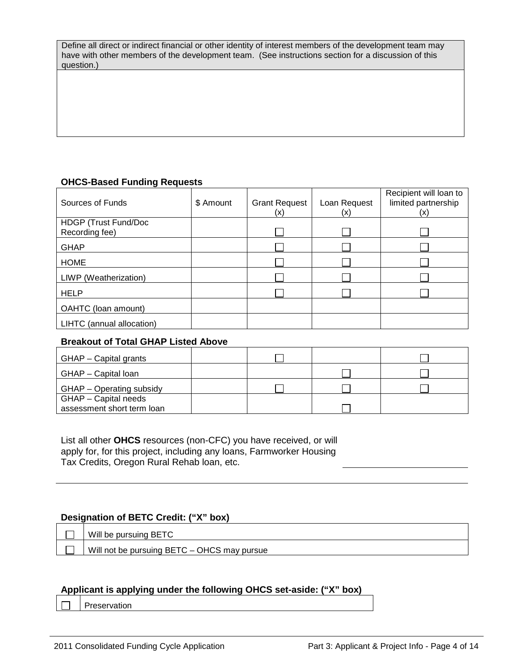Define all direct or indirect financial or other identity of interest members of the development team may have with other members of the development team. (See instructions section for a discussion of this question.)

## **OHCS-Based Funding Requests**

| Sources of Funds                       | \$ Amount | <b>Grant Request</b><br>(x) | Loan Request<br>(x) | Recipient will loan to<br>limited partnership<br>(x) |
|----------------------------------------|-----------|-----------------------------|---------------------|------------------------------------------------------|
| HDGP (Trust Fund/Doc<br>Recording fee) |           |                             |                     |                                                      |
| <b>GHAP</b>                            |           |                             |                     |                                                      |
| <b>HOME</b>                            |           |                             |                     |                                                      |
| LIWP (Weatherization)                  |           |                             |                     |                                                      |
| <b>HELP</b>                            |           |                             |                     |                                                      |
| OAHTC (loan amount)                    |           |                             |                     |                                                      |
| LIHTC (annual allocation)              |           |                             |                     |                                                      |

#### **Breakout of Total GHAP Listed Above**

| GHAP – Capital grants      |  |  |
|----------------------------|--|--|
| GHAP – Capital loan        |  |  |
| GHAP - Operating subsidy   |  |  |
| GHAP - Capital needs       |  |  |
| assessment short term loan |  |  |

List all other **OHCS** resources (non-CFC) you have received, or will apply for, for this project, including any loans, Farmworker Housing Tax Credits, Oregon Rural Rehab loan, etc.

## **Designation of BETC Credit: ("X" box)**

| Will be pursuing BETC                       |
|---------------------------------------------|
| Will not be pursuing BETC - OHCS may pursue |

## **Applicant is applying under the following OHCS set-aside: ("X" box)**

Preservation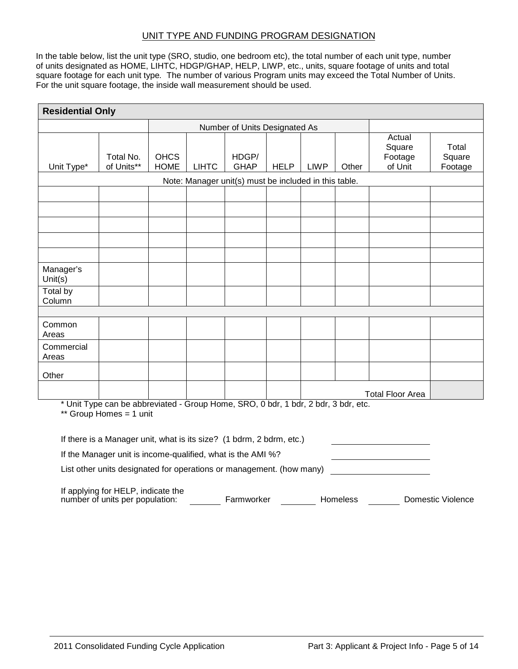#### UNIT TYPE AND FUNDING PROGRAM DESIGNATION

In the table below, list the unit type (SRO, studio, one bedroom etc), the total number of each unit type, number of units designated as HOME, LIHTC, HDGP/GHAP, HELP, LIWP, etc., units, square footage of units and total square footage for each unit type*.* The number of various Program units may exceed the Total Number of Units. For the unit square footage, the inside wall measurement should be used.

| <b>Residential Only</b>                                                                                       |                         |                               |              |                                                       |             |             |       |                                        |                            |
|---------------------------------------------------------------------------------------------------------------|-------------------------|-------------------------------|--------------|-------------------------------------------------------|-------------|-------------|-------|----------------------------------------|----------------------------|
|                                                                                                               |                         | Number of Units Designated As |              |                                                       |             |             |       |                                        |                            |
| Unit Type*                                                                                                    | Total No.<br>of Units** | <b>OHCS</b><br><b>HOME</b>    | <b>LIHTC</b> | HDGP/<br><b>GHAP</b>                                  | <b>HELP</b> | <b>LIWP</b> | Other | Actual<br>Square<br>Footage<br>of Unit | Total<br>Square<br>Footage |
|                                                                                                               |                         |                               |              | Note: Manager unit(s) must be included in this table. |             |             |       |                                        |                            |
|                                                                                                               |                         |                               |              |                                                       |             |             |       |                                        |                            |
|                                                                                                               |                         |                               |              |                                                       |             |             |       |                                        |                            |
|                                                                                                               |                         |                               |              |                                                       |             |             |       |                                        |                            |
|                                                                                                               |                         |                               |              |                                                       |             |             |       |                                        |                            |
|                                                                                                               |                         |                               |              |                                                       |             |             |       |                                        |                            |
| Manager's<br>Unit $(s)$                                                                                       |                         |                               |              |                                                       |             |             |       |                                        |                            |
| Total by<br>Column                                                                                            |                         |                               |              |                                                       |             |             |       |                                        |                            |
|                                                                                                               |                         |                               |              |                                                       |             |             |       |                                        |                            |
| Common<br>Areas                                                                                               |                         |                               |              |                                                       |             |             |       |                                        |                            |
| Commercial<br>Areas                                                                                           |                         |                               |              |                                                       |             |             |       |                                        |                            |
| Other                                                                                                         |                         |                               |              |                                                       |             |             |       |                                        |                            |
| <b>Total Floor Area</b>                                                                                       |                         |                               |              |                                                       |             |             |       |                                        |                            |
| * Unit Type can be abbreviated - Group Home, SRO, 0 bdr, 1 bdr, 2 bdr, 3 bdr, etc.<br>** Group Homes = 1 unit |                         |                               |              |                                                       |             |             |       |                                        |                            |

If there is a Manager unit, what is its size? (1 bdrm, 2 bdrm, etc.) If the Manager unit is income-qualified, what is the AMI %? List other units designated for operations or management. (how many)

If applying for HELP, indicate the number of units per population: \_\_\_\_\_\_\_\_\_\_ Farmworker \_\_\_\_\_\_\_\_\_ Homeless Domestic Violence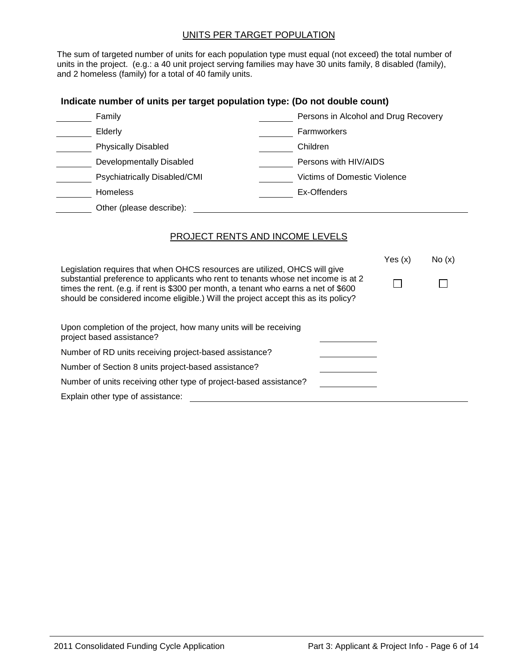### UNITS PER TARGET POPULATION

The sum of targeted number of units for each population type must equal (not exceed) the total number of units in the project. (e.g.: a 40 unit project serving families may have 30 units family, 8 disabled (family), and 2 homeless (family) for a total of 40 family units.

#### **Indicate number of units per target population type: (Do not double count)**

| Family                              | Persons in Alcohol and Drug Recovery |
|-------------------------------------|--------------------------------------|
| Elderly                             | <b>Farmworkers</b>                   |
| <b>Physically Disabled</b>          | Children                             |
| Developmentally Disabled            | Persons with HIV/AIDS                |
| <b>Psychiatrically Disabled/CMI</b> | Victims of Domestic Violence         |
| <b>Homeless</b>                     | Ex-Offenders                         |
| Other (please describe):            |                                      |

#### PROJECT RENTS AND INCOME LEVELS

|                                                                                                                                                                                                                                                                                                                                              | Yes(x) | No(x) |
|----------------------------------------------------------------------------------------------------------------------------------------------------------------------------------------------------------------------------------------------------------------------------------------------------------------------------------------------|--------|-------|
| Legislation requires that when OHCS resources are utilized, OHCS will give<br>substantial preference to applicants who rent to tenants whose net income is at 2<br>times the rent. (e.g. if rent is \$300 per month, a tenant who earns a net of \$600<br>should be considered income eligible.) Will the project accept this as its policy? |        |       |
| Upon completion of the project, how many units will be receiving<br>project based assistance?                                                                                                                                                                                                                                                |        |       |
| Number of RD units receiving project-based assistance?                                                                                                                                                                                                                                                                                       |        |       |
| Number of Section 8 units project-based assistance?                                                                                                                                                                                                                                                                                          |        |       |
| Number of units receiving other type of project-based assistance?                                                                                                                                                                                                                                                                            |        |       |
| Explain other type of assistance:                                                                                                                                                                                                                                                                                                            |        |       |

—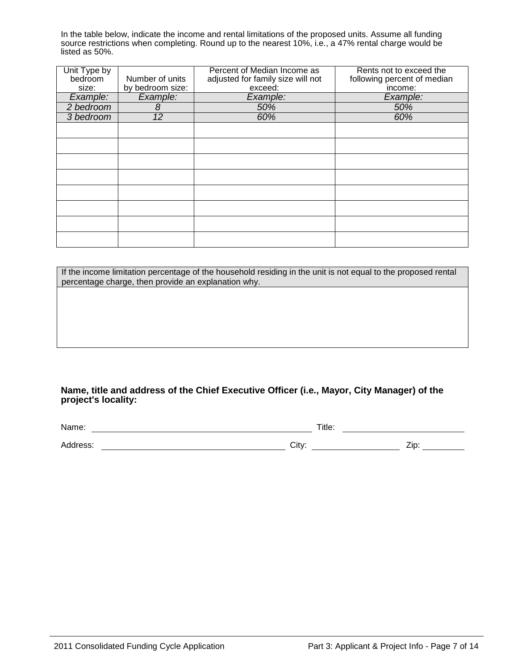In the table below, indicate the income and rental limitations of the proposed units. Assume all funding source restrictions when completing. Round up to the nearest 10%, i.e., a 47% rental charge would be listed as 50%.

| Unit Type by<br>bedroom<br>size: | Number of units<br>by bedroom size: | Percent of Median Income as<br>adjusted for family size will not<br>exceed: | Rents not to exceed the<br>following percent of median<br>income: |
|----------------------------------|-------------------------------------|-----------------------------------------------------------------------------|-------------------------------------------------------------------|
| Example:                         | Example:                            | Example:                                                                    | Example:                                                          |
| 2 bedroom                        | 8                                   | 50%                                                                         | 50%                                                               |
| 3 bedroom                        | 12                                  | 60%                                                                         | 60%                                                               |
|                                  |                                     |                                                                             |                                                                   |
|                                  |                                     |                                                                             |                                                                   |
|                                  |                                     |                                                                             |                                                                   |
|                                  |                                     |                                                                             |                                                                   |
|                                  |                                     |                                                                             |                                                                   |
|                                  |                                     |                                                                             |                                                                   |
|                                  |                                     |                                                                             |                                                                   |
|                                  |                                     |                                                                             |                                                                   |

| If the income limitation percentage of the household residing in the unit is not equal to the proposed rental<br>percentage charge, then provide an explanation why. |
|----------------------------------------------------------------------------------------------------------------------------------------------------------------------|
|                                                                                                                                                                      |
|                                                                                                                                                                      |
|                                                                                                                                                                      |

### **Name, title and address of the Chief Executive Officer (i.e., Mayor, City Manager) of the project's locality:**

Name: Title:

Address: City: Zip: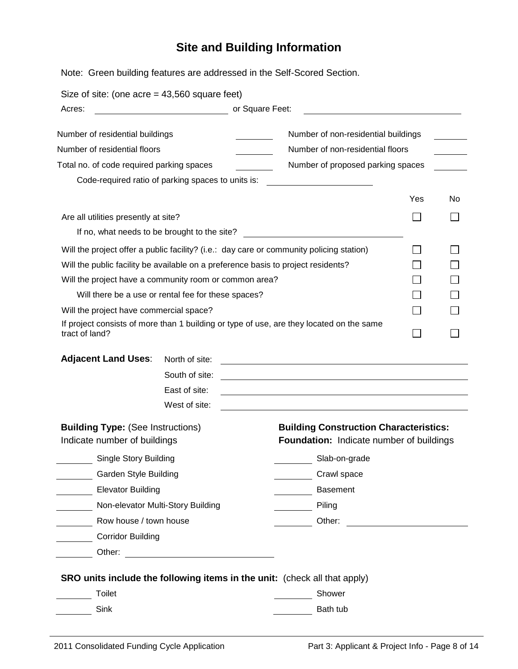# **Site and Building Information**

Note: Green building features are addressed in the Self-Scored Section.

| Size of site: (one acre = $43,560$ square feet)                                                                                     |                                                    |                                                                                                              |     |    |
|-------------------------------------------------------------------------------------------------------------------------------------|----------------------------------------------------|--------------------------------------------------------------------------------------------------------------|-----|----|
| Acres:                                                                                                                              |                                                    | or Square Feet:                                                                                              |     |    |
| Number of residential buildings<br>Number of residential floors<br>Total no. of code required parking spaces                        |                                                    | Number of non-residential buildings<br>Number of non-residential floors<br>Number of proposed parking spaces |     |    |
|                                                                                                                                     | Code-required ratio of parking spaces to units is: |                                                                                                              |     |    |
|                                                                                                                                     |                                                    |                                                                                                              | Yes | No |
| Are all utilities presently at site?                                                                                                |                                                    |                                                                                                              |     |    |
|                                                                                                                                     | If no, what needs to be brought to the site?       |                                                                                                              |     |    |
|                                                                                                                                     |                                                    | Will the project offer a public facility? (i.e.: day care or community policing station)                     |     |    |
|                                                                                                                                     |                                                    | Will the public facility be available on a preference basis to project residents?                            |     |    |
| Will the project have a community room or common area?                                                                              |                                                    |                                                                                                              |     |    |
| Will there be a use or rental fee for these spaces?                                                                                 |                                                    |                                                                                                              |     |    |
| Will the project have commercial space?<br>If project consists of more than 1 building or type of use, are they located on the same |                                                    |                                                                                                              |     |    |
| tract of land?                                                                                                                      |                                                    |                                                                                                              |     |    |
| <b>Adjacent Land Uses:</b>                                                                                                          | North of site:                                     |                                                                                                              |     |    |
|                                                                                                                                     | South of site:                                     |                                                                                                              |     |    |
|                                                                                                                                     | East of site:                                      |                                                                                                              |     |    |
|                                                                                                                                     | West of site:                                      |                                                                                                              |     |    |
| <b>Building Type: (See Instructions)</b><br>Indicate number of buildings                                                            |                                                    | <b>Building Construction Characteristics:</b><br>Foundation: Indicate number of buildings                    |     |    |
| <b>Single Story Building</b>                                                                                                        |                                                    | Slab-on-grade                                                                                                |     |    |
| Garden Style Building                                                                                                               |                                                    | Crawl space                                                                                                  |     |    |
| <b>Elevator Building</b>                                                                                                            |                                                    | <b>Basement</b>                                                                                              |     |    |
|                                                                                                                                     | Non-elevator Multi-Story Building                  | Piling                                                                                                       |     |    |
| Row house / town house                                                                                                              | Other:                                             |                                                                                                              |     |    |
| <b>Corridor Building</b>                                                                                                            |                                                    |                                                                                                              |     |    |
|                                                                                                                                     |                                                    |                                                                                                              |     |    |
|                                                                                                                                     |                                                    | <b>SRO units include the following items in the unit:</b> (check all that apply)                             |     |    |
| Toilet                                                                                                                              |                                                    | Shower                                                                                                       |     |    |
| Sink                                                                                                                                |                                                    | Bath tub                                                                                                     |     |    |
|                                                                                                                                     |                                                    |                                                                                                              |     |    |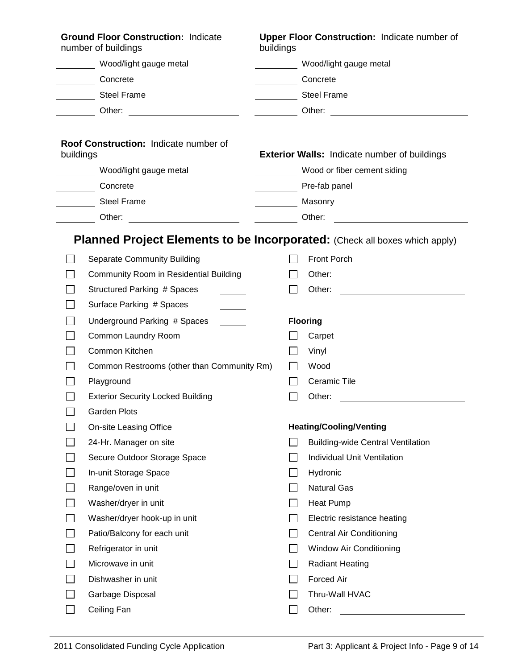|           | <b>Ground Floor Construction: Indicate</b><br>number of buildings                 | buildings                | Upper Floor Construction: Indicate number of                                                                                                                                                                                        |
|-----------|-----------------------------------------------------------------------------------|--------------------------|-------------------------------------------------------------------------------------------------------------------------------------------------------------------------------------------------------------------------------------|
|           | Wood/light gauge metal                                                            |                          | Wood/light gauge metal                                                                                                                                                                                                              |
|           | Concrete                                                                          |                          | Concrete                                                                                                                                                                                                                            |
|           | <b>Steel Frame</b>                                                                |                          | <b>Steel Frame</b>                                                                                                                                                                                                                  |
|           |                                                                                   | $\overline{\phantom{a}}$ | Other: <u>University</u> Character and Character and Character and Character and Character and Character and Character and Character and Character and Character and Character and Character and Character and Character and Charac |
| buildings | Roof Construction: Indicate number of                                             |                          | <b>Exterior Walls: Indicate number of buildings</b>                                                                                                                                                                                 |
|           | Wood/light gauge metal                                                            |                          | Wood or fiber cement siding                                                                                                                                                                                                         |
|           | Concrete                                                                          |                          | Pre-fab panel                                                                                                                                                                                                                       |
|           | <b>Steel Frame</b>                                                                |                          | Masonry                                                                                                                                                                                                                             |
|           |                                                                                   |                          |                                                                                                                                                                                                                                     |
|           |                                                                                   |                          |                                                                                                                                                                                                                                     |
|           | <b>Planned Project Elements to be Incorporated:</b> (Check all boxes which apply) |                          |                                                                                                                                                                                                                                     |
|           | Separate Community Building                                                       |                          | Front Porch                                                                                                                                                                                                                         |
|           | Community Room in Residential Building                                            |                          | Other:<br><u>and the state of the state of the state of the state</u>                                                                                                                                                               |
|           | Structured Parking # Spaces                                                       |                          | Other:<br><u> 1989 - Andrea Station Books, amerikansk politik (</u>                                                                                                                                                                 |
|           | Surface Parking # Spaces                                                          |                          |                                                                                                                                                                                                                                     |
|           | Underground Parking # Spaces                                                      |                          | <b>Flooring</b>                                                                                                                                                                                                                     |
|           | Common Laundry Room                                                               |                          | Carpet                                                                                                                                                                                                                              |
|           | Common Kitchen                                                                    |                          | Vinyl                                                                                                                                                                                                                               |
|           | Common Restrooms (other than Community Rm)                                        |                          | Wood                                                                                                                                                                                                                                |
|           | Playground                                                                        |                          | Ceramic Tile                                                                                                                                                                                                                        |
|           | <b>Exterior Security Locked Building</b>                                          |                          | Other:<br><u> 1989 - Johann Barbara, martxa alemaniar a</u>                                                                                                                                                                         |
|           | Garden Plots                                                                      |                          |                                                                                                                                                                                                                                     |
|           | On-site Leasing Office                                                            |                          | <b>Heating/Cooling/Venting</b>                                                                                                                                                                                                      |
|           | 24-Hr. Manager on site                                                            |                          | <b>Building-wide Central Ventilation</b>                                                                                                                                                                                            |
|           | Secure Outdoor Storage Space                                                      |                          | Individual Unit Ventilation                                                                                                                                                                                                         |
|           | In-unit Storage Space                                                             |                          | Hydronic                                                                                                                                                                                                                            |
|           | Range/oven in unit                                                                |                          | <b>Natural Gas</b>                                                                                                                                                                                                                  |
|           | Washer/dryer in unit                                                              |                          | Heat Pump                                                                                                                                                                                                                           |
|           | Washer/dryer hook-up in unit                                                      |                          | Electric resistance heating                                                                                                                                                                                                         |
|           | Patio/Balcony for each unit                                                       |                          | <b>Central Air Conditioning</b>                                                                                                                                                                                                     |
|           | Refrigerator in unit                                                              | $\mathsf{L}$             | <b>Window Air Conditioning</b>                                                                                                                                                                                                      |
|           | Microwave in unit                                                                 |                          | <b>Radiant Heating</b>                                                                                                                                                                                                              |
|           | Dishwasher in unit                                                                |                          | Forced Air                                                                                                                                                                                                                          |
|           | Garbage Disposal                                                                  |                          | Thru-Wall HVAC                                                                                                                                                                                                                      |
|           | Ceiling Fan                                                                       |                          | Other:                                                                                                                                                                                                                              |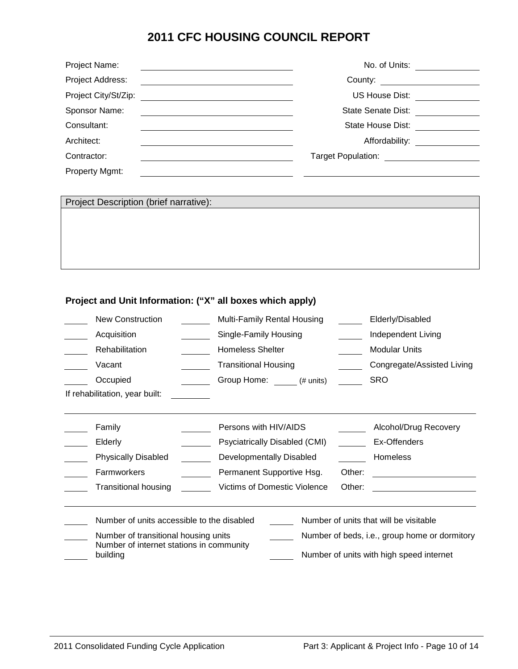## **2011 CFC HOUSING COUNCIL REPORT**

| Project Name:    | No. of Units:                   |  |
|------------------|---------------------------------|--|
| Project Address: | County: <u>________________</u> |  |
|                  | US House Dist:                  |  |
| Sponsor Name:    | State Senate Dist:              |  |
| Consultant:      | State House Dist:               |  |
| Architect:       | Affordability:                  |  |
| Contractor:      | <b>Target Population:</b>       |  |
| Property Mgmt:   |                                 |  |

#### Project Description (brief narrative):

#### **Project and Unit Information: ("X" all boxes which apply)**

| <b>New Construction</b>                              | Multi-Family Rental Housing         |  |        | Elderly/Disabled                              |
|------------------------------------------------------|-------------------------------------|--|--------|-----------------------------------------------|
| Acquisition                                          | Single-Family Housing               |  |        | Independent Living                            |
| Rehabilitation                                       | <b>Homeless Shelter</b>             |  |        | <b>Modular Units</b>                          |
| Vacant                                               | <b>Transitional Housing</b>         |  |        | Congregate/Assisted Living                    |
| Occupied                                             | Group Home: (# units)               |  |        | <b>SRO</b>                                    |
| If rehabilitation, year built:                       |                                     |  |        |                                               |
|                                                      |                                     |  |        |                                               |
| Family                                               | Persons with HIV/AIDS               |  |        | Alcohol/Drug Recovery                         |
| Elderly                                              | Psyciatrically Disabled (CMI)       |  |        | Ex-Offenders                                  |
| <b>Physically Disabled</b>                           | Developmentally Disabled            |  |        | Homeless                                      |
| Farmworkers                                          | Permanent Supportive Hsg.           |  | Other: |                                               |
| <b>Transitional housing</b>                          | <b>Victims of Domestic Violence</b> |  | Other: |                                               |
|                                                      |                                     |  |        |                                               |
| Number of units accessible to the disabled           |                                     |  |        | Number of units that will be visitable        |
| Number of transitional housing units                 |                                     |  |        | Number of beds, i.e., group home or dormitory |
| Number of internet stations in community<br>building |                                     |  |        | Number of units with high speed internet      |
|                                                      |                                     |  |        |                                               |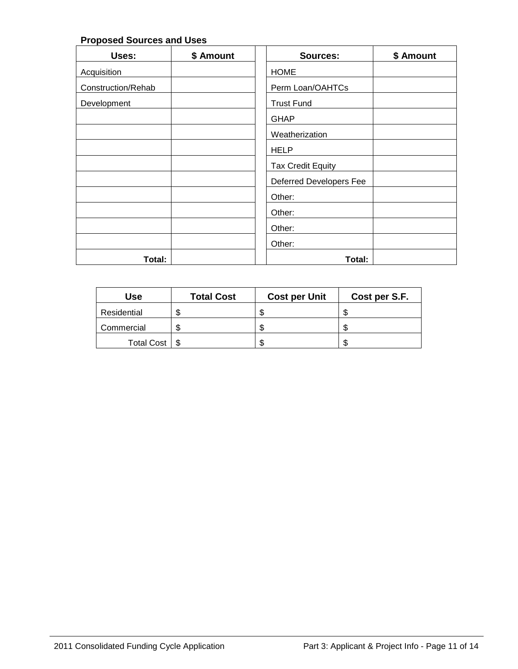### **Proposed Sources and Uses**

| Uses:              | \$ Amount | <b>Sources:</b>          | \$ Amount |
|--------------------|-----------|--------------------------|-----------|
| Acquisition        |           | <b>HOME</b>              |           |
| Construction/Rehab |           | Perm Loan/OAHTCs         |           |
| Development        |           | <b>Trust Fund</b>        |           |
|                    |           | <b>GHAP</b>              |           |
|                    |           | Weatherization           |           |
|                    |           | <b>HELP</b>              |           |
|                    |           | <b>Tax Credit Equity</b> |           |
|                    |           | Deferred Developers Fee  |           |
|                    |           | Other:                   |           |
|                    |           | Other:                   |           |
|                    |           | Other:                   |           |
|                    |           | Other:                   |           |
| Total:             |           | Total:                   |           |

| Use               | <b>Total Cost</b> | <b>Cost per Unit</b> | Cost per S.F. |
|-------------------|-------------------|----------------------|---------------|
| Residential       |                   |                      |               |
| Commercial        |                   |                      |               |
| <b>Total Cost</b> |                   |                      |               |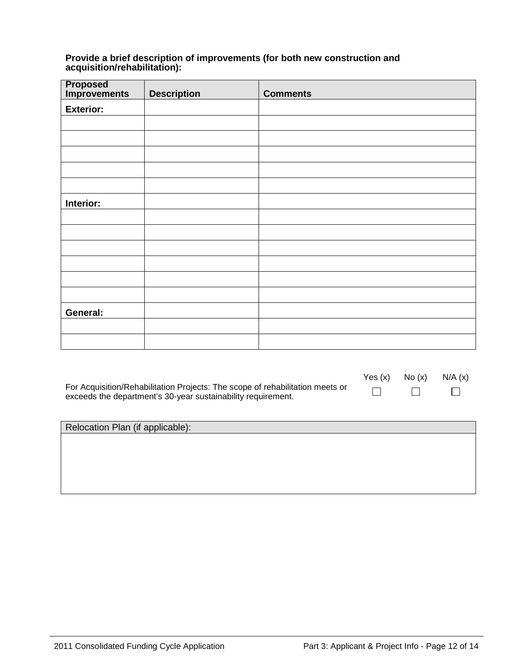#### **Provide a brief description of improvements (for both new construction and acquisition/rehabilitation):**

| <b>Proposed</b><br>Improvements | <b>Description</b> | <b>Comments</b> |
|---------------------------------|--------------------|-----------------|
|                                 |                    |                 |
| <b>Exterior:</b>                |                    |                 |
|                                 |                    |                 |
|                                 |                    |                 |
|                                 |                    |                 |
|                                 |                    |                 |
|                                 |                    |                 |
| Interior:                       |                    |                 |
|                                 |                    |                 |
|                                 |                    |                 |
|                                 |                    |                 |
|                                 |                    |                 |
|                                 |                    |                 |
|                                 |                    |                 |
| General:                        |                    |                 |
|                                 |                    |                 |
|                                 |                    |                 |

|                                                                                                                                               | Yes $(x)$ No $(x)$ N/A $(x)$ |  |
|-----------------------------------------------------------------------------------------------------------------------------------------------|------------------------------|--|
| For Acquisition/Rehabilitation Projects: The scope of rehabilitation meets or<br>exceeds the department's 30-year sustainability requirement. |                              |  |

| Relocation Plan (if applicable): |  |
|----------------------------------|--|
|                                  |  |
|                                  |  |
|                                  |  |
|                                  |  |
|                                  |  |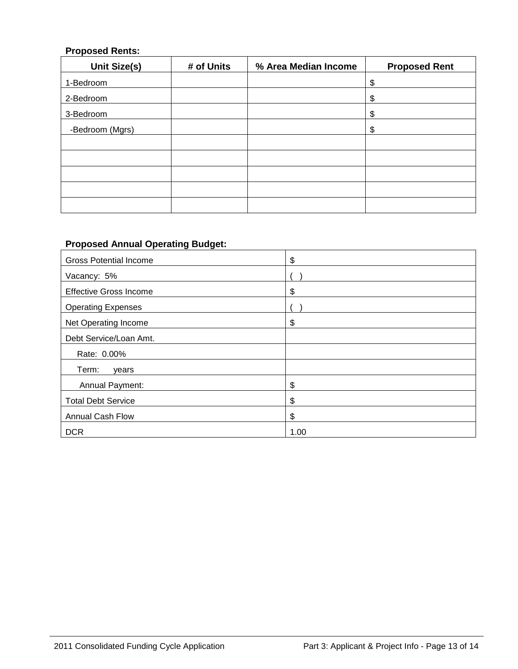### **Proposed Rents:**

| <b>Unit Size(s)</b> | # of Units | % Area Median Income | <b>Proposed Rent</b> |
|---------------------|------------|----------------------|----------------------|
| 1-Bedroom           |            |                      | \$                   |
| 2-Bedroom           |            |                      | \$                   |
| 3-Bedroom           |            |                      | \$                   |
| -Bedroom (Mgrs)     |            |                      | \$                   |
|                     |            |                      |                      |
|                     |            |                      |                      |
|                     |            |                      |                      |
|                     |            |                      |                      |
|                     |            |                      |                      |

| <b>Proposed Annual Operating Budget:</b> |      |
|------------------------------------------|------|
| <b>Gross Potential Income</b>            | \$   |
| Vacancy: 5%                              |      |
| <b>Effective Gross Income</b>            | \$   |
| <b>Operating Expenses</b>                |      |
| Net Operating Income                     | \$   |
| Debt Service/Loan Amt.                   |      |
| Rate: 0.00%                              |      |
| Term:<br>years                           |      |
| Annual Payment:                          | \$   |
| <b>Total Debt Service</b>                | \$   |
| <b>Annual Cash Flow</b>                  | \$   |
| <b>DCR</b>                               | 1.00 |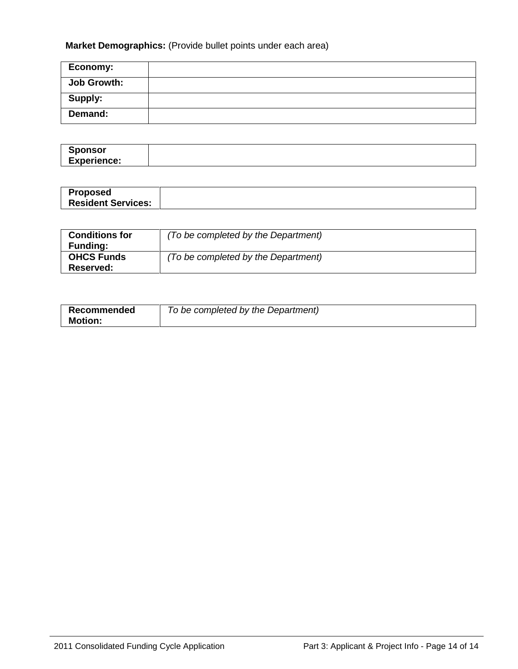#### **Market Demographics:** (Provide bullet points under each area)

| Economy:           |  |
|--------------------|--|
| <b>Job Growth:</b> |  |
| Supply:            |  |
| Demand:            |  |

| <b>C.</b><br>onsor |  |
|--------------------|--|
| <b>Experience:</b> |  |

| <b>Proposed</b>           |  |
|---------------------------|--|
| <b>Resident Services:</b> |  |

| <b>Conditions for</b><br><b>Funding:</b> | (To be completed by the Department) |
|------------------------------------------|-------------------------------------|
| <b>OHCS Funds</b><br><b>Reserved:</b>    | (To be completed by the Department) |

| Recommended    | To be completed by the Department) |
|----------------|------------------------------------|
| <b>Motion:</b> |                                    |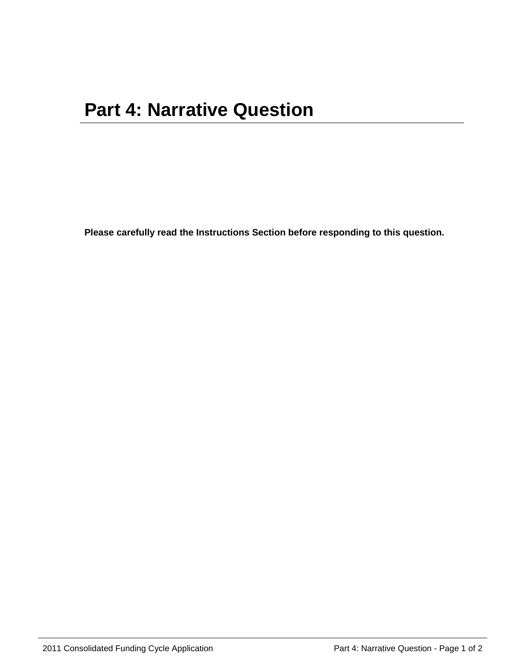**Please carefully read the Instructions Section before responding to this question.**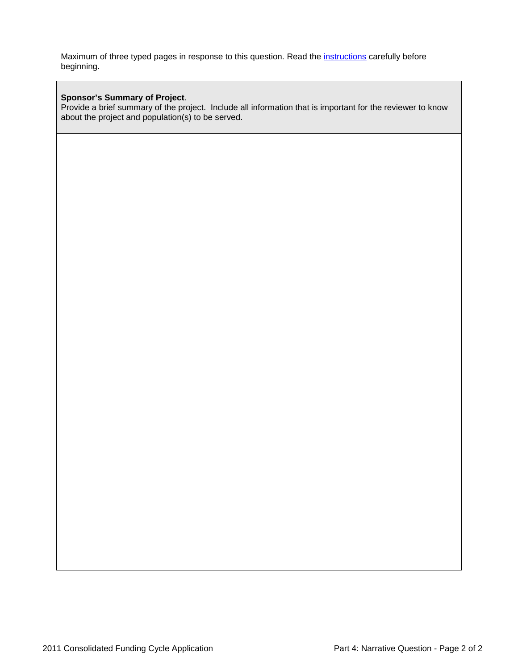Maximum of three typed pages in response to this question. Read the *instructions* carefully before beginning.

#### **Sponsor's Summary of Project**.

Provide a brief summary of the project. Include all information that is important for the reviewer to know about the project and population(s) to be served.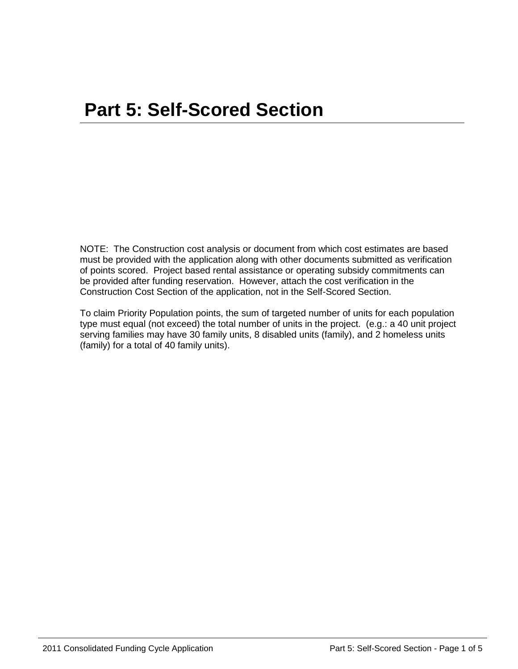NOTE: The Construction cost analysis or document from which cost estimates are based must be provided with the application along with other documents submitted as verification of points scored. Project based rental assistance or operating subsidy commitments can be provided after funding reservation. However, attach the cost verification in the Construction Cost Section of the application, not in the Self-Scored Section.

To claim Priority Population points, the sum of targeted number of units for each population type must equal (not exceed) the total number of units in the project. (e.g.: a 40 unit project serving families may have 30 family units, 8 disabled units (family), and 2 homeless units (family) for a total of 40 family units).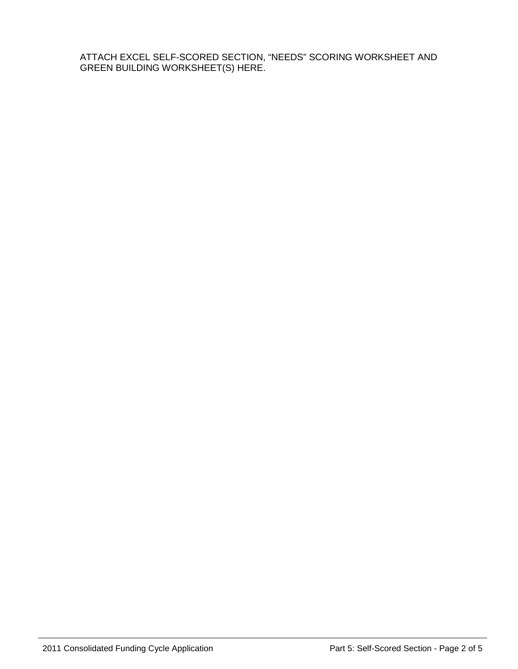ATTACH EXCEL SELF-SCORED SECTION, "NEEDS" SCORING WORKSHEET AND GREEN BUILDING WORKSHEET(S) HERE.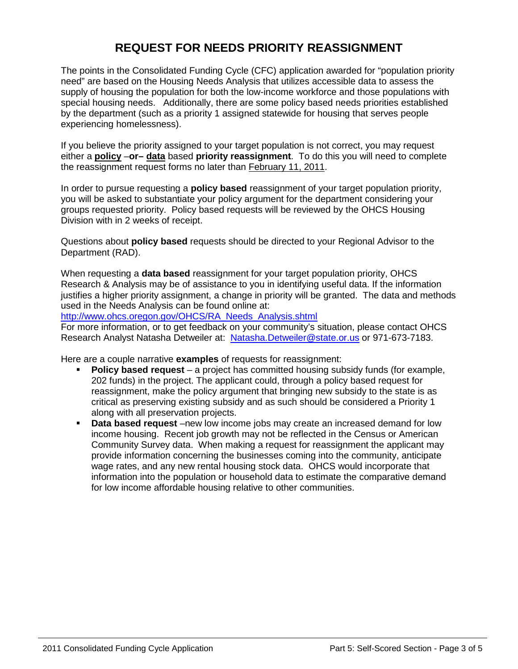## **REQUEST FOR NEEDS PRIORITY REASSIGNMENT**

The points in the Consolidated Funding Cycle (CFC) application awarded for "population priority need" are based on the Housing Needs Analysis that utilizes accessible data to assess the supply of housing the population for both the low-income workforce and those populations with special housing needs. Additionally, there are some policy based needs priorities established by the department (such as a priority 1 assigned statewide for housing that serves people experiencing homelessness).

If you believe the priority assigned to your target population is not correct, you may request either a **policy** –**or– data** based **priority reassignment**. To do this you will need to complete the reassignment request forms no later than February 11, 2011.

In order to pursue requesting a **policy based** reassignment of your target population priority, you will be asked to substantiate your policy argument for the department considering your groups requested priority. Policy based requests will be reviewed by the OHCS Housing Division with in 2 weeks of receipt.

Questions about **policy based** requests should be directed to your Regional Advisor to the Department (RAD).

When requesting a **data based** reassignment for your target population priority, OHCS Research & Analysis may be of assistance to you in identifying useful data. If the information justifies a higher priority assignment, a change in priority will be granted. The data and methods used in the Needs Analysis can be found online at:

[http://www.ohcs.oregon.gov/OHCS/RA\\_Needs\\_Analysis.shtml](http://www.ohcs.oregon.gov/OHCS/RA_Needs_Analysis.shtml)

For more information, or to get feedback on your community's situation, please contact OHCS Research Analyst Natasha Detweiler at: [Natasha.Detweiler@state.or.us](mailto:Natasha.Detweiler@state.or.us) or 971-673-7183.

Here are a couple narrative **examples** of requests for reassignment:

- **Policy based request** a project has committed housing subsidy funds (for example, 202 funds) in the project. The applicant could, through a policy based request for reassignment, make the policy argument that bringing new subsidy to the state is as critical as preserving existing subsidy and as such should be considered a Priority 1 along with all preservation projects.
- **Data based request** –new low income jobs may create an increased demand for low income housing. Recent job growth may not be reflected in the Census or American Community Survey data. When making a request for reassignment the applicant may provide information concerning the businesses coming into the community, anticipate wage rates, and any new rental housing stock data. OHCS would incorporate that information into the population or household data to estimate the comparative demand for low income affordable housing relative to other communities.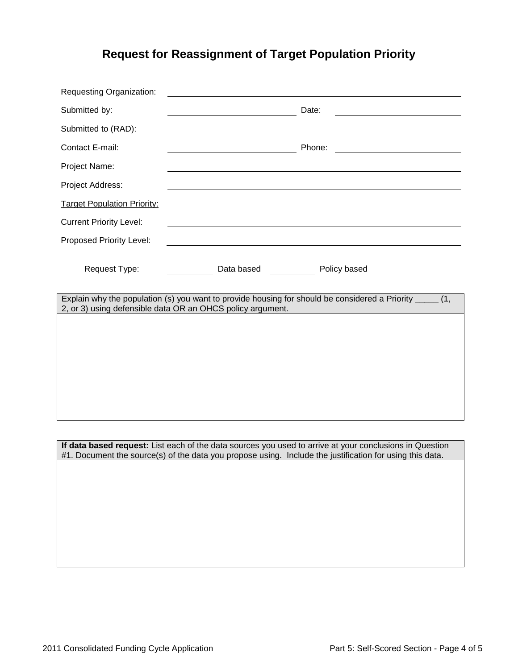## **Request for Reassignment of Target Population Priority**

| Requesting Organization:           |                                                                                                                                                                                                                     |
|------------------------------------|---------------------------------------------------------------------------------------------------------------------------------------------------------------------------------------------------------------------|
| Submitted by:                      | Date:                                                                                                                                                                                                               |
| Submitted to (RAD):                |                                                                                                                                                                                                                     |
| Contact E-mail:                    | Phone:<br><u> 1980 - Jan Stein Stein Stein Stein Stein Stein Stein Stein Stein Stein Stein Stein Stein Stein Stein Stein S</u>                                                                                      |
| Project Name:                      |                                                                                                                                                                                                                     |
| Project Address:                   |                                                                                                                                                                                                                     |
| <b>Target Population Priority:</b> |                                                                                                                                                                                                                     |
| <b>Current Priority Level:</b>     |                                                                                                                                                                                                                     |
| Proposed Priority Level:           | <u> 1989 - John Stein, mars and de Brazilian (b. 1989)</u>                                                                                                                                                          |
| Request Type:                      | Data based<br>Policy based                                                                                                                                                                                          |
|                                    | Explain why the population (s) you want to provide housing for should be considered a Priority _____<br>(1,<br>2, or 3) using defensible data OR an OHCS policy argument.                                           |
|                                    |                                                                                                                                                                                                                     |
|                                    |                                                                                                                                                                                                                     |
|                                    | If data based request: List each of the data sources you used to arrive at your conclusions in Question<br>#1. Document the source(s) of the data you propose using. Include the justification for using this data. |
|                                    |                                                                                                                                                                                                                     |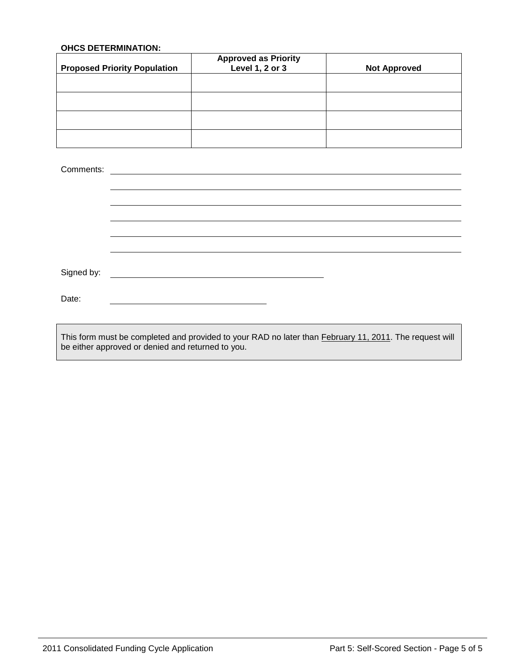#### **OHCS DETERMINATION:**

| <b>Proposed Priority Population</b> | <b>Approved as Priority<br/>Level 1, 2 or 3</b> | <b>Not Approved</b> |
|-------------------------------------|-------------------------------------------------|---------------------|
|                                     |                                                 |                     |
|                                     |                                                 |                     |
|                                     |                                                 |                     |
|                                     |                                                 |                     |

| Comments:  |                                                                                                                                                                     |
|------------|---------------------------------------------------------------------------------------------------------------------------------------------------------------------|
|            |                                                                                                                                                                     |
|            |                                                                                                                                                                     |
|            |                                                                                                                                                                     |
|            |                                                                                                                                                                     |
|            |                                                                                                                                                                     |
|            |                                                                                                                                                                     |
| Signed by: |                                                                                                                                                                     |
|            |                                                                                                                                                                     |
| Date:      |                                                                                                                                                                     |
|            |                                                                                                                                                                     |
|            | This form must be completed and provided to your RAD no later than <b>February 11, 2011</b> . The request will<br>be either approved or denied and returned to you. |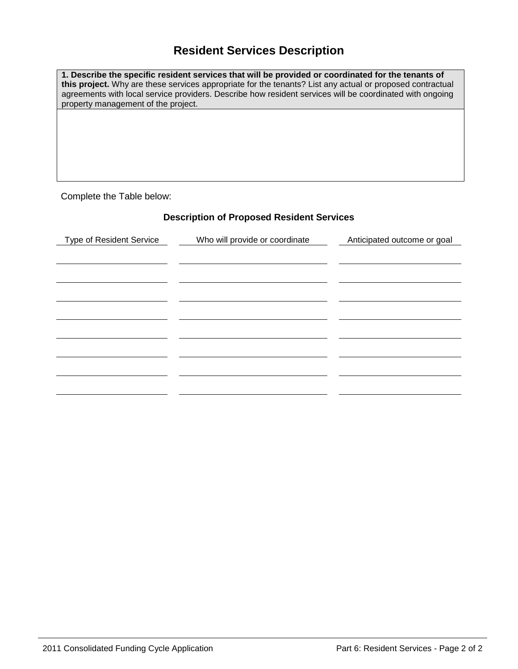## **Resident Services Description**

**1. Describe the specific resident services that will be provided or coordinated for the tenants of this project.** Why are these services appropriate for the tenants? List any actual or proposed contractual agreements with local service providers. Describe how resident services will be coordinated with ongoing property management of the project.

Complete the Table below:

#### **Description of Proposed Resident Services**

| <b>Type of Resident Service</b> | Who will provide or coordinate | Anticipated outcome or goal |
|---------------------------------|--------------------------------|-----------------------------|
|                                 |                                |                             |
|                                 |                                |                             |
|                                 |                                |                             |
|                                 |                                |                             |
|                                 |                                |                             |
|                                 |                                |                             |
|                                 |                                |                             |
|                                 |                                |                             |
|                                 |                                |                             |
|                                 |                                |                             |
|                                 |                                |                             |
|                                 |                                |                             |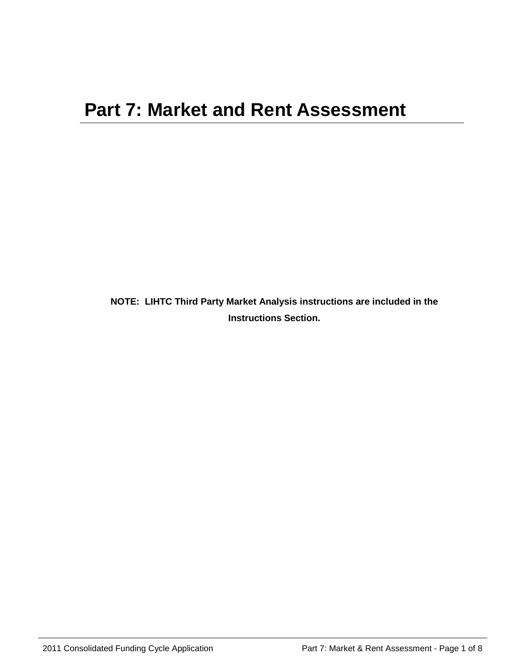**NOTE: LIHTC Third Party Market Analysis instructions are included in the Instructions Section.**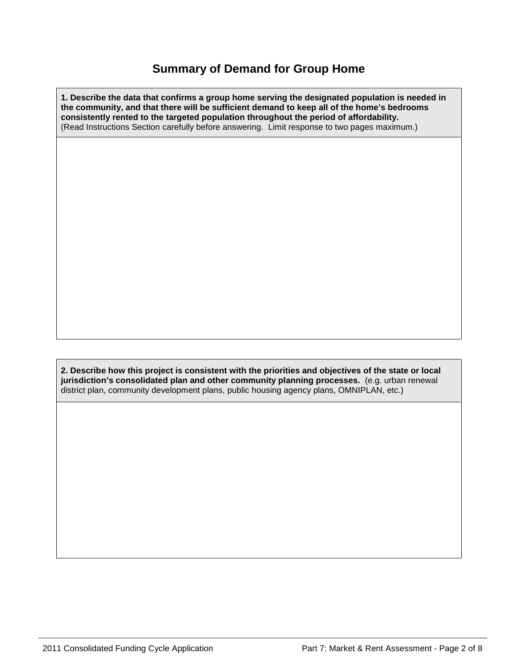## **Summary of Demand for Group Home**

**1. Describe the data that confirms a group home serving the designated population is needed in the community, and that there will be sufficient demand to keep all of the home's bedrooms consistently rented to the targeted population throughout the period of affordability.**  (Read Instructions Section carefully before answering. Limit response to two pages maximum.)

**2. Describe how this project is consistent with the priorities and objectives of the state or local jurisdiction's consolidated plan and other community planning processes.** (e.g. urban renewal district plan, community development plans, public housing agency plans, OMNIPLAN, etc.)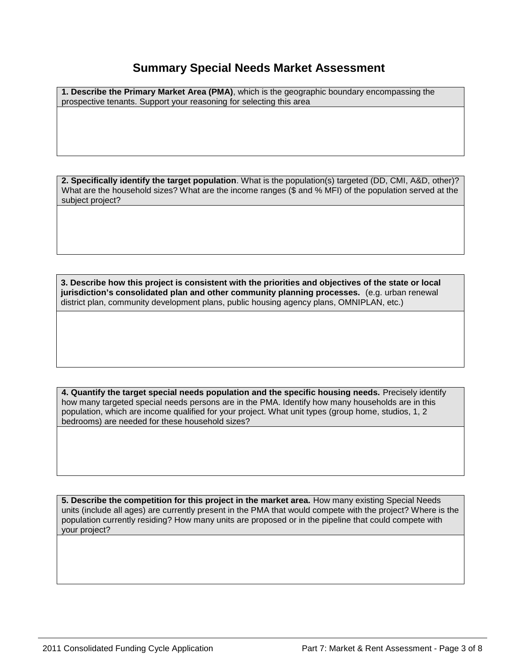## **Summary Special Needs Market Assessment**

**1. Describe the Primary Market Area (PMA)**, which is the geographic boundary encompassing the prospective tenants. Support your reasoning for selecting this area

**2. Specifically identify the target population**. What is the population(s) targeted (DD, CMI, A&D, other)? What are the household sizes? What are the income ranges (\$ and % MFI) of the population served at the subject project?

**3. Describe how this project is consistent with the priorities and objectives of the state or local jurisdiction's consolidated plan and other community planning processes.** (e.g. urban renewal district plan, community development plans, public housing agency plans, OMNIPLAN, etc.)

**4. Quantify the target special needs population and the specific housing needs.** Precisely identify how many targeted special needs persons are in the PMA. Identify how many households are in this population, which are income qualified for your project. What unit types (group home, studios, 1, 2 bedrooms) are needed for these household sizes?

**5. Describe the competition for this project in the market area.** How many existing Special Needs units (include all ages) are currently present in the PMA that would compete with the project? Where is the population currently residing? How many units are proposed or in the pipeline that could compete with your project?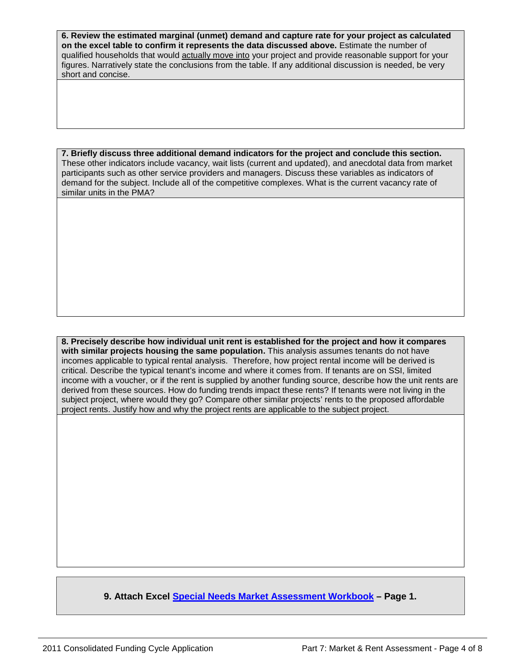**6. Review the estimated marginal (unmet) demand and capture rate for your project as calculated on the excel table to confirm it represents the data discussed above.** Estimate the number of qualified households that would actually move into your project and provide reasonable support for your figures. Narratively state the conclusions from the table. If any additional discussion is needed, be very short and concise.

**7. Briefly discuss three additional demand indicators for the project and conclude this section.** These other indicators include vacancy, wait lists (current and updated), and anecdotal data from market participants such as other service providers and managers. Discuss these variables as indicators of demand for the subject. Include all of the competitive complexes. What is the current vacancy rate of similar units in the PMA?

**8. Precisely describe how individual unit rent is established for the project and how it compares with similar projects housing the same population.** This analysis assumes tenants do not have incomes applicable to typical rental analysis. Therefore, how project rental income will be derived is critical. Describe the typical tenant's income and where it comes from. If tenants are on SSI, limited income with a voucher, or if the rent is supplied by another funding source, describe how the unit rents are derived from these sources. How do funding trends impact these rents? If tenants were not living in the subject project, where would they go? Compare other similar projects' rents to the proposed affordable project rents. Justify how and why the project rents are applicable to the subject project.

**9. Attach Excel [Special Needs Market Assessment Workbook](http://www.ohcs.oregon.gov/OHCS/HD/HRS/CFCApp/SpecialNeedsWorkbook.xls) – Page 1.**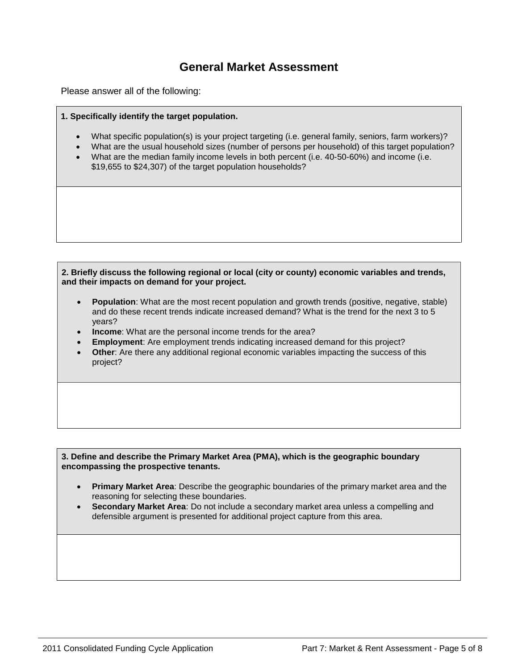## **General Market Assessment**

Please answer all of the following:

**1. Specifically identify the target population.** 

- What specific population(s) is your project targeting (i.e. general family, seniors, farm workers)?
- What are the usual household sizes (number of persons per household) of this target population?
- What are the median family income levels in both percent (i.e. 40-50-60%) and income (i.e. \$19,655 to \$24,307) of the target population households?

**2. Briefly discuss the following regional or local (city or county) economic variables and trends, and their impacts on demand for your project.** 

- **Population**: What are the most recent population and growth trends (positive, negative, stable) and do these recent trends indicate increased demand? What is the trend for the next 3 to 5 years?
- **Income**: What are the personal income trends for the area?
- **Employment:** Are employment trends indicating increased demand for this project?
- **Other:** Are there any additional regional economic variables impacting the success of this project?

**3. Define and describe the Primary Market Area (PMA), which is the geographic boundary encompassing the prospective tenants.** 

- **Primary Market Area**: Describe the geographic boundaries of the primary market area and the reasoning for selecting these boundaries.
- **Secondary Market Area**: Do not include a secondary market area unless a compelling and defensible argument is presented for additional project capture from this area.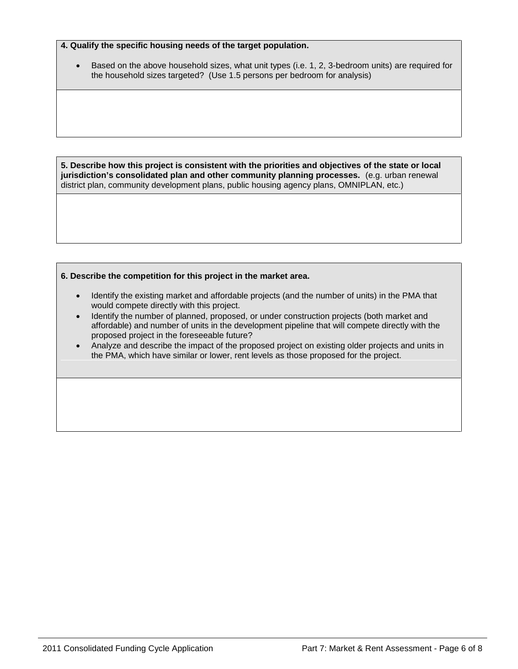**4. Qualify the specific housing needs of the target population.** 

• Based on the above household sizes, what unit types (i.e. 1, 2, 3-bedroom units) are required for the household sizes targeted? (Use 1.5 persons per bedroom for analysis)

**5. Describe how this project is consistent with the priorities and objectives of the state or local jurisdiction's consolidated plan and other community planning processes.** (e.g. urban renewal district plan, community development plans, public housing agency plans, OMNIPLAN, etc.)

#### **6. Describe the competition for this project in the market area.**

- Identify the existing market and affordable projects (and the number of units) in the PMA that would compete directly with this project.
- Identify the number of planned, proposed, or under construction projects (both market and affordable) and number of units in the development pipeline that will compete directly with the proposed project in the foreseeable future?
- Analyze and describe the impact of the proposed project on existing older projects and units in the PMA, which have similar or lower, rent levels as those proposed for the project.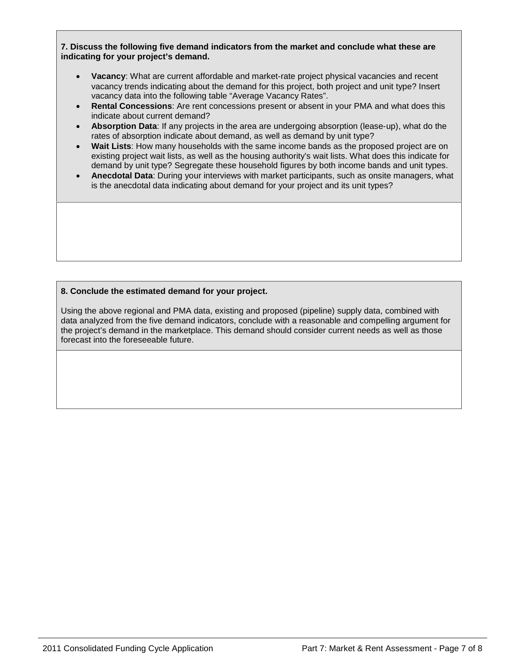#### **7. Discuss the following five demand indicators from the market and conclude what these are indicating for your project's demand.**

- **Vacancy**: What are current affordable and market-rate project physical vacancies and recent vacancy trends indicating about the demand for this project, both project and unit type? Insert vacancy data into the following table "Average Vacancy Rates".
- **Rental Concessions**: Are rent concessions present or absent in your PMA and what does this indicate about current demand?
- **Absorption Data**: If any projects in the area are undergoing absorption (lease-up), what do the rates of absorption indicate about demand, as well as demand by unit type?
- **Wait Lists**: How many households with the same income bands as the proposed project are on existing project wait lists, as well as the housing authority's wait lists. What does this indicate for demand by unit type? Segregate these household figures by both income bands and unit types.
- **Anecdotal Data**: During your interviews with market participants, such as onsite managers, what is the anecdotal data indicating about demand for your project and its unit types?

#### **8. Conclude the estimated demand for your project.**

Using the above regional and PMA data, existing and proposed (pipeline) supply data, combined with data analyzed from the five demand indicators, conclude with a reasonable and compelling argument for the project's demand in the marketplace. This demand should consider current needs as well as those forecast into the foreseeable future.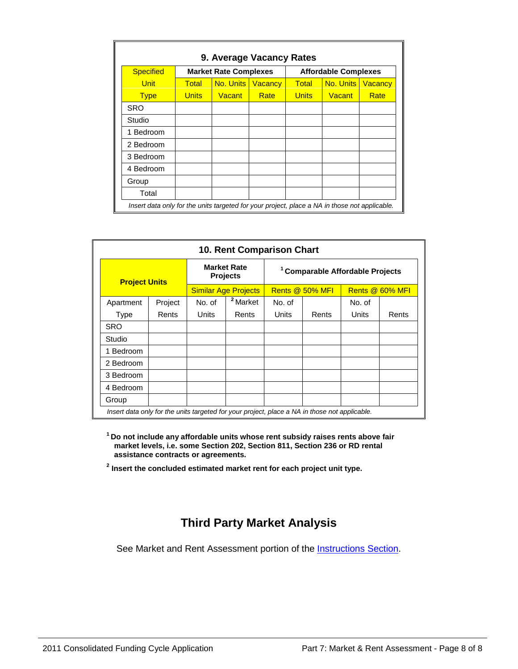| 9. Average Vacancy Rates |              |                              |                |              |                             |                |
|--------------------------|--------------|------------------------------|----------------|--------------|-----------------------------|----------------|
| <b>Specified</b>         |              | <b>Market Rate Complexes</b> |                |              | <b>Affordable Complexes</b> |                |
| <b>Unit</b>              | <b>Total</b> | No. Units                    | <b>Vacancy</b> | <b>Total</b> | No. Units                   | <b>Vacancy</b> |
| <b>Type</b>              | <b>Units</b> | Vacant                       | <b>Rate</b>    | <b>Units</b> | <b>Vacant</b>               | Rate           |
| <b>SRO</b>               |              |                              |                |              |                             |                |
| Studio                   |              |                              |                |              |                             |                |
| Bedroom<br>1             |              |                              |                |              |                             |                |
| 2 Bedroom                |              |                              |                |              |                             |                |
| 3 Bedroom                |              |                              |                |              |                             |                |
| 4 Bedroom                |              |                              |                |              |                             |                |
| Group                    |              |                              |                |              |                             |                |
| Total                    |              |                              |                |              |                             |                |

| 10. Rent Comparison Chart                                                                     |         |                                       |                             |                                             |       |                 |       |
|-----------------------------------------------------------------------------------------------|---------|---------------------------------------|-----------------------------|---------------------------------------------|-------|-----------------|-------|
| <b>Project Units</b>                                                                          |         | <b>Market Rate</b><br><b>Projects</b> |                             | <sup>1</sup> Comparable Affordable Projects |       |                 |       |
|                                                                                               |         |                                       | <b>Similar Age Projects</b> | Rents @ 50% MFI                             |       | Rents @ 60% MFI |       |
| Apartment                                                                                     | Project | No. of                                | <sup>2</sup> Market         | No. of                                      |       | No. of          |       |
| Type                                                                                          | Rents   | Units                                 | Rents                       | Units                                       | Rents | Units           | Rents |
| SRO                                                                                           |         |                                       |                             |                                             |       |                 |       |
| Studio                                                                                        |         |                                       |                             |                                             |       |                 |       |
| 1 Bedroom                                                                                     |         |                                       |                             |                                             |       |                 |       |
| 2 Bedroom                                                                                     |         |                                       |                             |                                             |       |                 |       |
| 3 Bedroom                                                                                     |         |                                       |                             |                                             |       |                 |       |
| 4 Bedroom                                                                                     |         |                                       |                             |                                             |       |                 |       |
| Group                                                                                         |         |                                       |                             |                                             |       |                 |       |
| Insert data only for the units targeted for your project, place a NA in those not applicable. |         |                                       |                             |                                             |       |                 |       |

**1 Do not include any affordable units whose rent subsidy raises rents above fair market levels, i.e. some Section 202, Section 811, Section 236 or RD rental assistance contracts or agreements.** 

**<sup>2</sup> Insert the concluded estimated market rent for each project unit type.** 

## **Third Party Market Analysis**

See Market and Rent Assessment portion of the **Instructions Section**.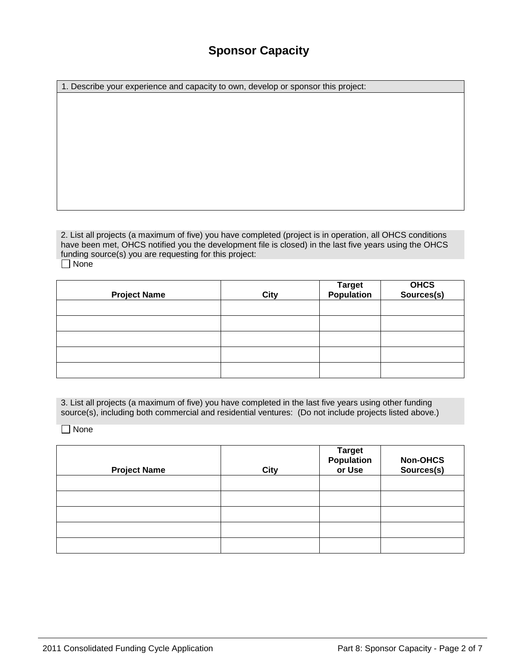## **Sponsor Capacity**

1. Describe your experience and capacity to own, develop or sponsor this project:

2. List all projects (a maximum of five) you have completed (project is in operation, all OHCS conditions have been met, OHCS notified you the development file is closed) in the last five years using the OHCS funding source(s) you are requesting for this project: □ None

| <b>Project Name</b> | <b>City</b> | Target<br>Population | OHCS<br>Sources(s) |
|---------------------|-------------|----------------------|--------------------|
|                     |             |                      |                    |
|                     |             |                      |                    |
|                     |             |                      |                    |
|                     |             |                      |                    |
|                     |             |                      |                    |

3. List all projects (a maximum of five) you have completed in the last five years using other funding source(s), including both commercial and residential ventures: (Do not include projects listed above.)

□ None

| <b>Project Name</b> | <b>City</b> | Target<br>Population<br>or Use | <b>Non-OHCS</b><br>Sources(s) |
|---------------------|-------------|--------------------------------|-------------------------------|
|                     |             |                                |                               |
|                     |             |                                |                               |
|                     |             |                                |                               |
|                     |             |                                |                               |
|                     |             |                                |                               |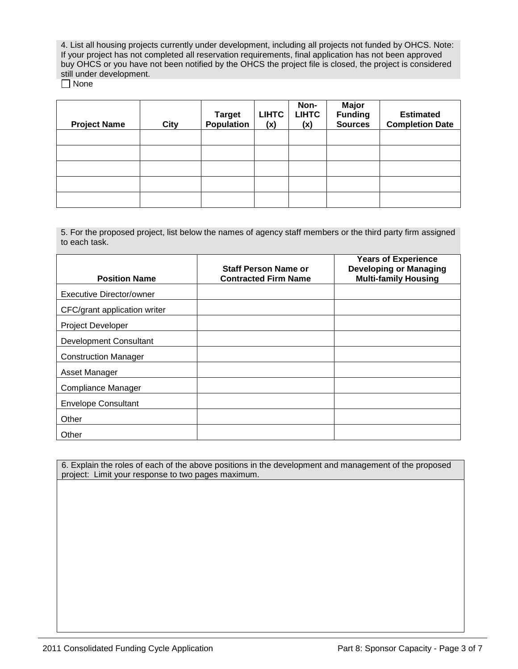4. List all housing projects currently under development, including all projects not funded by OHCS. Note: If your project has not completed all reservation requirements, final application has not been approved buy OHCS or you have not been notified by the OHCS the project file is closed, the project is considered still under development.

□ None

| <b>Project Name</b> | <b>City</b> | Target<br>Population | <b>LIHTC</b><br>(x) | Non-<br><b>LIHTC</b><br>(x) | <b>Major</b><br><b>Funding</b><br><b>Sources</b> | <b>Estimated</b><br><b>Completion Date</b> |
|---------------------|-------------|----------------------|---------------------|-----------------------------|--------------------------------------------------|--------------------------------------------|
|                     |             |                      |                     |                             |                                                  |                                            |
|                     |             |                      |                     |                             |                                                  |                                            |
|                     |             |                      |                     |                             |                                                  |                                            |
|                     |             |                      |                     |                             |                                                  |                                            |
|                     |             |                      |                     |                             |                                                  |                                            |

5. For the proposed project, list below the names of agency staff members or the third party firm assigned to each task.

|                               | <b>Staff Person Name or</b> | <b>Years of Experience</b><br><b>Developing or Managing</b> |
|-------------------------------|-----------------------------|-------------------------------------------------------------|
| <b>Position Name</b>          | <b>Contracted Firm Name</b> | <b>Multi-family Housing</b>                                 |
| Executive Director/owner      |                             |                                                             |
| CFC/grant application writer  |                             |                                                             |
| <b>Project Developer</b>      |                             |                                                             |
| <b>Development Consultant</b> |                             |                                                             |
| <b>Construction Manager</b>   |                             |                                                             |
| Asset Manager                 |                             |                                                             |
| Compliance Manager            |                             |                                                             |
| <b>Envelope Consultant</b>    |                             |                                                             |
| Other                         |                             |                                                             |
| Other                         |                             |                                                             |

6. Explain the roles of each of the above positions in the development and management of the proposed project: Limit your response to two pages maximum.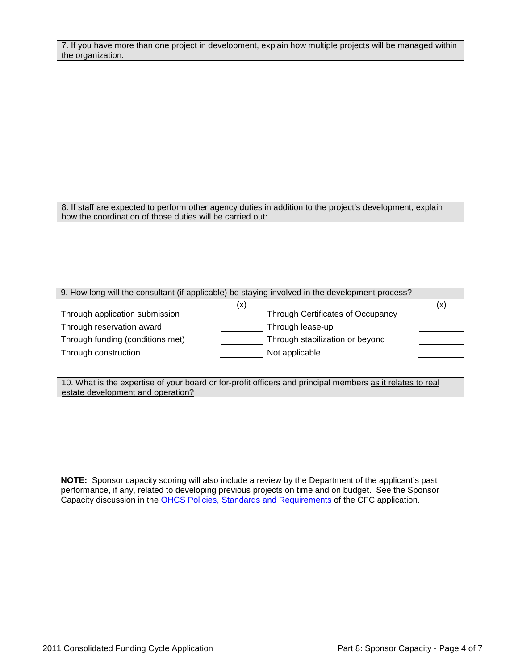|                   | 7. If you have more than one project in development, explain how multiple projects will be managed within |
|-------------------|-----------------------------------------------------------------------------------------------------------|
| the organization: |                                                                                                           |

8. If staff are expected to perform other agency duties in addition to the project's development, explain how the coordination of those duties will be carried out:

9. How long will the consultant (if applicable) be staying involved in the development process?

|                                  | (x)                                      | (x |
|----------------------------------|------------------------------------------|----|
| Through application submission   | <b>Through Certificates of Occupancy</b> |    |
| Through reservation award        | Through lease-up                         |    |
| Through funding (conditions met) | Through stabilization or beyond          |    |
| Through construction             | Not applicable                           |    |

10. What is the expertise of your board or for-profit officers and principal members as it relates to real estate development and operation?

**NOTE:** Sponsor capacity scoring will also include a review by the Department of the applicant's past performance, if any, related to developing previous projects on time and on budget. See the Sponsor Capacity discussion in the **OHCS Policies, Standards and Requirements of** the CFC application.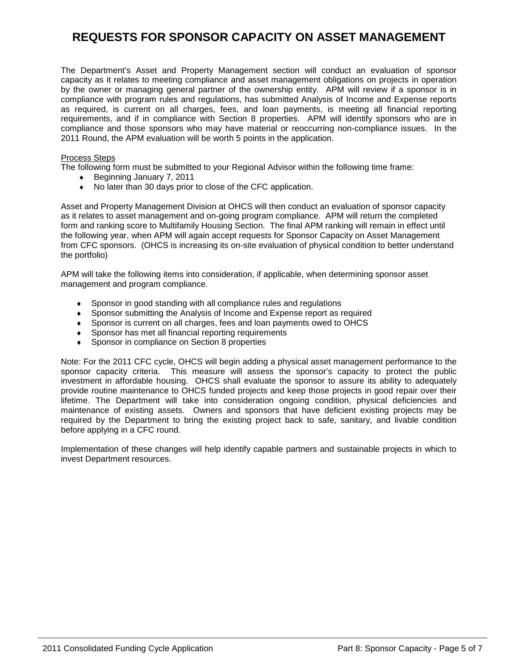## **REQUESTS FOR SPONSOR CAPACITY ON ASSET MANAGEMENT**

The Department's Asset and Property Management section will conduct an evaluation of sponsor capacity as it relates to meeting compliance and asset management obligations on projects in operation by the owner or managing general partner of the ownership entity. APM will review if a sponsor is in compliance with program rules and regulations, has submitted Analysis of Income and Expense reports as required, is current on all charges, fees, and loan payments, is meeting all financial reporting requirements, and if in compliance with Section 8 properties. APM will identify sponsors who are in compliance and those sponsors who may have material or reoccurring non-compliance issues. In the 2011 Round, the APM evaluation will be worth 5 points in the application.

#### Process Steps

The following form must be submitted to your Regional Advisor within the following time frame:

- ♦ Beginning January 7, 2011
- ♦ No later than 30 days prior to close of the CFC application.

Asset and Property Management Division at OHCS will then conduct an evaluation of sponsor capacity as it relates to asset management and on-going program compliance. APM will return the completed form and ranking score to Multifamily Housing Section. The final APM ranking will remain in effect until the following year, when APM will again accept requests for Sponsor Capacity on Asset Management from CFC sponsors. (OHCS is increasing its on-site evaluation of physical condition to better understand the portfolio)

APM will take the following items into consideration, if applicable, when determining sponsor asset management and program compliance.

- ♦ Sponsor in good standing with all compliance rules and regulations
- ♦ Sponsor submitting the Analysis of Income and Expense report as required
- ♦ Sponsor is current on all charges, fees and loan payments owed to OHCS
- Sponsor has met all financial reporting requirements
- ♦ Sponsor in compliance on Section 8 properties

Note: For the 2011 CFC cycle, OHCS will begin adding a physical asset management performance to the sponsor capacity criteria. This measure will assess the sponsor's capacity to protect the public investment in affordable housing. OHCS shall evaluate the sponsor to assure its ability to adequately provide routine maintenance to OHCS funded projects and keep those projects in good repair over their lifetime. The Department will take into consideration ongoing condition, physical deficiencies and maintenance of existing assets. Owners and sponsors that have deficient existing projects may be required by the Department to bring the existing project back to safe, sanitary, and livable condition before applying in a CFC round.

Implementation of these changes will help identify capable partners and sustainable projects in which to invest Department resources.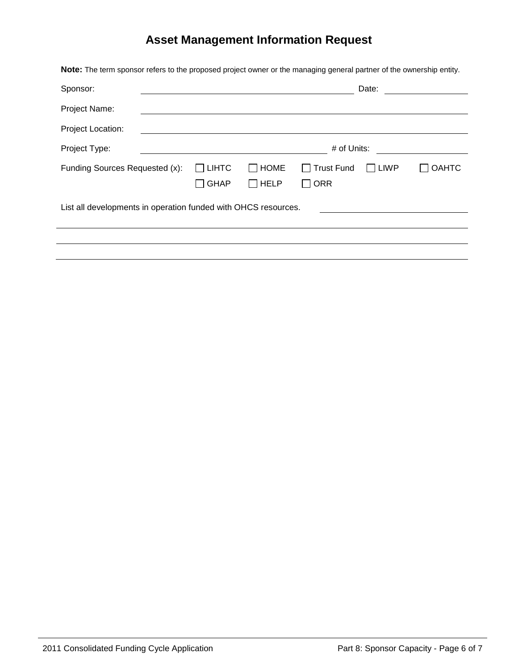## **Asset Management Information Request**

**Note:** The term sponsor refers to the proposed project owner or the managing general partner of the ownership entity.

| Sponsor:                                                       |              |             |                                   | Date:       |              |
|----------------------------------------------------------------|--------------|-------------|-----------------------------------|-------------|--------------|
| Project Name:                                                  |              |             |                                   |             |              |
| Project Location:                                              |              |             |                                   |             |              |
| # of Units:<br>Project Type:                                   |              |             |                                   |             |              |
| Funding Sources Requested (x):                                 | $\Box$ LIHTC | $\Box$ HOME | <b>Trust Fund</b><br>$\mathbf{1}$ | <b>LIWP</b> | <b>OAHTC</b> |
|                                                                | <b>GHAP</b>  | $\Box$ HELP | <b>ORR</b>                        |             |              |
| List all developments in operation funded with OHCS resources. |              |             |                                   |             |              |
|                                                                |              |             |                                   |             |              |
|                                                                |              |             |                                   |             |              |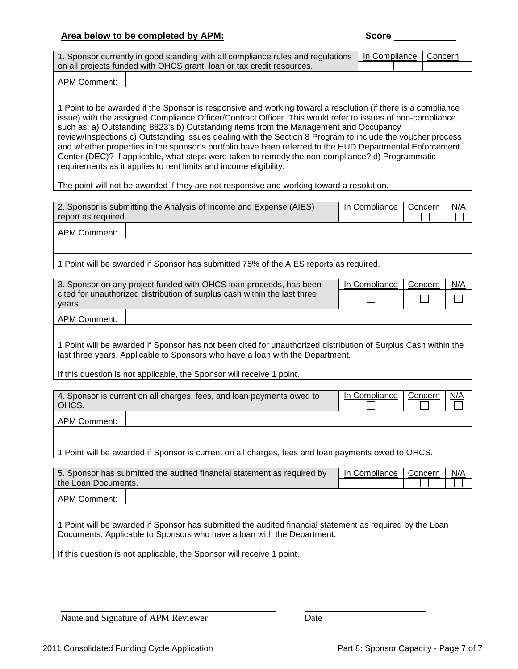| 1. Sponsor currently in good standing with all compliance rules and regulations<br>on all projects funded with OHCS grant, loan or tax credit resources.<br><b>APM Comment:</b><br>1 Point to be awarded if the Sponsor is responsive and working toward a resolution (if there is a compliance<br>issue) with the assigned Compliance Officer/Contract Officer. This would refer to issues of non-compliance<br>such as: a) Outstanding 8823's b) Outstanding items from the Management and Occupancy<br>review/Inspections c) Outstanding issues dealing with the Section 8 Program to include the voucher process<br>and whether properties in the sponsor's portfolio have been referred to the HUD Departmental Enforcement<br>Center (DEC)? If applicable, what steps were taken to remedy the non-compliance? d) Programmatic<br>requirements as it applies to rent limits and income eligibility.<br>The point will not be awarded if they are not responsive and working toward a resolution.<br>2. Sponsor is submitting the Analysis of Income and Expense (AIES)<br>report as required.<br><b>APM Comment:</b><br>1 Point will be awarded if Sponsor has submitted 75% of the AIES reports as required.<br>3. Sponsor on any project funded with OHCS loan proceeds, has been<br>cited for unauthorized distribution of surplus cash within the last three<br>years.<br><b>APM Comment:</b><br>1 Point will be awarded if Sponsor has not been cited for unauthorized distribution of Surplus Cash within the<br>last three years. Applicable to Sponsors who have a loan with the Department.<br>If this question is not applicable, the Sponsor will receive 1 point.<br>4. Sponsor is current on all charges, fees, and loan payments owed to<br>OHCS.<br><b>APM Comment:</b><br>1 Point will be awarded if Sponsor is current on all charges, fees and loan payments owed to OHCS. | In Compliance<br>In Compliance<br>Concern<br>In Compliance<br>Concern | Concern<br><u>N/A</u><br>N/A |
|----------------------------------------------------------------------------------------------------------------------------------------------------------------------------------------------------------------------------------------------------------------------------------------------------------------------------------------------------------------------------------------------------------------------------------------------------------------------------------------------------------------------------------------------------------------------------------------------------------------------------------------------------------------------------------------------------------------------------------------------------------------------------------------------------------------------------------------------------------------------------------------------------------------------------------------------------------------------------------------------------------------------------------------------------------------------------------------------------------------------------------------------------------------------------------------------------------------------------------------------------------------------------------------------------------------------------------------------------------------------------------------------------------------------------------------------------------------------------------------------------------------------------------------------------------------------------------------------------------------------------------------------------------------------------------------------------------------------------------------------------------------------------------------------------------------------------------------------------------------------------------------------------|-----------------------------------------------------------------------|------------------------------|
|                                                                                                                                                                                                                                                                                                                                                                                                                                                                                                                                                                                                                                                                                                                                                                                                                                                                                                                                                                                                                                                                                                                                                                                                                                                                                                                                                                                                                                                                                                                                                                                                                                                                                                                                                                                                                                                                                                    |                                                                       |                              |
|                                                                                                                                                                                                                                                                                                                                                                                                                                                                                                                                                                                                                                                                                                                                                                                                                                                                                                                                                                                                                                                                                                                                                                                                                                                                                                                                                                                                                                                                                                                                                                                                                                                                                                                                                                                                                                                                                                    |                                                                       |                              |
|                                                                                                                                                                                                                                                                                                                                                                                                                                                                                                                                                                                                                                                                                                                                                                                                                                                                                                                                                                                                                                                                                                                                                                                                                                                                                                                                                                                                                                                                                                                                                                                                                                                                                                                                                                                                                                                                                                    |                                                                       |                              |
|                                                                                                                                                                                                                                                                                                                                                                                                                                                                                                                                                                                                                                                                                                                                                                                                                                                                                                                                                                                                                                                                                                                                                                                                                                                                                                                                                                                                                                                                                                                                                                                                                                                                                                                                                                                                                                                                                                    |                                                                       |                              |
|                                                                                                                                                                                                                                                                                                                                                                                                                                                                                                                                                                                                                                                                                                                                                                                                                                                                                                                                                                                                                                                                                                                                                                                                                                                                                                                                                                                                                                                                                                                                                                                                                                                                                                                                                                                                                                                                                                    |                                                                       |                              |
|                                                                                                                                                                                                                                                                                                                                                                                                                                                                                                                                                                                                                                                                                                                                                                                                                                                                                                                                                                                                                                                                                                                                                                                                                                                                                                                                                                                                                                                                                                                                                                                                                                                                                                                                                                                                                                                                                                    |                                                                       |                              |
|                                                                                                                                                                                                                                                                                                                                                                                                                                                                                                                                                                                                                                                                                                                                                                                                                                                                                                                                                                                                                                                                                                                                                                                                                                                                                                                                                                                                                                                                                                                                                                                                                                                                                                                                                                                                                                                                                                    |                                                                       |                              |
|                                                                                                                                                                                                                                                                                                                                                                                                                                                                                                                                                                                                                                                                                                                                                                                                                                                                                                                                                                                                                                                                                                                                                                                                                                                                                                                                                                                                                                                                                                                                                                                                                                                                                                                                                                                                                                                                                                    |                                                                       |                              |
|                                                                                                                                                                                                                                                                                                                                                                                                                                                                                                                                                                                                                                                                                                                                                                                                                                                                                                                                                                                                                                                                                                                                                                                                                                                                                                                                                                                                                                                                                                                                                                                                                                                                                                                                                                                                                                                                                                    |                                                                       |                              |
|                                                                                                                                                                                                                                                                                                                                                                                                                                                                                                                                                                                                                                                                                                                                                                                                                                                                                                                                                                                                                                                                                                                                                                                                                                                                                                                                                                                                                                                                                                                                                                                                                                                                                                                                                                                                                                                                                                    |                                                                       |                              |
|                                                                                                                                                                                                                                                                                                                                                                                                                                                                                                                                                                                                                                                                                                                                                                                                                                                                                                                                                                                                                                                                                                                                                                                                                                                                                                                                                                                                                                                                                                                                                                                                                                                                                                                                                                                                                                                                                                    |                                                                       |                              |
|                                                                                                                                                                                                                                                                                                                                                                                                                                                                                                                                                                                                                                                                                                                                                                                                                                                                                                                                                                                                                                                                                                                                                                                                                                                                                                                                                                                                                                                                                                                                                                                                                                                                                                                                                                                                                                                                                                    |                                                                       |                              |
|                                                                                                                                                                                                                                                                                                                                                                                                                                                                                                                                                                                                                                                                                                                                                                                                                                                                                                                                                                                                                                                                                                                                                                                                                                                                                                                                                                                                                                                                                                                                                                                                                                                                                                                                                                                                                                                                                                    |                                                                       |                              |
|                                                                                                                                                                                                                                                                                                                                                                                                                                                                                                                                                                                                                                                                                                                                                                                                                                                                                                                                                                                                                                                                                                                                                                                                                                                                                                                                                                                                                                                                                                                                                                                                                                                                                                                                                                                                                                                                                                    |                                                                       |                              |
|                                                                                                                                                                                                                                                                                                                                                                                                                                                                                                                                                                                                                                                                                                                                                                                                                                                                                                                                                                                                                                                                                                                                                                                                                                                                                                                                                                                                                                                                                                                                                                                                                                                                                                                                                                                                                                                                                                    |                                                                       |                              |
|                                                                                                                                                                                                                                                                                                                                                                                                                                                                                                                                                                                                                                                                                                                                                                                                                                                                                                                                                                                                                                                                                                                                                                                                                                                                                                                                                                                                                                                                                                                                                                                                                                                                                                                                                                                                                                                                                                    |                                                                       |                              |
|                                                                                                                                                                                                                                                                                                                                                                                                                                                                                                                                                                                                                                                                                                                                                                                                                                                                                                                                                                                                                                                                                                                                                                                                                                                                                                                                                                                                                                                                                                                                                                                                                                                                                                                                                                                                                                                                                                    | In Compliance<br>Concern                                              | N/A                          |
|                                                                                                                                                                                                                                                                                                                                                                                                                                                                                                                                                                                                                                                                                                                                                                                                                                                                                                                                                                                                                                                                                                                                                                                                                                                                                                                                                                                                                                                                                                                                                                                                                                                                                                                                                                                                                                                                                                    |                                                                       |                              |
|                                                                                                                                                                                                                                                                                                                                                                                                                                                                                                                                                                                                                                                                                                                                                                                                                                                                                                                                                                                                                                                                                                                                                                                                                                                                                                                                                                                                                                                                                                                                                                                                                                                                                                                                                                                                                                                                                                    |                                                                       |                              |
|                                                                                                                                                                                                                                                                                                                                                                                                                                                                                                                                                                                                                                                                                                                                                                                                                                                                                                                                                                                                                                                                                                                                                                                                                                                                                                                                                                                                                                                                                                                                                                                                                                                                                                                                                                                                                                                                                                    |                                                                       |                              |
| 5. Sponsor has submitted the audited financial statement as required by                                                                                                                                                                                                                                                                                                                                                                                                                                                                                                                                                                                                                                                                                                                                                                                                                                                                                                                                                                                                                                                                                                                                                                                                                                                                                                                                                                                                                                                                                                                                                                                                                                                                                                                                                                                                                            | In Compliance<br>Concern                                              | N/A                          |
| the Loan Documents.                                                                                                                                                                                                                                                                                                                                                                                                                                                                                                                                                                                                                                                                                                                                                                                                                                                                                                                                                                                                                                                                                                                                                                                                                                                                                                                                                                                                                                                                                                                                                                                                                                                                                                                                                                                                                                                                                |                                                                       |                              |
| <b>APM Comment:</b>                                                                                                                                                                                                                                                                                                                                                                                                                                                                                                                                                                                                                                                                                                                                                                                                                                                                                                                                                                                                                                                                                                                                                                                                                                                                                                                                                                                                                                                                                                                                                                                                                                                                                                                                                                                                                                                                                |                                                                       |                              |
| 1 Point will be awarded if Sponsor has submitted the audited financial statement as required by the Loan<br>Documents. Applicable to Sponsors who have a loan with the Department.                                                                                                                                                                                                                                                                                                                                                                                                                                                                                                                                                                                                                                                                                                                                                                                                                                                                                                                                                                                                                                                                                                                                                                                                                                                                                                                                                                                                                                                                                                                                                                                                                                                                                                                 |                                                                       |                              |
| If this question is not applicable, the Sponsor will receive 1 point.                                                                                                                                                                                                                                                                                                                                                                                                                                                                                                                                                                                                                                                                                                                                                                                                                                                                                                                                                                                                                                                                                                                                                                                                                                                                                                                                                                                                                                                                                                                                                                                                                                                                                                                                                                                                                              |                                                                       |                              |

Name and Signature of APM Reviewer Date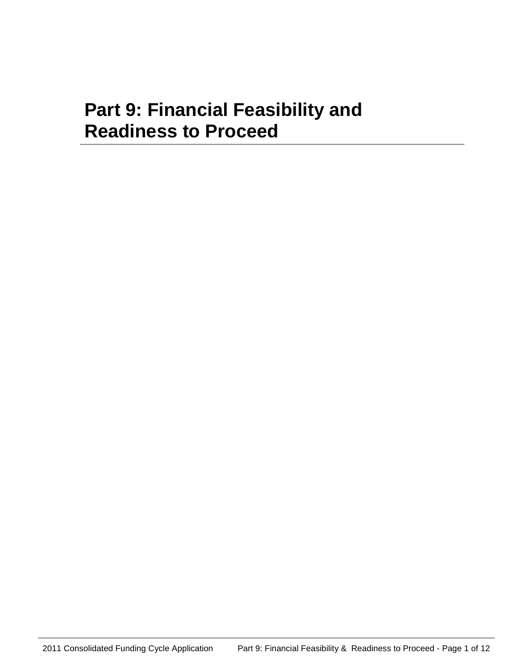# **Part 9: Financial Feasibility and Readiness to Proceed**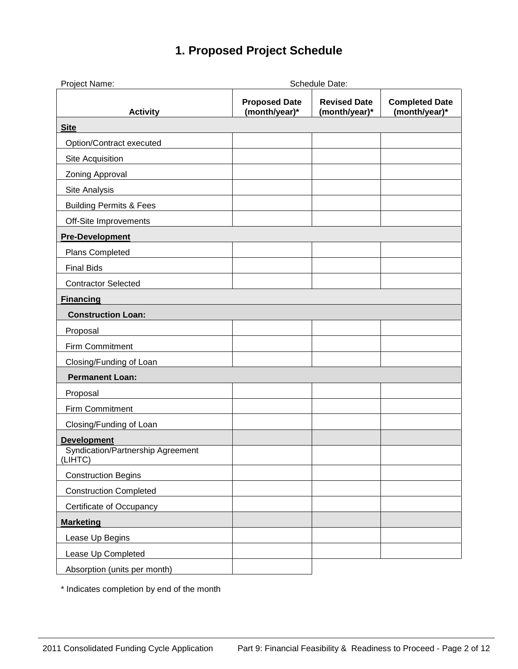## **1. Proposed Project Schedule**

| Project Name:                                | Schedule Date:                        |                                      |                                        |
|----------------------------------------------|---------------------------------------|--------------------------------------|----------------------------------------|
| <b>Activity</b>                              | <b>Proposed Date</b><br>(month/year)* | <b>Revised Date</b><br>(month/year)* | <b>Completed Date</b><br>(month/year)* |
| <b>Site</b>                                  |                                       |                                      |                                        |
| Option/Contract executed                     |                                       |                                      |                                        |
| Site Acquisition                             |                                       |                                      |                                        |
| Zoning Approval                              |                                       |                                      |                                        |
| Site Analysis                                |                                       |                                      |                                        |
| <b>Building Permits &amp; Fees</b>           |                                       |                                      |                                        |
| Off-Site Improvements                        |                                       |                                      |                                        |
| <b>Pre-Development</b>                       |                                       |                                      |                                        |
| Plans Completed                              |                                       |                                      |                                        |
| <b>Final Bids</b>                            |                                       |                                      |                                        |
| <b>Contractor Selected</b>                   |                                       |                                      |                                        |
| <b>Financing</b>                             |                                       |                                      |                                        |
| <b>Construction Loan:</b>                    |                                       |                                      |                                        |
| Proposal                                     |                                       |                                      |                                        |
| Firm Commitment                              |                                       |                                      |                                        |
| Closing/Funding of Loan                      |                                       |                                      |                                        |
| <b>Permanent Loan:</b>                       |                                       |                                      |                                        |
| Proposal                                     |                                       |                                      |                                        |
| Firm Commitment                              |                                       |                                      |                                        |
| Closing/Funding of Loan                      |                                       |                                      |                                        |
| <b>Development</b>                           |                                       |                                      |                                        |
| Syndication/Partnership Agreement<br>(LIHTC) |                                       |                                      |                                        |
| <b>Construction Begins</b>                   |                                       |                                      |                                        |
| <b>Construction Completed</b>                |                                       |                                      |                                        |
| Certificate of Occupancy                     |                                       |                                      |                                        |
| <b>Marketing</b>                             |                                       |                                      |                                        |
| Lease Up Begins                              |                                       |                                      |                                        |
| Lease Up Completed                           |                                       |                                      |                                        |
| Absorption (units per month)                 |                                       |                                      |                                        |

\* Indicates completion by end of the month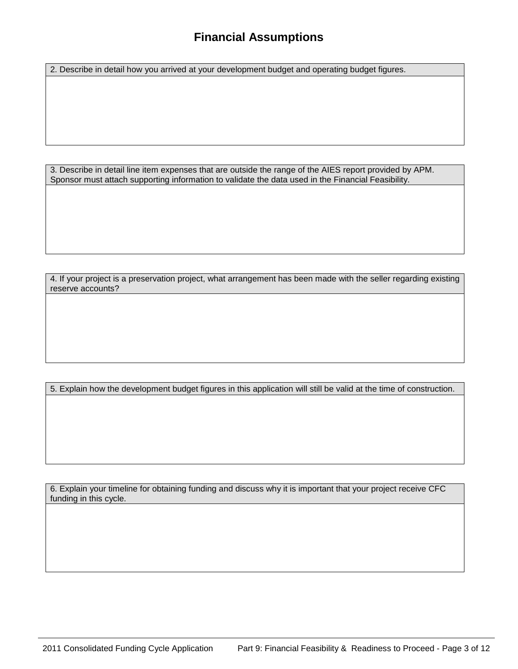## **Financial Assumptions**

2. Describe in detail how you arrived at your development budget and operating budget figures.

3. Describe in detail line item expenses that are outside the range of the AIES report provided by APM. Sponsor must attach supporting information to validate the data used in the Financial Feasibility.

4. If your project is a preservation project, what arrangement has been made with the seller regarding existing reserve accounts?

5. Explain how the development budget figures in this application will still be valid at the time of construction.

6. Explain your timeline for obtaining funding and discuss why it is important that your project receive CFC funding in this cycle.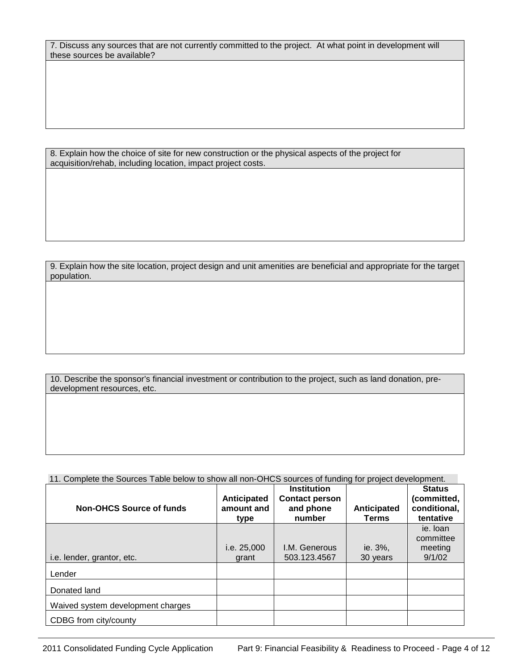7. Discuss any sources that are not currently committed to the project. At what point in development will these sources be available?

8. Explain how the choice of site for new construction or the physical aspects of the project for acquisition/rehab, including location, impact project costs.

9. Explain how the site location, project design and unit amenities are beneficial and appropriate for the target population.

10. Describe the sponsor's financial investment or contribution to the project, such as land donation, predevelopment resources, etc.

11. Complete the Sources Table below to show all non-OHCS sources of funding for project development.

| <b>Non-OHCS Source of funds</b>   | Anticipated<br>amount and<br>type | <b>Institution</b><br><b>Contact person</b><br>and phone<br>number | Anticipated<br><b>Terms</b> | <b>Status</b><br>(committed,<br>conditional,<br>tentative |
|-----------------------------------|-----------------------------------|--------------------------------------------------------------------|-----------------------------|-----------------------------------------------------------|
| i.e. lender, grantor, etc.        | i.e. 25,000<br>grant              | I.M. Generous<br>503.123.4567                                      | ie. 3%,<br>30 years         | ie. Ioan<br>committee<br>meeting<br>9/1/02                |
| Lender                            |                                   |                                                                    |                             |                                                           |
| Donated land                      |                                   |                                                                    |                             |                                                           |
| Waived system development charges |                                   |                                                                    |                             |                                                           |
| CDBG from city/county             |                                   |                                                                    |                             |                                                           |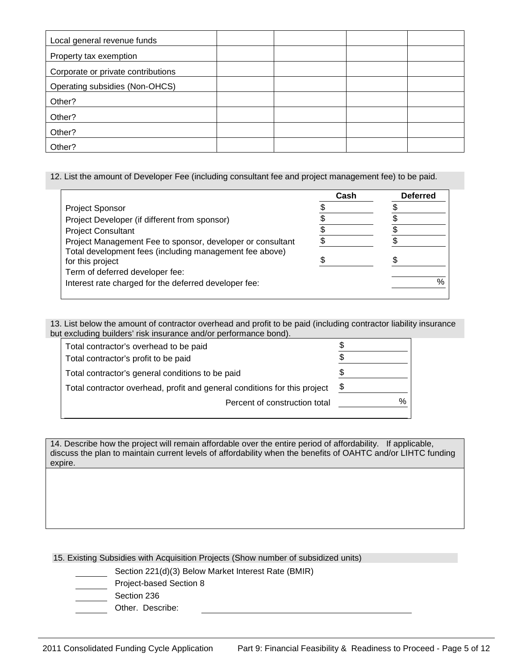| Local general revenue funds        |  |  |
|------------------------------------|--|--|
| Property tax exemption             |  |  |
| Corporate or private contributions |  |  |
| Operating subsidies (Non-OHCS)     |  |  |
| Other?                             |  |  |
| Other?                             |  |  |
| Other?                             |  |  |
| Other?                             |  |  |

12. List the amount of Developer Fee (including consultant fee and project management fee) to be paid.

|                                                                             | Cash | <b>Deferred</b> |
|-----------------------------------------------------------------------------|------|-----------------|
| <b>Project Sponsor</b>                                                      |      |                 |
| Project Developer (if different from sponsor)                               |      |                 |
| <b>Project Consultant</b>                                                   |      |                 |
| Project Management Fee to sponsor, developer or consultant                  |      |                 |
| Total development fees (including management fee above)<br>for this project |      |                 |
| Term of deferred developer fee:                                             |      |                 |
| Interest rate charged for the deferred developer fee:                       |      | $\frac{0}{0}$   |
|                                                                             |      |                 |

13. List below the amount of contractor overhead and profit to be paid (including contractor liability insurance but excluding builders' risk insurance and/or performance bond).

| Total contractor's overhead to be paid                                    |               |
|---------------------------------------------------------------------------|---------------|
| Total contractor's profit to be paid                                      |               |
| Total contractor's general conditions to be paid                          |               |
| Total contractor overhead, profit and general conditions for this project | \$            |
| Percent of construction total                                             | $\frac{0}{0}$ |
|                                                                           |               |

14. Describe how the project will remain affordable over the entire period of affordability. If applicable, discuss the plan to maintain current levels of affordability when the benefits of OAHTC and/or LIHTC funding expire.

15. Existing Subsidies with Acquisition Projects (Show number of subsidized units)

- Section 221(d)(3) Below Market Interest Rate (BMIR)
- **Project-based Section 8**
- Section 236
- Other. Describe: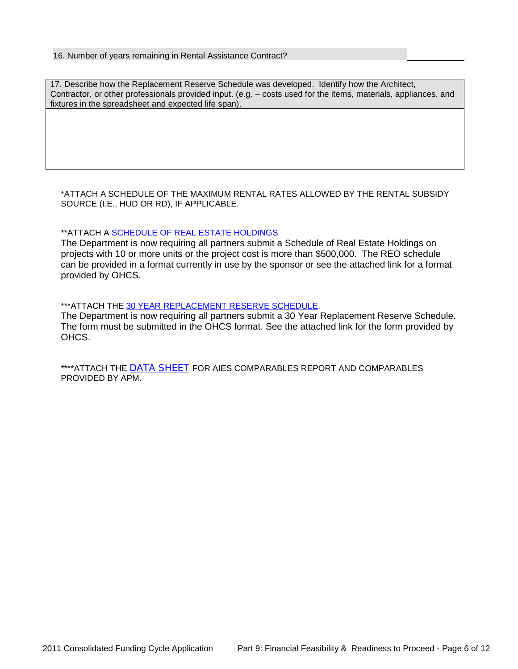16. Number of years remaining in Rental Assistance Contract?

17. Describe how the Replacement Reserve Schedule was developed. Identify how the Architect, Contractor, or other professionals provided input. (e.g. – costs used for the items, materials, appliances, and fixtures in the spreadsheet and expected life span).

\*ATTACH A SCHEDULE OF THE MAXIMUM RENTAL RATES ALLOWED BY THE RENTAL SUBSIDY SOURCE (I.E., HUD OR RD), IF APPLICABLE.

#### \*\*ATTACH A [SCHEDULE OF REAL ESTATE HOLDINGS](http://www.ohcs.oregon.gov/OHCS/HD/HRS/CFCApp/Part_9_Schedule_Real_Estate_Holdings.xls)

The Department is now requiring all partners submit a Schedule of Real Estate Holdings on projects with 10 or more units or the project cost is more than \$500,000. The REO schedule can be provided in a format currently in use by the sponsor or see the attached link for a format provided by OHCS.

#### \*\*\*ATTACH THE [30 YEAR REPLACEMENT RESERVE SCHEDULE.](http://www.ohcs.oregon.gov/OHCS/HD/HRS/CFCApp/CFC_30_Year_Replacement_Schedule.xls)

The Department is now requiring all partners submit a 30 Year Replacement Reserve Schedule. The form must be submitted in the OHCS format. See the attached link for the form provided by OHCS.

\*\*\*\*ATTACH THE [DATA SHEET](http://www.ohcs.oregon.gov/OHCS/HD/HRS/CFCApp/AIES_Process_In_CFC.doc) FOR AIES COMPARABLES REPORT AND COMPARABLES PROVIDED BY APM.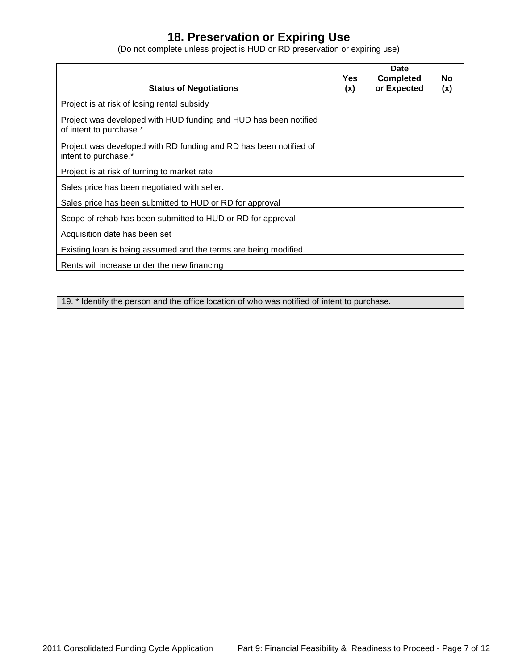## **18. Preservation or Expiring Use**

| <b>Status of Negotiations</b>                                                               | Yes<br>(x) | Date<br><b>Completed</b><br>or Expected | No.<br>(x) |
|---------------------------------------------------------------------------------------------|------------|-----------------------------------------|------------|
|                                                                                             |            |                                         |            |
| Project is at risk of losing rental subsidy                                                 |            |                                         |            |
| Project was developed with HUD funding and HUD has been notified<br>of intent to purchase.* |            |                                         |            |
| Project was developed with RD funding and RD has been notified of<br>intent to purchase.*   |            |                                         |            |
| Project is at risk of turning to market rate                                                |            |                                         |            |
| Sales price has been negotiated with seller.                                                |            |                                         |            |
| Sales price has been submitted to HUD or RD for approval                                    |            |                                         |            |
| Scope of rehab has been submitted to HUD or RD for approval                                 |            |                                         |            |
| Acquisition date has been set                                                               |            |                                         |            |
| Existing loan is being assumed and the terms are being modified.                            |            |                                         |            |
| Rents will increase under the new financing                                                 |            |                                         |            |

(Do not complete unless project is HUD or RD preservation or expiring use)

19. \* Identify the person and the office location of who was notified of intent to purchase.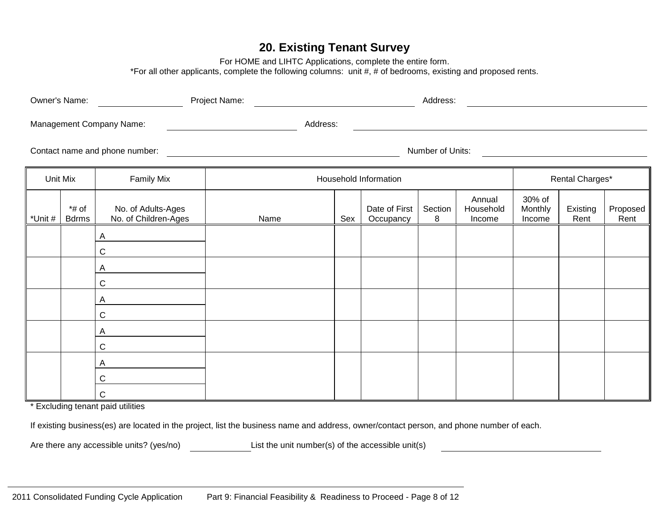# **20. Existing Tenant Survey**

For HOME and LIHTC Applications, complete the entire form.

\*For all other applicants, complete the following columns: unit #, # of bedrooms, existing and proposed rents.

| Owner's Name: |                          |                                            | Project Name: |                       |                            | Address:         |                               |                             |                  |                  |  |
|---------------|--------------------------|--------------------------------------------|---------------|-----------------------|----------------------------|------------------|-------------------------------|-----------------------------|------------------|------------------|--|
|               |                          | <b>Management Company Name:</b>            |               | Address:              |                            |                  |                               |                             |                  |                  |  |
|               |                          | Contact name and phone number:             |               |                       |                            | Number of Units: |                               |                             |                  |                  |  |
|               | Unit Mix                 | <b>Family Mix</b>                          |               | Household Information |                            |                  |                               |                             | Rental Charges*  |                  |  |
| *Unit #       | $*$ # of<br><b>Bdrms</b> | No. of Adults-Ages<br>No. of Children-Ages | Name          | Sex                   | Date of First<br>Occupancy | Section<br>8     | Annual<br>Household<br>Income | 30% of<br>Monthly<br>Income | Existing<br>Rent | Proposed<br>Rent |  |
|               |                          | Α                                          |               |                       |                            |                  |                               |                             |                  |                  |  |
|               |                          | С<br>A                                     |               |                       |                            |                  |                               |                             |                  |                  |  |
|               |                          | C                                          |               |                       |                            |                  |                               |                             |                  |                  |  |
|               |                          | Α<br>C                                     |               |                       |                            |                  |                               |                             |                  |                  |  |
|               |                          | Α                                          |               |                       |                            |                  |                               |                             |                  |                  |  |
|               |                          | C                                          |               |                       |                            |                  |                               |                             |                  |                  |  |
|               |                          | Α                                          |               |                       |                            |                  |                               |                             |                  |                  |  |
|               |                          | С                                          |               |                       |                            |                  |                               |                             |                  |                  |  |

\* Excluding tenant paid utilities

C

If existing business(es) are located in the project, list the business name and address, owner/contact person, and phone number of each.

Are there any accessible units? (yes/no) List the unit number(s) of the accessible unit(s)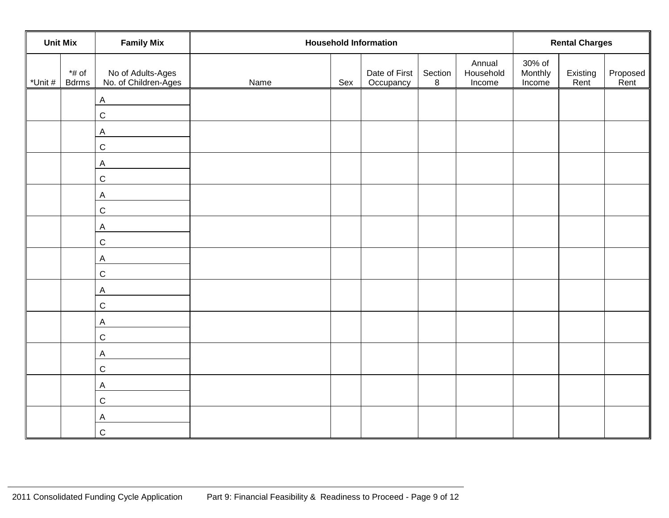|         | <b>Unit Mix</b>          | <b>Family Mix</b>                         |      |     | <b>Household Information</b> |                   |                               |                             | <b>Rental Charges</b> |                  |
|---------|--------------------------|-------------------------------------------|------|-----|------------------------------|-------------------|-------------------------------|-----------------------------|-----------------------|------------------|
| *Unit # | $*$ # of<br><b>Bdrms</b> | No of Adults-Ages<br>No. of Children-Ages | Name | Sex | Date of First<br>Occupancy   | Section<br>$\bf8$ | Annual<br>Household<br>Income | 30% of<br>Monthly<br>Income | Existing<br>Rent      | Proposed<br>Rent |
|         |                          | $\mathsf A$<br>$\mathsf C$                |      |     |                              |                   |                               |                             |                       |                  |
|         |                          | $\overline{A}$<br>$\mathsf C$             |      |     |                              |                   |                               |                             |                       |                  |
|         |                          | $\mathsf{A}$<br>$\mathsf C$               |      |     |                              |                   |                               |                             |                       |                  |
|         |                          | $\mathsf{A}$<br>$\mathsf C$               |      |     |                              |                   |                               |                             |                       |                  |
|         |                          | $\mathsf{A}$<br>$\mathsf C$               |      |     |                              |                   |                               |                             |                       |                  |
|         |                          | $\mathsf{A}$<br>$\mathsf C$               |      |     |                              |                   |                               |                             |                       |                  |
|         |                          | $\mathsf{A}$<br>$\mathsf C$               |      |     |                              |                   |                               |                             |                       |                  |
|         |                          | $\overline{A}$<br>$\mathsf C$             |      |     |                              |                   |                               |                             |                       |                  |
|         |                          | $\mathsf{A}$<br>$\mathsf C$               |      |     |                              |                   |                               |                             |                       |                  |
|         |                          | $\mathsf{A}$<br>$\mathsf C$               |      |     |                              |                   |                               |                             |                       |                  |
|         |                          | $\mathsf{A}$<br>$\mathsf C$               |      |     |                              |                   |                               |                             |                       |                  |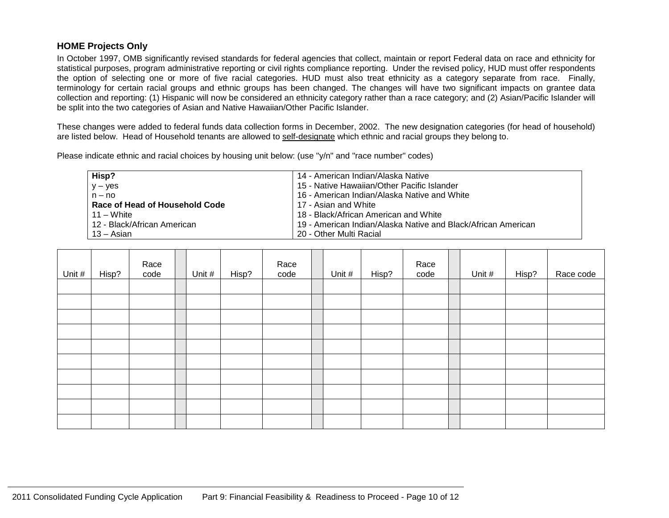#### **HOME Projects Only**

In October 1997, OMB significantly revised standards for federal agencies that collect, maintain or report Federal data on race and ethnicity for statistical purposes, program administrative reporting or civil rights compliance reporting. Under the revised policy, HUD must offer respondents the option of selecting one or more of five racial categories. HUD must also treat ethnicity as a category separate from race. Finally, terminology for certain racial groups and ethnic groups has been changed. The changes will have two significant impacts on grantee data collection and reporting: (1) Hispanic will now be considered an ethnicity category rather than a race category; and (2) Asian/Pacific Islander will be split into the two categories of Asian and Native Hawaiian/Other Pacific Islander.

These changes were added to federal funds data collection forms in December, 2002. The new designation categories (for head of household) are listed below. Head of Household tenants are allowed to self-designate which ethnic and racial groups they belong to.

Please indicate ethnic and racial choices by housing unit below: (use "y/n" and "race number" codes)

| Hisp?                          | 14 - American Indian/Alaska Native                            |
|--------------------------------|---------------------------------------------------------------|
| $y - yes$                      | 15 - Native Hawaiian/Other Pacific Islander                   |
| $n - no$                       | 16 - American Indian/Alaska Native and White                  |
| Race of Head of Household Code | 17 - Asian and White                                          |
| 11 – White                     | 18 - Black/African American and White                         |
| 12 - Black/African American    | 19 - American Indian/Alaska Native and Black/African American |
| 13 – Asian                     | 20 - Other Multi Racial                                       |

| Unit # | Hisp? | Race<br>code | Unit # | Hisp? | Race<br>code | Unit # | Hisp? | Race<br>code | Unit # | Hisp? | Race code |
|--------|-------|--------------|--------|-------|--------------|--------|-------|--------------|--------|-------|-----------|
|        |       |              |        |       |              |        |       |              |        |       |           |
|        |       |              |        |       |              |        |       |              |        |       |           |
|        |       |              |        |       |              |        |       |              |        |       |           |
|        |       |              |        |       |              |        |       |              |        |       |           |
|        |       |              |        |       |              |        |       |              |        |       |           |
|        |       |              |        |       |              |        |       |              |        |       |           |
|        |       |              |        |       |              |        |       |              |        |       |           |
|        |       |              |        |       |              |        |       |              |        |       |           |
|        |       |              |        |       |              |        |       |              |        |       |           |
|        |       |              |        |       |              |        |       |              |        |       |           |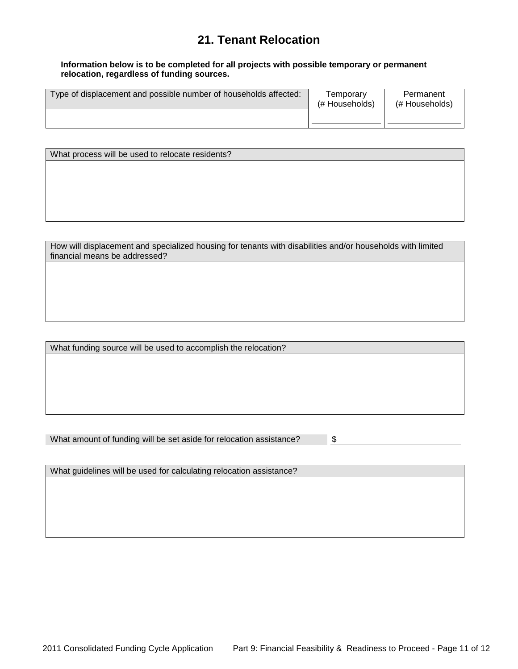# **21. Tenant Relocation**

#### **Information below is to be completed for all projects with possible temporary or permanent relocation, regardless of funding sources.**

| Type of displacement and possible number of households affected: | Temporary<br>(# Households) | Permanent<br>(# Households) |
|------------------------------------------------------------------|-----------------------------|-----------------------------|
|                                                                  |                             |                             |

| What process will be used to relocate residents? |  |
|--------------------------------------------------|--|
|                                                  |  |
|                                                  |  |
|                                                  |  |
|                                                  |  |
|                                                  |  |

How will displacement and specialized housing for tenants with disabilities and/or households with limited financial means be addressed?

What funding source will be used to accomplish the relocation?

What amount of funding will be set aside for relocation assistance? \$

What guidelines will be used for calculating relocation assistance?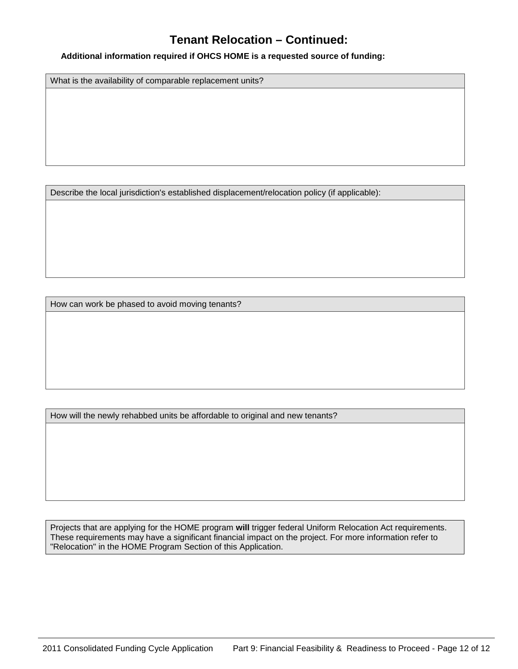# **Tenant Relocation – Continued:**

**Additional information required if OHCS HOME is a requested source of funding:**

What is the availability of comparable replacement units?

Describe the local jurisdiction's established displacement/relocation policy (if applicable):

How can work be phased to avoid moving tenants?

How will the newly rehabbed units be affordable to original and new tenants?

Projects that are applying for the HOME program **will** trigger federal Uniform Relocation Act requirements. These requirements may have a significant financial impact on the project. For more information refer to "Relocation" in the HOME Program Section of this Application.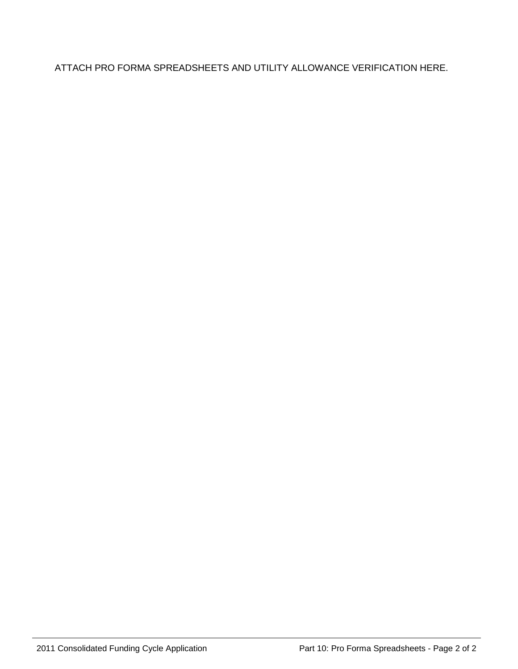ATTACH PRO FORMA SPREADSHEETS AND UTILITY ALLOWANCE VERIFICATION HERE.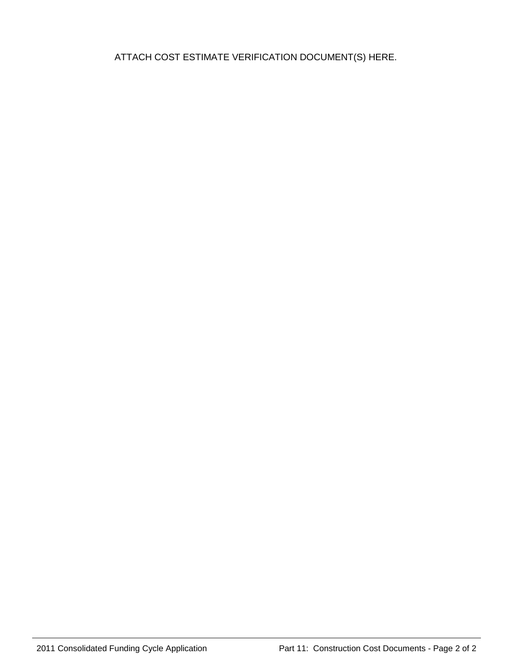ATTACH COST ESTIMATE VERIFICATION DOCUMENT(S) HERE.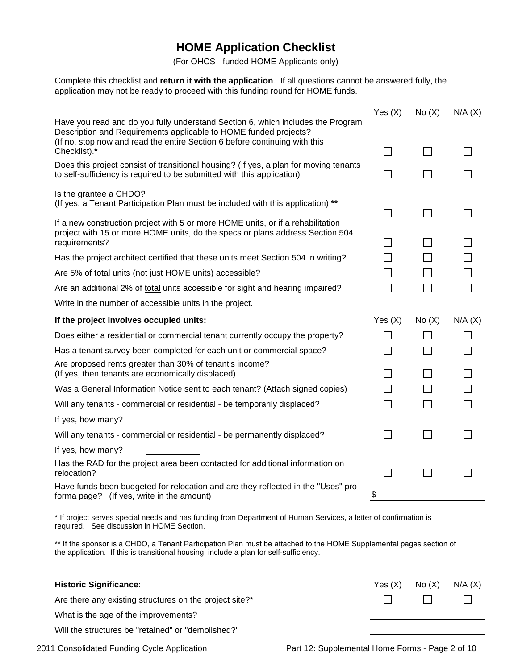# **HOME Application Checklist**

(For OHCS - funded HOME Applicants only)

Complete this checklist and **return it with the application**. If all questions cannot be answered fully, the application may not be ready to proceed with this funding round for HOME funds.

|                                                                                                                                                                                                                                                   | Yes $(X)$ | No(X)                       | N/A(X) |
|---------------------------------------------------------------------------------------------------------------------------------------------------------------------------------------------------------------------------------------------------|-----------|-----------------------------|--------|
| Have you read and do you fully understand Section 6, which includes the Program<br>Description and Requirements applicable to HOME funded projects?<br>(If no, stop now and read the entire Section 6 before continuing with this<br>Checklist).* |           | $\blacksquare$              |        |
| Does this project consist of transitional housing? (If yes, a plan for moving tenants<br>to self-sufficiency is required to be submitted with this application)                                                                                   |           |                             |        |
| Is the grantee a CHDO?<br>(If yes, a Tenant Participation Plan must be included with this application) **                                                                                                                                         |           | $\overline{\phantom{a}}$    |        |
| If a new construction project with 5 or more HOME units, or if a rehabilitation<br>project with 15 or more HOME units, do the specs or plans address Section 504<br>requirements?                                                                 |           |                             |        |
| Has the project architect certified that these units meet Section 504 in writing?                                                                                                                                                                 |           |                             |        |
| Are 5% of total units (not just HOME units) accessible?                                                                                                                                                                                           |           | $\blacksquare$              |        |
| Are an additional 2% of total units accessible for sight and hearing impaired?                                                                                                                                                                    |           | $\overline{\phantom{0}}$    |        |
| Write in the number of accessible units in the project.                                                                                                                                                                                           |           |                             |        |
| If the project involves occupied units:                                                                                                                                                                                                           | Yes $(X)$ | No(X)                       | N/A(X) |
| Does either a residential or commercial tenant currently occupy the property?                                                                                                                                                                     |           |                             |        |
| Has a tenant survey been completed for each unit or commercial space?                                                                                                                                                                             |           | $\mathcal{L}_{\mathcal{A}}$ |        |
| Are proposed rents greater than 30% of tenant's income?<br>(If yes, then tenants are economically displaced)                                                                                                                                      |           |                             |        |
| Was a General Information Notice sent to each tenant? (Attach signed copies)                                                                                                                                                                      |           |                             |        |
| Will any tenants - commercial or residential - be temporarily displaced?                                                                                                                                                                          |           |                             |        |
| If yes, how many?                                                                                                                                                                                                                                 |           |                             |        |
| Will any tenants - commercial or residential - be permanently displaced?                                                                                                                                                                          |           | $\overline{\phantom{a}}$    |        |
| If yes, how many?                                                                                                                                                                                                                                 |           |                             |        |
| Has the RAD for the project area been contacted for additional information on<br>relocation?                                                                                                                                                      |           |                             |        |
| Have funds been budgeted for relocation and are they reflected in the "Uses" pro<br>forma page? (If yes, write in the amount)                                                                                                                     | \$        |                             |        |
| * If project serves special needs and has funding from Department of Human Services, a letter of confirmation is<br>required. See discussion in HOME Section.                                                                                     |           |                             |        |
| $\sim$ and $\sim$ 0.180 $\sim$ Transit Bestiefenting Blazement by other leads to the UOME Open<br>$*$ $*$ $*$ $*$ $*$ $*$ $*$                                                                                                                     |           |                             |        |

If the sponsor is a CHDO, a Tenant Participation Plan must be attached to the HOME Supplemental pages section of the application. If this is transitional housing, include a plan for self-sufficiency.

| <b>Historic Significance:</b>                           | Yes(X) | No(X) | N/A(X) |
|---------------------------------------------------------|--------|-------|--------|
| Are there any existing structures on the project site?* |        |       |        |
| What is the age of the improvements?                    |        |       |        |
| Will the structures be "retained" or "demolished?"      |        |       |        |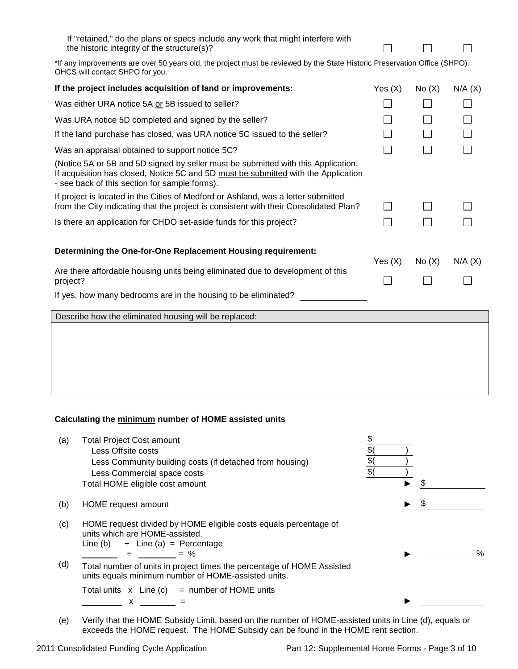| If "retained," do the plans or specs include any work that might interfere with<br>the historic integrity of the structure(s)?                                                                                           |           |       |        |
|--------------------------------------------------------------------------------------------------------------------------------------------------------------------------------------------------------------------------|-----------|-------|--------|
| *If any improvements are over 50 years old, the project must be reviewed by the State Historic Preservation Office (SHPO).<br>OHCS will contact SHPO for you.                                                            |           |       |        |
| If the project includes acquisition of land or improvements:                                                                                                                                                             | Yes $(X)$ | No(X) | N/A(X) |
| Was either URA notice 5A or 5B issued to seller?                                                                                                                                                                         |           |       |        |
| Was URA notice 5D completed and signed by the seller?                                                                                                                                                                    |           |       |        |
| If the land purchase has closed, was URA notice 5C issued to the seller?                                                                                                                                                 |           |       |        |
| Was an appraisal obtained to support notice 5C?                                                                                                                                                                          |           |       |        |
| (Notice 5A or 5B and 5D signed by seller must be submitted with this Application.<br>If acquisition has closed, Notice 5C and 5D must be submitted with the Application<br>- see back of this section for sample forms). |           |       |        |
| If project is located in the Cities of Medford or Ashland, was a letter submitted<br>from the City indicating that the project is consistent with their Consolidated Plan?                                               |           |       |        |
| Is there an application for CHDO set-aside funds for this project?                                                                                                                                                       |           |       |        |
| Determining the One-for-One Replacement Housing requirement:                                                                                                                                                             |           |       |        |
| Are there affordable housing units being eliminated due to development of this                                                                                                                                           | Yes(X)    | No(X) | N/A(X) |
| project?                                                                                                                                                                                                                 |           |       |        |
| If yes, how many bedrooms are in the housing to be eliminated?                                                                                                                                                           |           |       |        |
| Describe how the eliminated housing will be replaced:                                                                                                                                                                    |           |       |        |
|                                                                                                                                                                                                                          |           |       |        |
|                                                                                                                                                                                                                          |           |       |        |
|                                                                                                                                                                                                                          |           |       |        |

### **Calculating the minimum number of HOME assisted units**

| (a)    | <b>Total Project Cost amount</b><br>Less Offsite costs<br>Less Community building costs (if detached from housing)<br>Less Commercial space costs<br>Total HOME eligible cost amount | \$1<br>\$1<br>$$^{(1)}$ |  |   |
|--------|--------------------------------------------------------------------------------------------------------------------------------------------------------------------------------------|-------------------------|--|---|
| (b)    | HOME request amount                                                                                                                                                                  |                         |  |   |
| (c)    | HOME request divided by HOME eligible costs equals percentage of<br>units which are HOME-assisted.<br>Line (b) $\div$ Line (a) = Percentage<br>$\div$ = %                            |                         |  | % |
| (d)    | Total number of units in project times the percentage of HOME Assisted<br>units equals minimum number of HOME-assisted units.                                                        |                         |  |   |
|        | Total units $x$ Line (c) = number of HOME units<br>х                                                                                                                                 |                         |  |   |
| $\sim$ | دم عامر بعد الم/ معزل عن عائم برعام معرَّفه عليه الله عن عمر مع عليه العمد عليه الرحل عليه الصلاة المعانية وال                                                                       |                         |  |   |

(e) Verify that the HOME Subsidy Limit, based on the number of HOME-assisted units in Line (d), equals or exceeds the HOME request. The HOME Subsidy can be found in the HOME rent section.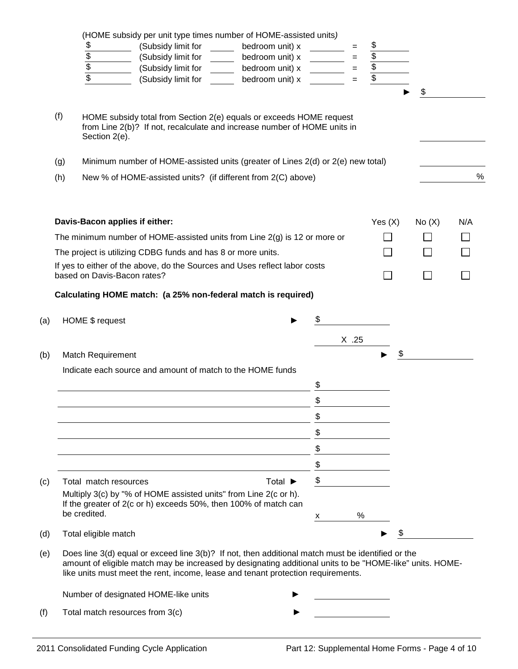|     |     | (HOME subsidy per unit type times number of HOME-assisted units)                                                                                                                                                                                                                                  |         |               |                          |     |
|-----|-----|---------------------------------------------------------------------------------------------------------------------------------------------------------------------------------------------------------------------------------------------------------------------------------------------------|---------|---------------|--------------------------|-----|
|     |     | (Subsidy limit for<br>bedroom unit) x                                                                                                                                                                                                                                                             |         |               |                          |     |
|     |     | (Subsidy limit for<br>bedroom unit) x                                                                                                                                                                                                                                                             | $=$     |               |                          |     |
|     |     | \$<br>\$<br>(Subsidy limit for<br>bedroom unit) x                                                                                                                                                                                                                                                 | $=$     | $\frac{3}{3}$ |                          |     |
|     |     | (Subsidy limit for<br>bedroom unit) x                                                                                                                                                                                                                                                             |         |               | \$                       |     |
|     |     |                                                                                                                                                                                                                                                                                                   |         |               |                          |     |
|     | (f) | HOME subsidy total from Section 2(e) equals or exceeds HOME request<br>from Line 2(b)? If not, recalculate and increase number of HOME units in<br>Section 2(e).                                                                                                                                  |         |               |                          |     |
|     | (g) | Minimum number of HOME-assisted units (greater of Lines 2(d) or 2(e) new total)                                                                                                                                                                                                                   |         |               |                          |     |
|     | (h) | New % of HOME-assisted units? (if different from 2(C) above)                                                                                                                                                                                                                                      |         |               |                          | %   |
|     |     |                                                                                                                                                                                                                                                                                                   |         |               |                          |     |
|     |     | Davis-Bacon applies if either:                                                                                                                                                                                                                                                                    |         | Yes $(X)$     | No(X)                    | N/A |
|     |     | The minimum number of HOME-assisted units from Line $2(g)$ is 12 or more or                                                                                                                                                                                                                       |         |               |                          |     |
|     |     | The project is utilizing CDBG funds and has 8 or more units.                                                                                                                                                                                                                                      |         |               |                          |     |
|     |     | If yes to either of the above, do the Sources and Uses reflect labor costs<br>based on Davis-Bacon rates?                                                                                                                                                                                         |         | $\mathcal{L}$ | $\overline{\phantom{0}}$ |     |
|     |     | Calculating HOME match: (a 25% non-federal match is required)                                                                                                                                                                                                                                     |         |               |                          |     |
| (a) |     | HOME \$ request                                                                                                                                                                                                                                                                                   |         |               |                          |     |
|     |     |                                                                                                                                                                                                                                                                                                   | $X$ .25 |               |                          |     |
| (b) |     | <b>Match Requirement</b>                                                                                                                                                                                                                                                                          |         | \$            |                          |     |
|     |     | Indicate each source and amount of match to the HOME funds                                                                                                                                                                                                                                        |         |               |                          |     |
|     |     |                                                                                                                                                                                                                                                                                                   | \$      |               |                          |     |
|     |     |                                                                                                                                                                                                                                                                                                   | \$      |               |                          |     |
|     |     |                                                                                                                                                                                                                                                                                                   | \$      |               |                          |     |
|     |     |                                                                                                                                                                                                                                                                                                   | \$      |               |                          |     |
|     |     |                                                                                                                                                                                                                                                                                                   | \$      |               |                          |     |
|     |     |                                                                                                                                                                                                                                                                                                   | \$      |               |                          |     |
| (c) |     | Total match resources<br>Total $\blacktriangleright$                                                                                                                                                                                                                                              | \$      |               |                          |     |
|     |     | Multiply 3(c) by "% of HOME assisted units" from Line 2(c or h).<br>If the greater of 2(c or h) exceeds 50%, then 100% of match can                                                                                                                                                               |         |               |                          |     |
|     |     | be credited.                                                                                                                                                                                                                                                                                      | х       | %             |                          |     |
| (d) |     | Total eligible match                                                                                                                                                                                                                                                                              |         |               |                          |     |
| (e) |     | Does line 3(d) equal or exceed line 3(b)? If not, then additional match must be identified or the<br>amount of eligible match may be increased by designating additional units to be "HOME-like" units. HOME-<br>like units must meet the rent, income, lease and tenant protection requirements. |         |               |                          |     |
|     |     | Number of designated HOME-like units                                                                                                                                                                                                                                                              |         |               |                          |     |
| (f) |     | Total match resources from 3(c)                                                                                                                                                                                                                                                                   |         |               |                          |     |
|     |     |                                                                                                                                                                                                                                                                                                   |         |               |                          |     |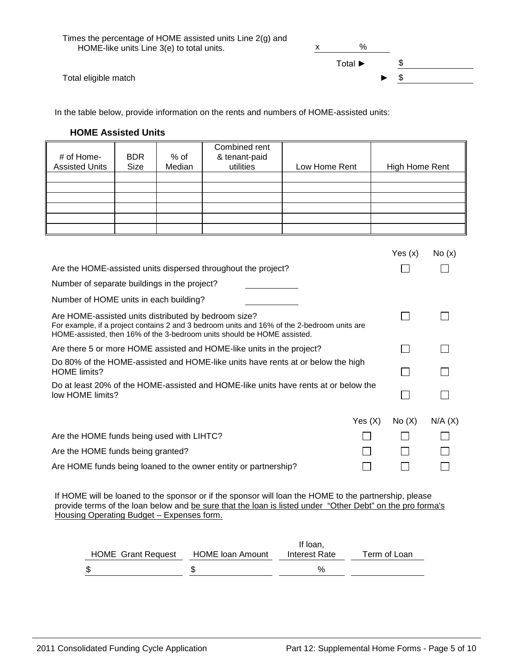Times the percentage of HOME assisted units Line 2(g) and HOME-like units Line  $3(e)$  to total units.  $x = x$  %

Total ► \$ Total eligible match  $\frac{1}{2}$ 

In the table below, provide information on the rents and numbers of HOME-assisted units:

#### **HOME Assisted Units**

| # of Home-<br><b>Assisted Units</b>                  | BDR.<br>Size | % of<br>Median | Combined rent<br>& tenant-paid<br>utilities                   | Low Home Rent | High Home Rent |       |
|------------------------------------------------------|--------------|----------------|---------------------------------------------------------------|---------------|----------------|-------|
|                                                      |              |                |                                                               |               |                |       |
|                                                      |              |                |                                                               |               |                |       |
|                                                      |              |                |                                                               |               |                |       |
|                                                      |              |                |                                                               |               |                |       |
|                                                      |              |                |                                                               |               |                |       |
|                                                      |              |                |                                                               |               | Yes $(x)$      | No(x) |
|                                                      |              |                | Are the HOME-assisted units dispersed throughout the project? |               |                |       |
| Number of separate buildings in the project?         |              |                |                                                               |               |                |       |
| Number of HOME units in each building?               |              |                |                                                               |               |                |       |
| Are HOME-assisted units distributed by bedroom size? |              |                |                                                               |               |                |       |

| Number of separate buildings in the project?                                                                                                                                                                                   |           |       |        |
|--------------------------------------------------------------------------------------------------------------------------------------------------------------------------------------------------------------------------------|-----------|-------|--------|
| Number of HOME units in each building?                                                                                                                                                                                         |           |       |        |
| Are HOME-assisted units distributed by bedroom size?<br>For example, if a project contains 2 and 3 bedroom units and 16% of the 2-bedroom units are<br>HOME-assisted, then 16% of the 3-bedroom units should be HOME assisted. |           |       |        |
| Are there 5 or more HOME assisted and HOME-like units in the project?                                                                                                                                                          |           |       |        |
| Do 80% of the HOME-assisted and HOME-like units have rents at or below the high<br><b>HOME</b> limits?                                                                                                                         |           |       |        |
| Do at least 20% of the HOME-assisted and HOME-like units have rents at or below the<br>low HOME limits?                                                                                                                        |           |       |        |
|                                                                                                                                                                                                                                | Yes $(X)$ | No(X) | N/A(X) |
| Are the HOME funds being used with LIHTC?                                                                                                                                                                                      |           |       |        |
| Are the HOME funds being granted?                                                                                                                                                                                              |           |       |        |
| Are HOME funds being loaned to the owner entity or partnership?                                                                                                                                                                |           |       |        |

Are HOME funds being loaned to the owner entity or partnership?

If HOME will be loaned to the sponsor or if the sponsor will loan the HOME to the partnership, please provide terms of the loan below and be sure that the loan is listed under "Other Debt" on the pro forma's Housing Operating Budget – Expenses form.

|                           |                         | If Ioan.      |              |
|---------------------------|-------------------------|---------------|--------------|
| <b>HOME</b> Grant Request | <b>HOME</b> loan Amount | Interest Rate | Term of Loan |
|                           |                         | $\%$          |              |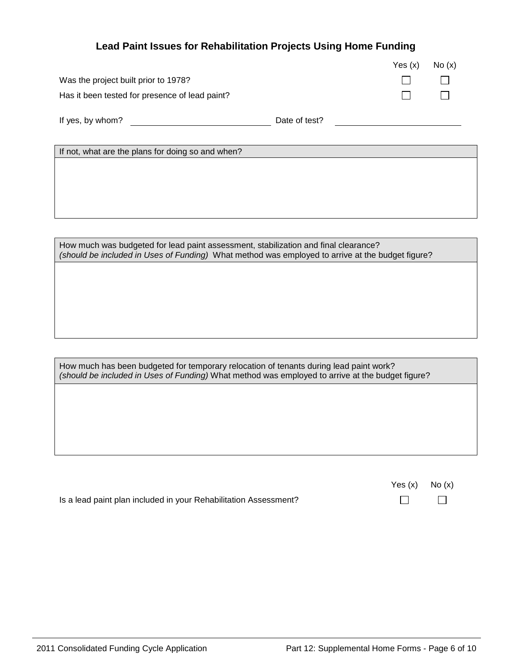### **Lead Paint Issues for Rehabilitation Projects Using Home Funding**

|                                                |               | Yes(x) | No(x)        |
|------------------------------------------------|---------------|--------|--------------|
| Was the project built prior to 1978?           |               |        | $\mathbf{L}$ |
| Has it been tested for presence of lead paint? |               |        |              |
| If yes, by whom?                               | Date of test? |        |              |

If not, what are the plans for doing so and when?

How much was budgeted for lead paint assessment, stabilization and final clearance? *(should be included in Uses of Funding)* What method was employed to arrive at the budget figure?

| How much has been budgeted for temporary relocation of tenants during lead paint work?           |
|--------------------------------------------------------------------------------------------------|
| (should be included in Uses of Funding) What method was employed to arrive at the budget figure? |

| Is a lead paint plan included in your Rehabilitation Assessment? |  |
|------------------------------------------------------------------|--|
|------------------------------------------------------------------|--|

| Yes $(x)$                | No(x)  |
|--------------------------|--------|
| $\overline{\phantom{0}}$ | $\Box$ |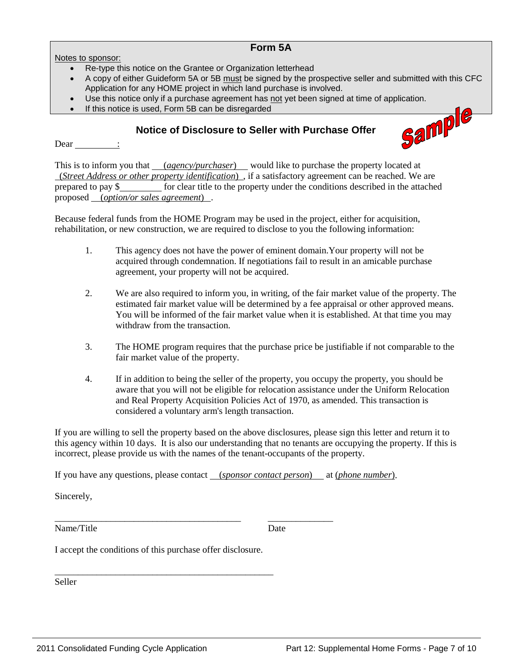### **Form 5A**

Notes to sponsor:

- Re-type this notice on the Grantee or Organization letterhead
- A copy of either Guideform 5A or 5B must be signed by the prospective seller and submitted with this CFC Application for any HOME project in which land purchase is involved.
- Use this notice only if a purchase agreement has <u>not</u> yet been signed at time of application.<br>If this notice is used, Form 5B can be disregarded<br>**Notice of Disclosure to Seller with Purchase Offer**
- If this notice is used, Form 5B can be disregarded

### **Notice of Disclosure to Seller with Purchase Offer**

Dear  $\sum_{n=1}^{\infty}$ 

This is to inform you that *(agency/purchaser)* would like to purchase the property located at (*Street Address or other property identification*) , if a satisfactory agreement can be reached. We are prepared to pay \$ for clear title to the property under the conditions described in the attached proposed (*option/or sales agreement*) .

Because federal funds from the HOME Program may be used in the project, either for acquisition, rehabilitation, or new construction, we are required to disclose to you the following information:

- 1. This agency does not have the power of eminent domain.Your property will not be acquired through condemnation. If negotiations fail to result in an amicable purchase agreement, your property will not be acquired.
- 2. We are also required to inform you, in writing, of the fair market value of the property. The estimated fair market value will be determined by a fee appraisal or other approved means. You will be informed of the fair market value when it is established. At that time you may withdraw from the transaction.
- 3. The HOME program requires that the purchase price be justifiable if not comparable to the fair market value of the property.
- 4. If in addition to being the seller of the property, you occupy the property, you should be aware that you will not be eligible for relocation assistance under the Uniform Relocation and Real Property Acquisition Policies Act of 1970, as amended. This transaction is considered a voluntary arm's length transaction.

If you are willing to sell the property based on the above disclosures, please sign this letter and return it to this agency within 10 days. It is also our understanding that no tenants are occupying the property. If this is incorrect, please provide us with the names of the tenant-occupants of the property.

If you have any questions, please contact (*sponsor contact person*) at (*phone number*).

\_\_\_\_\_\_\_\_\_\_\_\_\_\_\_\_\_\_\_\_\_\_\_\_\_\_\_\_\_\_\_\_\_\_\_\_\_\_\_\_ \_\_\_\_\_\_\_\_\_\_\_\_\_\_

Sincerely,

Name/Title Date

I accept the conditions of this purchase offer disclosure.

\_\_\_\_\_\_\_\_\_\_\_\_\_\_\_\_\_\_\_\_\_\_\_\_\_\_\_\_\_\_\_\_\_\_\_\_\_\_\_\_\_\_\_\_\_\_\_ Seller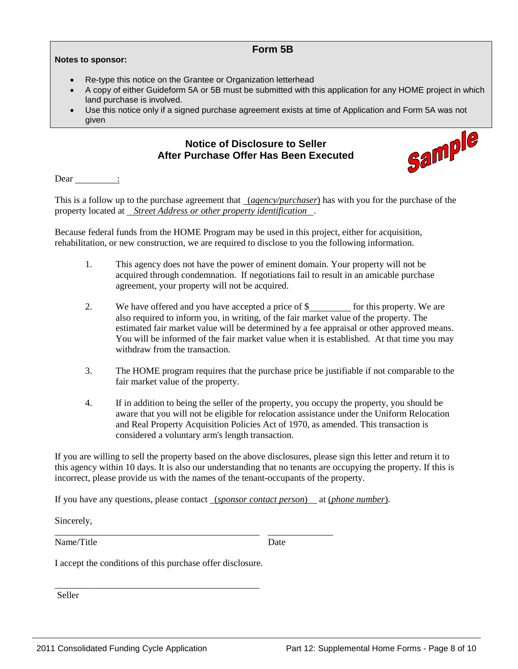### **Form 5B**

#### **Notes to sponsor:**

- Re-type this notice on the Grantee or Organization letterhead
- A copy of either Guideform 5A or 5B must be submitted with this application for any HOME project in which land purchase is involved.
- Use this notice only if a signed purchase agreement exists at time of Application and Form 5A was not given

### **Notice of Disclosure to Seller After Purchase Offer Has Been Executed**



Dear :

This is a follow up to the purchase agreement that (*agency/purchaser*) has with you for the purchase of the property located at *Street Address or other property identification* .

Because federal funds from the HOME Program may be used in this project, either for acquisition, rehabilitation, or new construction, we are required to disclose to you the following information.

- 1. This agency does not have the power of eminent domain. Your property will not be acquired through condemnation. If negotiations fail to result in an amicable purchase agreement, your property will not be acquired.
- 2. We have offered and you have accepted a price of  $\frac{1}{2}$  for this property. We are also required to inform you, in writing, of the fair market value of the property. The estimated fair market value will be determined by a fee appraisal or other approved means. You will be informed of the fair market value when it is established. At that time you may withdraw from the transaction.
- 3. The HOME program requires that the purchase price be justifiable if not comparable to the fair market value of the property.
- 4. If in addition to being the seller of the property, you occupy the property, you should be aware that you will not be eligible for relocation assistance under the Uniform Relocation and Real Property Acquisition Policies Act of 1970, as amended. This transaction is considered a voluntary arm's length transaction.

If you are willing to sell the property based on the above disclosures, please sign this letter and return it to this agency within 10 days. It is also our understanding that no tenants are occupying the property. If this is incorrect, please provide us with the names of the tenant-occupants of the property.

If you have any questions, please contact (*sponsor contact person*) at (*phone number*).

\_\_\_\_\_\_\_\_\_\_\_\_\_\_\_\_\_\_\_\_\_\_\_\_\_\_\_\_\_\_\_\_\_\_\_\_\_\_\_\_\_\_\_\_ \_\_\_\_\_\_\_\_\_\_\_\_\_\_

Sincerely,

Name/Title Date

I accept the conditions of this purchase offer disclosure.

\_\_\_\_\_\_\_\_\_\_\_\_\_\_\_\_\_\_\_\_\_\_\_\_\_\_\_\_\_\_\_\_\_\_\_\_\_\_\_\_\_\_\_\_

Seller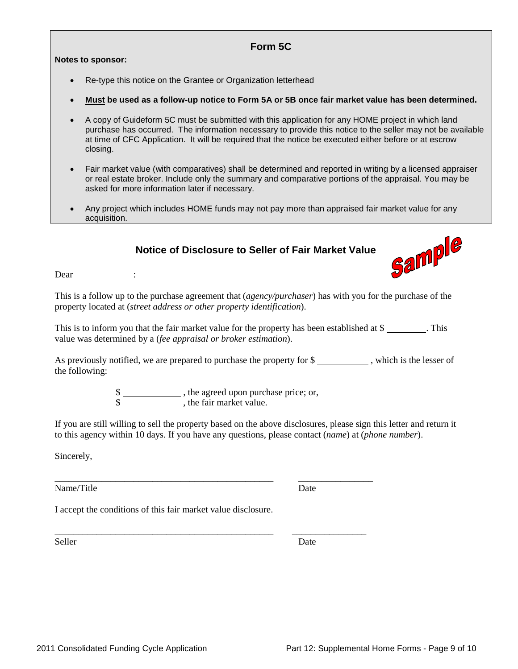| Form 5C                                                                                                                                                                                                                                                                                                                                            |  |  |  |  |  |
|----------------------------------------------------------------------------------------------------------------------------------------------------------------------------------------------------------------------------------------------------------------------------------------------------------------------------------------------------|--|--|--|--|--|
| Notes to sponsor:                                                                                                                                                                                                                                                                                                                                  |  |  |  |  |  |
| Re-type this notice on the Grantee or Organization letterhead<br>$\bullet$                                                                                                                                                                                                                                                                         |  |  |  |  |  |
| Must be used as a follow-up notice to Form 5A or 5B once fair market value has been determined.<br>$\bullet$                                                                                                                                                                                                                                       |  |  |  |  |  |
| A copy of Guideform 5C must be submitted with this application for any HOME project in which land<br>$\bullet$<br>purchase has occurred. The information necessary to provide this notice to the seller may not be available<br>at time of CFC Application. It will be required that the notice be executed either before or at escrow<br>closing. |  |  |  |  |  |
| Fair market value (with comparatives) shall be determined and reported in writing by a licensed appraiser<br>$\bullet$<br>or real estate broker. Include only the summary and comparative portions of the appraisal. You may be<br>asked for more information later if necessary.                                                                  |  |  |  |  |  |
| Any project which includes HOME funds may not pay more than appraised fair market value for any<br>$\bullet$<br>acquisition.                                                                                                                                                                                                                       |  |  |  |  |  |
|                                                                                                                                                                                                                                                                                                                                                    |  |  |  |  |  |
| Notice of Disclosure to Seller of Fair Market Value                                                                                                                                                                                                                                                                                                |  |  |  |  |  |
| Sample<br>Dear :                                                                                                                                                                                                                                                                                                                                   |  |  |  |  |  |
| This is a follow up to the purchase agreement that (agency/purchaser) has with you for the purchase of the<br>property located at (street address or other property identification).                                                                                                                                                               |  |  |  |  |  |
| This is to inform you that the fair market value for the property has been established at \$<br>value was determined by a (fee appraisal or broker estimation).                                                                                                                                                                                    |  |  |  |  |  |
| As previously notified, we are prepared to purchase the property for \$_________, which is the lesser of<br>the following:                                                                                                                                                                                                                         |  |  |  |  |  |
| \$<br>$\frac{1}{2}$ , the agreed upon purchase price; or,<br>$\frac{1}{2}$ , the fair market value.                                                                                                                                                                                                                                                |  |  |  |  |  |
| If you are still willing to sell the property based on the above disclosures, please sign this letter and return it<br>to this agency within 10 days. If you have any questions, please contact (name) at (phone number).                                                                                                                          |  |  |  |  |  |

Sincerely,

Name/Title Date

\_\_\_\_\_\_\_\_\_\_\_\_\_\_\_\_\_\_\_\_\_\_\_\_\_\_\_\_\_\_\_\_\_\_\_\_\_\_\_\_\_\_\_\_\_\_\_ \_\_\_\_\_\_\_\_\_\_\_\_\_\_\_\_

I accept the conditions of this fair market value disclosure.

\_\_\_\_\_\_\_\_\_\_\_\_\_\_\_\_\_\_\_\_\_\_\_\_\_\_\_\_\_\_\_\_\_\_\_\_\_\_\_\_\_\_\_\_\_\_\_ \_\_\_\_\_\_\_\_\_\_\_\_\_\_\_\_ Seller Date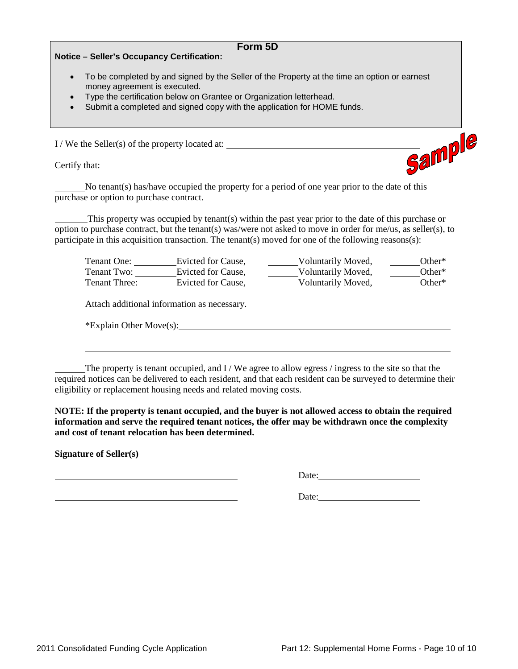| Form 5D                                                                                                                                                                                                                                                                                                                       |        |
|-------------------------------------------------------------------------------------------------------------------------------------------------------------------------------------------------------------------------------------------------------------------------------------------------------------------------------|--------|
| <b>Notice - Seller's Occupancy Certification:</b>                                                                                                                                                                                                                                                                             |        |
| To be completed by and signed by the Seller of the Property at the time an option or earnest<br>$\bullet$<br>money agreement is executed.<br>Type the certification below on Grantee or Organization letterhead.<br>$\bullet$<br>Submit a completed and signed copy with the application for HOME funds.<br>$\bullet$         |        |
| I/We the Seller(s) of the property located at: _________________________________                                                                                                                                                                                                                                              |        |
| Certify that:                                                                                                                                                                                                                                                                                                                 | sample |
| No tenant(s) has/have occupied the property for a period of one year prior to the date of this<br>purchase or option to purchase contract.                                                                                                                                                                                    |        |
| This property was occupied by tenant(s) within the past year prior to the date of this purchase or<br>option to purchase contract, but the tenant(s) was/were not asked to move in order for me/us, as seller(s), to<br>participate in this acquisition transaction. The tenant(s) moved for one of the following reasons(s): |        |
| Tenant One: __________Evicted for Cause,<br>_______Other*<br>Voluntarily Moved,                                                                                                                                                                                                                                               |        |
| Voluntarily Moved,<br>Tenant Two: Evicted for Cause,<br>Other*                                                                                                                                                                                                                                                                |        |
| Tenant Three: Evicted for Cause,<br>Voluntarily Moved,<br>Other $*$                                                                                                                                                                                                                                                           |        |
| Attach additional information as necessary.                                                                                                                                                                                                                                                                                   |        |
| *Explain Other Move(s): Manual Communication of the Move (s):                                                                                                                                                                                                                                                                 |        |
|                                                                                                                                                                                                                                                                                                                               |        |
|                                                                                                                                                                                                                                                                                                                               |        |
|                                                                                                                                                                                                                                                                                                                               |        |

The property is tenant occupied, and I / We agree to allow egress / ingress to the site so that the required notices can be delivered to each resident, and that each resident can be surveyed to determine their eligibility or replacement housing needs and related moving costs.

**NOTE: If the property is tenant occupied, and the buyer is not allowed access to obtain the required information and serve the required tenant notices, the offer may be withdrawn once the complexity and cost of tenant relocation has been determined.**

**Signature of Seller(s)**

Date: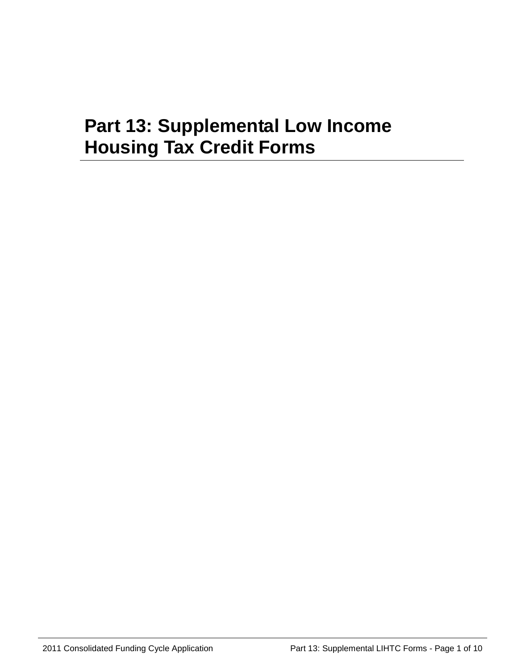# **Part 13: Supplemental Low Income Housing Tax Credit Forms**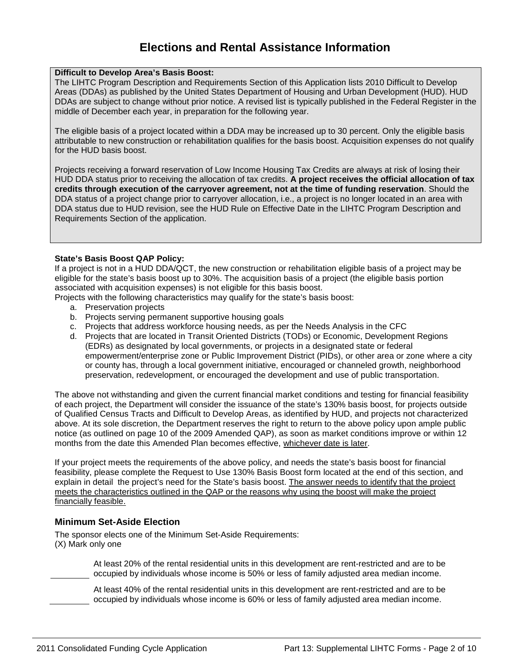# **Elections and Rental Assistance Information**

#### **Difficult to Develop Area's Basis Boost:**

The LIHTC Program Description and Requirements Section of this Application lists 2010 Difficult to Develop Areas (DDAs) as published by the United States Department of Housing and Urban Development (HUD). HUD DDAs are subject to change without prior notice. A revised list is typically published in the Federal Register in the middle of December each year, in preparation for the following year.

The eligible basis of a project located within a DDA may be increased up to 30 percent. Only the eligible basis attributable to new construction or rehabilitation qualifies for the basis boost. Acquisition expenses do not qualify for the HUD basis boost.

Projects receiving a forward reservation of Low Income Housing Tax Credits are always at risk of losing their HUD DDA status prior to receiving the allocation of tax credits. **A project receives the official allocation of tax credits through execution of the carryover agreement, not at the time of funding reservation**. Should the DDA status of a project change prior to carryover allocation, i.e., a project is no longer located in an area with DDA status due to HUD revision, see the HUD Rule on Effective Date in the LIHTC Program Description and Requirements Section of the application.

#### **State's Basis Boost QAP Policy:**

If a project is not in a HUD DDA/QCT, the new construction or rehabilitation eligible basis of a project may be eligible for the state's basis boost up to 30%. The acquisition basis of a project (the eligible basis portion associated with acquisition expenses) is not eligible for this basis boost.

Projects with the following characteristics may qualify for the state's basis boost:

- a. Preservation projects
- b. Projects serving permanent supportive housing goals
- c. Projects that address workforce housing needs, as per the Needs Analysis in the CFC
- d. Projects that are located in Transit Oriented Districts (TODs) or Economic, Development Regions (EDRs) as designated by local governments, or projects in a designated state or federal empowerment/enterprise zone or Public Improvement District (PIDs), or other area or zone where a city or county has, through a local government initiative, encouraged or channeled growth, neighborhood preservation, redevelopment, or encouraged the development and use of public transportation.

The above not withstanding and given the current financial market conditions and testing for financial feasibility of each project, the Department will consider the issuance of the state's 130% basis boost, for projects outside of Qualified Census Tracts and Difficult to Develop Areas, as identified by HUD, and projects not characterized above. At its sole discretion, the Department reserves the right to return to the above policy upon ample public notice (as outlined on page 10 of the 2009 Amended QAP), as soon as market conditions improve or within 12 months from the date this Amended Plan becomes effective, whichever date is later.

If your project meets the requirements of the above policy, and needs the state's basis boost for financial feasibility, please complete the Request to Use 130% Basis Boost form located at the end of this section, and explain in detail the project's need for the State's basis boost. The answer needs to identify that the project meets the characteristics outlined in the QAP or the reasons why using the boost will make the project financially feasible.

#### **Minimum Set-Aside Election**

The sponsor elects one of the Minimum Set-Aside Requirements: (X) Mark only one

> At least 20% of the rental residential units in this development are rent-restricted and are to be occupied by individuals whose income is 50% or less of family adjusted area median income.

> At least 40% of the rental residential units in this development are rent-restricted and are to be occupied by individuals whose income is 60% or less of family adjusted area median income.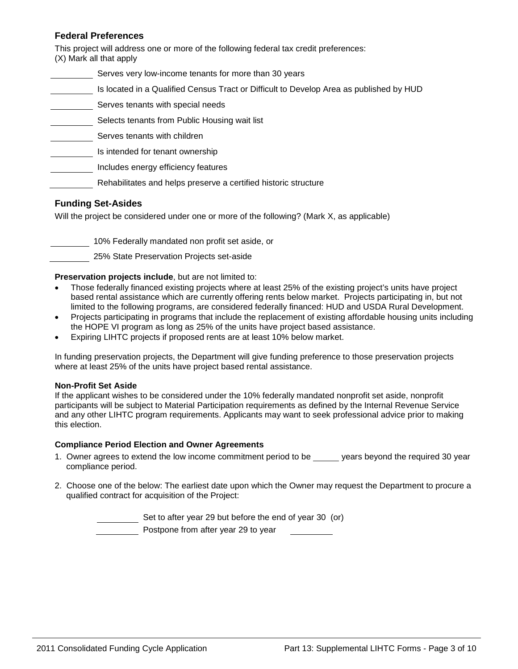### **Federal Preferences**

This project will address one or more of the following federal tax credit preferences: (X) Mark all that apply

- Serves very low-income tenants for more than 30 years
- Is located in a Qualified Census Tract or Difficult to Develop Area as published by HUD
- Serves tenants with special needs
- Selects tenants from Public Housing wait list
- Serves tenants with children
- Is intended for tenant ownership
- Includes energy efficiency features
	- Rehabilitates and helps preserve a certified historic structure

### **Funding Set-Asides**

Will the project be considered under one or more of the following? (Mark X, as applicable)

10% Federally mandated non profit set aside, or

25% State Preservation Projects set-aside

**Preservation projects include**, but are not limited to:

- Those federally financed existing projects where at least 25% of the existing project's units have project based rental assistance which are currently offering rents below market. Projects participating in, but not limited to the following programs, are considered federally financed: HUD and USDA Rural Development.
- Projects participating in programs that include the replacement of existing affordable housing units including the HOPE VI program as long as 25% of the units have project based assistance.
- Expiring LIHTC projects if proposed rents are at least 10% below market.

In funding preservation projects, the Department will give funding preference to those preservation projects where at least 25% of the units have project based rental assistance.

#### **Non-Profit Set Aside**

If the applicant wishes to be considered under the 10% federally mandated nonprofit set aside, nonprofit participants will be subject to Material Participation requirements as defined by the Internal Revenue Service and any other LIHTC program requirements. Applicants may want to seek professional advice prior to making this election.

#### **Compliance Period Election and Owner Agreements**

- 1. Owner agrees to extend the low income commitment period to be years beyond the required 30 year compliance period.
- 2. Choose one of the below: The earliest date upon which the Owner may request the Department to procure a qualified contract for acquisition of the Project:

Set to after year 29 but before the end of year 30 (or)

Postpone from after year 29 to year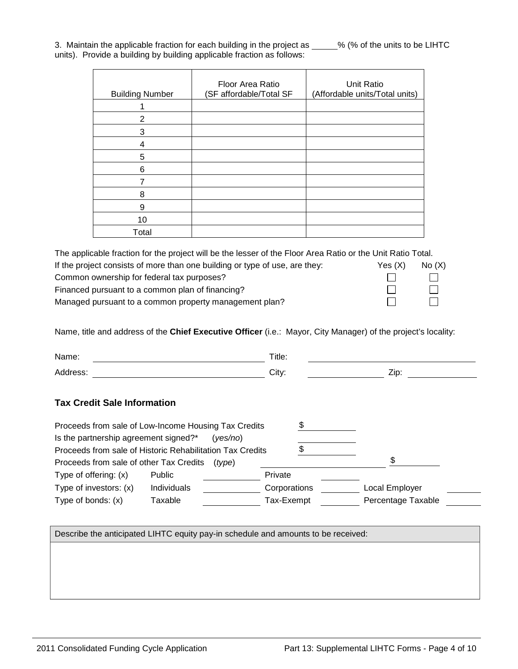$\Box$ 

 $\Box$ 

П

 $\Box$ 

3. Maintain the applicable fraction for each building in the project as \_\_\_\_\_% (% of the units to be LIHTC units). Provide a building by building applicable fraction as follows:

| <b>Building Number</b> | Floor Area Ratio<br>(SF affordable/Total SF | Unit Ratio<br>(Affordable units/Total units) |
|------------------------|---------------------------------------------|----------------------------------------------|
|                        |                                             |                                              |
| 2                      |                                             |                                              |
| 3                      |                                             |                                              |
| 4                      |                                             |                                              |
| 5                      |                                             |                                              |
| 6                      |                                             |                                              |
|                        |                                             |                                              |
| 8                      |                                             |                                              |
| 9                      |                                             |                                              |
| 10                     |                                             |                                              |
| Total                  |                                             |                                              |

The applicable fraction for the project will be the lesser of the Floor Area Ratio or the Unit Ratio Total. If the project consists of more than one building or type of use, are they:  $Yes(X)$  No  $(X)$ Common ownership for federal tax purposes?  $\Box$  $\Box$ 

Financed pursuant to a common plan of financing?

Managed pursuant to a common property management plan?

Name, title and address of the **Chief Executive Officer** (i.e.: Mayor, City Manager) of the project's locality:

| Name:                                                     |               |          | Title:        |  |                    |  |
|-----------------------------------------------------------|---------------|----------|---------------|--|--------------------|--|
| Address:                                                  |               |          | Zip:<br>City: |  |                    |  |
| <b>Tax Credit Sale Information</b>                        |               |          |               |  |                    |  |
| Proceeds from sale of Low-Income Housing Tax Credits      |               |          |               |  |                    |  |
| Is the partnership agreement signed?*                     |               | (ves/no) |               |  |                    |  |
| Proceeds from sale of Historic Rehabilitation Tax Credits |               |          |               |  |                    |  |
| Proceeds from sale of other Tax Credits                   |               | (type)   |               |  |                    |  |
| Type of offering: $(x)$                                   | <b>Public</b> |          | Private       |  |                    |  |
| Type of investors: (x)                                    | Individuals   |          | Corporations  |  | Local Employer     |  |
| Type of bonds: $(x)$                                      | Taxable       |          | Tax-Exempt    |  | Percentage Taxable |  |

Describe the anticipated LIHTC equity pay-in schedule and amounts to be received: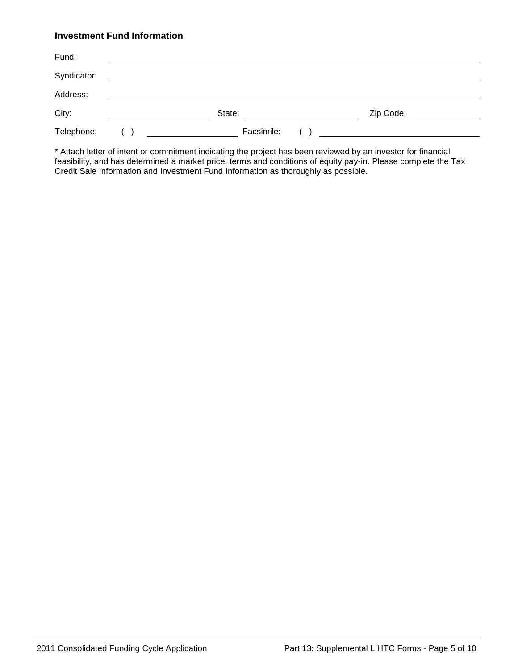### **Investment Fund Information**

| Fund:       |            |                                                    |  |
|-------------|------------|----------------------------------------------------|--|
| Syndicator: |            |                                                    |  |
| Address:    |            |                                                    |  |
| City:       | State:     | Zip Code:                                          |  |
| Telephone:  | Facsimile: | <u> 1989 - John Stone, Amerikaansk politiker (</u> |  |

\* Attach letter of intent or commitment indicating the project has been reviewed by an investor for financial feasibility, and has determined a market price, terms and conditions of equity pay-in. Please complete the Tax Credit Sale Information and Investment Fund Information as thoroughly as possible.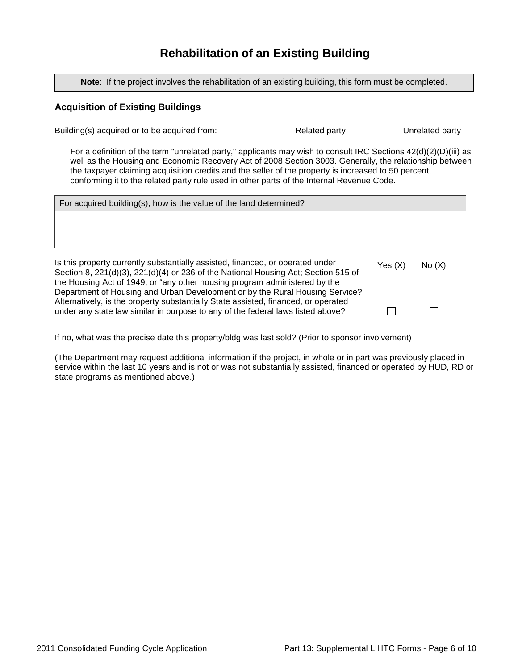# **Rehabilitation of an Existing Building**

**Note**: If the project involves the rehabilitation of an existing building, this form must be completed.

#### **Acquisition of Existing Buildings**

Building(s) acquired or to be acquired from: The Related party Content of Director of the acquired party Related party

For a definition of the term "unrelated party," applicants may wish to consult IRC Sections 42(d)(2)(D)(iii) as well as the Housing and Economic Recovery Act of 2008 Section 3003. Generally, the relationship between the taxpayer claiming acquisition credits and the seller of the property is increased to 50 percent, conforming it to the related party rule used in other parts of the Internal Revenue Code.

| For acquired building(s), how is the value of the land determined?                                                                                                                                                                                                                                                                 |         |       |
|------------------------------------------------------------------------------------------------------------------------------------------------------------------------------------------------------------------------------------------------------------------------------------------------------------------------------------|---------|-------|
|                                                                                                                                                                                                                                                                                                                                    |         |       |
|                                                                                                                                                                                                                                                                                                                                    |         |       |
| Is this property currently substantially assisted, financed, or operated under<br>Section 8, 221(d)(3), 221(d)(4) or 236 of the National Housing Act; Section 515 of<br>the Housing Act of 1949, or "any other housing program administered by the<br>Department of Housing and Urban Development or by the Rural Housing Service? | Yes (X) | No(X) |
| Alternatively, is the property substantially State assisted, financed, or operated<br>under any state law similar in purpose to any of the federal laws listed above?                                                                                                                                                              |         |       |
| If no, what was the precise date this property/bldg was last sold? (Prior to sponsor involvement)                                                                                                                                                                                                                                  |         |       |

(The Department may request additional information if the project, in whole or in part was previously placed in service within the last 10 years and is not or was not substantially assisted, financed or operated by HUD, RD or state programs as mentioned above.)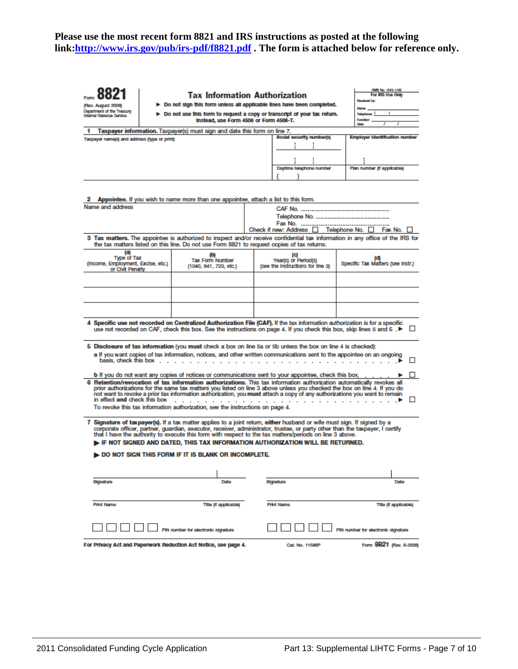### **Please use the most recent form 8821 and IRS instructions as posted at the following link[:http://www.irs.gov/pub/irs-pdf/f8821.pdf](http://www.irs.gov/pub/irs-pdf/f8821.pdf) . The form is attached below for reference only.**

| (Rev. August 2008)<br>Department of the Treasury<br>Intamal Rovenue Service         | OMB No. 1545-1105<br><b>Tax Information Authorization</b><br>For IRS Use Only<br><b>Received by:</b><br>> Do not sign this form unless all applicable lines have been completed.<br>$\blacktriangleright$ Do not use this form to request a copy or transcript of your tax return.<br>Talaphone <sup>(</sup><br>Instead, use Form 4506 or Form 4506-T.<br>Function<br>Date<br>Taxpayer information. Taxpayer(s) must sign and date this form on line 7. |                                                                                                                                                                                                                                                                                                                                                                                                                                                                                                                                                                         |  |                                                                  |                                                                                                                                                                                     |
|-------------------------------------------------------------------------------------|---------------------------------------------------------------------------------------------------------------------------------------------------------------------------------------------------------------------------------------------------------------------------------------------------------------------------------------------------------------------------------------------------------------------------------------------------------|-------------------------------------------------------------------------------------------------------------------------------------------------------------------------------------------------------------------------------------------------------------------------------------------------------------------------------------------------------------------------------------------------------------------------------------------------------------------------------------------------------------------------------------------------------------------------|--|------------------------------------------------------------------|-------------------------------------------------------------------------------------------------------------------------------------------------------------------------------------|
| Taxpayer name(s) and address (type or print)                                        |                                                                                                                                                                                                                                                                                                                                                                                                                                                         |                                                                                                                                                                                                                                                                                                                                                                                                                                                                                                                                                                         |  | <b>Social security number(s)</b>                                 | <b>Employer Identification number</b>                                                                                                                                               |
|                                                                                     |                                                                                                                                                                                                                                                                                                                                                                                                                                                         |                                                                                                                                                                                                                                                                                                                                                                                                                                                                                                                                                                         |  | Daytime telephone number                                         | Plan number (If applicable)                                                                                                                                                         |
|                                                                                     |                                                                                                                                                                                                                                                                                                                                                                                                                                                         |                                                                                                                                                                                                                                                                                                                                                                                                                                                                                                                                                                         |  |                                                                  |                                                                                                                                                                                     |
| Name and address                                                                    |                                                                                                                                                                                                                                                                                                                                                                                                                                                         | Appointee. If you wish to name more than one appointee, attach a list to this form.                                                                                                                                                                                                                                                                                                                                                                                                                                                                                     |  | Telephone No.                                                    | Check if new: Address   Telephone No.   Fax No.  <br>3 Tax matters. The appointee is authorized to inspect and/or receive confidential tax information in any office of the IRS for |
|                                                                                     |                                                                                                                                                                                                                                                                                                                                                                                                                                                         | the tax matters listed on this line. Do not use Form 8821 to request copies of tax returns.                                                                                                                                                                                                                                                                                                                                                                                                                                                                             |  |                                                                  |                                                                                                                                                                                     |
| (a)<br><b>Type of Tax</b><br>(Income, Employment, Excise, etc.)<br>or Civil Penalty |                                                                                                                                                                                                                                                                                                                                                                                                                                                         | (b)<br><b>Tax Form Number</b><br>(1040, 941, 720, etc.)                                                                                                                                                                                                                                                                                                                                                                                                                                                                                                                 |  | (c)<br>Year(s) or Period(s)<br>(see the Instructions for line 3) | ισ<br>Specific Tax Matters (see Instr.)                                                                                                                                             |
|                                                                                     |                                                                                                                                                                                                                                                                                                                                                                                                                                                         | 4 Specific use not recorded on Centralized Authorization File (CAF). If the tax information authorization is for a specific<br>use not recorded on CAF, check this box. See the instructions on page 4. If you check this box, skip lines 5 and 6 . ▶                                                                                                                                                                                                                                                                                                                   |  |                                                                  | ⊔                                                                                                                                                                                   |
|                                                                                     |                                                                                                                                                                                                                                                                                                                                                                                                                                                         |                                                                                                                                                                                                                                                                                                                                                                                                                                                                                                                                                                         |  |                                                                  |                                                                                                                                                                                     |
| basis, check this box                                                               |                                                                                                                                                                                                                                                                                                                                                                                                                                                         | 5 Disclosure of tax information (you must check a box on line 5a or 5b unless the box on line 4 is checked):<br>a If you want copies of tax information, notices, and other written communications sent to the appointee on an ongoing                                                                                                                                                                                                                                                                                                                                  |  |                                                                  |                                                                                                                                                                                     |
| in effect and check this box                                                        |                                                                                                                                                                                                                                                                                                                                                                                                                                                         | b If you do not want any copies of notices or communications sent to your appointee, check this box<br>6 Retention/revocation of tax information authorizations. This tax information authorization automatically revokes all<br>prior authorizations for the same tax matters you listed on line 3 above unless you checked the box on line 4. If you do<br>not want to revoke a prior tax information authorization, you must attach a copy of any authorizations you want to remain<br>To revoke this tax information authorization, see the instructions on page 4. |  |                                                                  | ப                                                                                                                                                                                   |
|                                                                                     |                                                                                                                                                                                                                                                                                                                                                                                                                                                         | 7 Signature of taxpayer(s). If a tax matter applies to a joint return, either husband or wife must sign. If signed by a<br>corporate officer, partner, guardian, executor, receiver, administrator, trustee, or party other than the taxpayer, I certify<br>that I have the authority to execute this form with respect to the tax matters/periods on line 3 above.<br>FIRE NOT SIGNED AND DATED, THIS TAX INFORMATION AUTHORIZATION WILL BE RETURNED.<br>DO NOT SIGN THIS FORM IF IT IS BLANK OR INCOMPLETE.                                                           |  |                                                                  |                                                                                                                                                                                     |
|                                                                                     |                                                                                                                                                                                                                                                                                                                                                                                                                                                         |                                                                                                                                                                                                                                                                                                                                                                                                                                                                                                                                                                         |  |                                                                  |                                                                                                                                                                                     |
|                                                                                     |                                                                                                                                                                                                                                                                                                                                                                                                                                                         |                                                                                                                                                                                                                                                                                                                                                                                                                                                                                                                                                                         |  |                                                                  |                                                                                                                                                                                     |
| Signaturo                                                                           |                                                                                                                                                                                                                                                                                                                                                                                                                                                         | Data                                                                                                                                                                                                                                                                                                                                                                                                                                                                                                                                                                    |  | Signature                                                        | Data                                                                                                                                                                                |
| <b>Print Namo</b>                                                                   |                                                                                                                                                                                                                                                                                                                                                                                                                                                         | Title (if applicable)                                                                                                                                                                                                                                                                                                                                                                                                                                                                                                                                                   |  | <b>Print Name</b>                                                | Title (if applicable)                                                                                                                                                               |
|                                                                                     |                                                                                                                                                                                                                                                                                                                                                                                                                                                         | <sup>2</sup> IN number for electronic signature                                                                                                                                                                                                                                                                                                                                                                                                                                                                                                                         |  |                                                                  | PIN number for electronic signature                                                                                                                                                 |
|                                                                                     |                                                                                                                                                                                                                                                                                                                                                                                                                                                         | For Privacy Act and Paperwork Reduction Act Notice, see page 4.                                                                                                                                                                                                                                                                                                                                                                                                                                                                                                         |  | Cat. No. 11595P                                                  | Form 8821 (Rev. 8-2008)                                                                                                                                                             |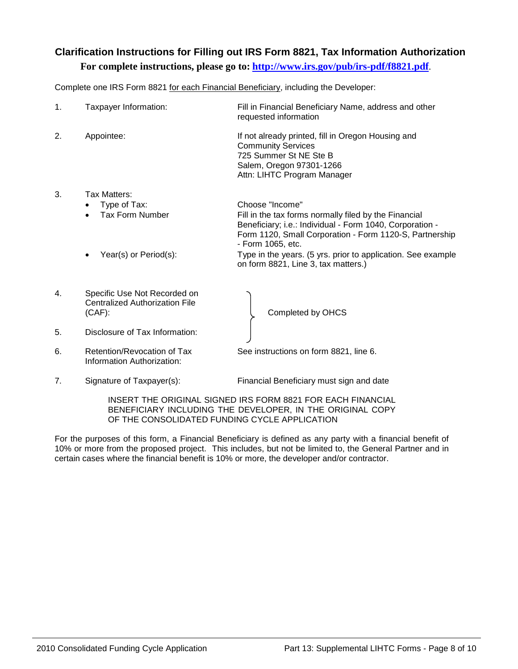### **Clarification Instructions for Filling out IRS Form 8821, Tax Information Authorization For complete instructions, please go to: <http://www.irs.gov/pub/irs-pdf/f8821.pdf>**.

Complete one IRS Form 8821 for each Financial Beneficiary, including the Developer:

| 1. | Taxpayer Information:                                                           | Fill in Financial Beneficiary Name, address and other<br>requested information                                                                                                                                       |
|----|---------------------------------------------------------------------------------|----------------------------------------------------------------------------------------------------------------------------------------------------------------------------------------------------------------------|
| 2. | Appointee:                                                                      | If not already printed, fill in Oregon Housing and<br><b>Community Services</b><br>725 Summer St NE Ste B<br>Salem, Oregon 97301-1266<br>Attn: LIHTC Program Manager                                                 |
| 3. | Tax Matters:<br>Type of Tax:<br><b>Tax Form Number</b>                          | Choose "Income"<br>Fill in the tax forms normally filed by the Financial<br>Beneficiary; i.e.: Individual - Form 1040, Corporation -<br>Form 1120, Small Corporation - Form 1120-S, Partnership<br>- Form 1065, etc. |
|    | Year(s) or Period(s):                                                           | Type in the years. (5 yrs. prior to application. See example<br>on form 8821, Line 3, tax matters.)                                                                                                                  |
| 4. | Specific Use Not Recorded on<br><b>Centralized Authorization File</b><br>(CAF): | Completed by OHCS                                                                                                                                                                                                    |

- 5. Disclosure of Tax Information:
- 6. Retention/Revocation of Tax See instructions on form 8821, line 6. Information Authorization:

7. Signature of Taxpayer(s): Financial Beneficiary must sign and date

INSERT THE ORIGINAL SIGNED IRS FORM 8821 FOR EACH FINANCIAL BENEFICIARY INCLUDING THE DEVELOPER, IN THE ORIGINAL COPY OF THE CONSOLIDATED FUNDING CYCLE APPLICATION

For the purposes of this form, a Financial Beneficiary is defined as any party with a financial benefit of 10% or more from the proposed project. This includes, but not be limited to, the General Partner and in certain cases where the financial benefit is 10% or more, the developer and/or contractor.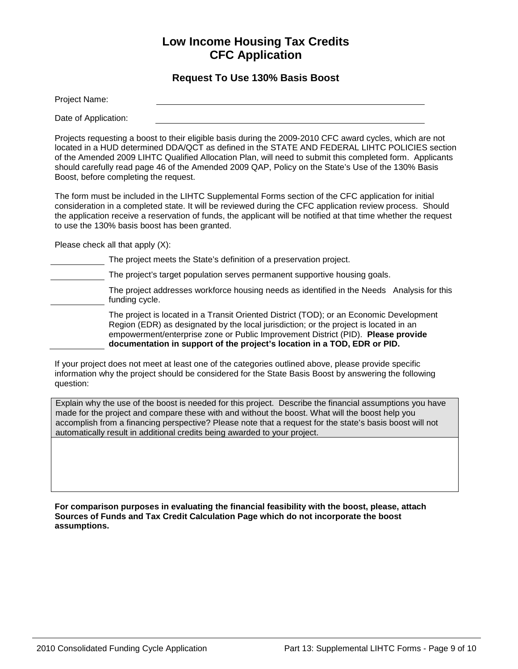## **Low Income Housing Tax Credits CFC Application**

#### **Request To Use 130% Basis Boost**

| Project Name:        |  |  |  |
|----------------------|--|--|--|
| Date of Application: |  |  |  |

Projects requesting a boost to their eligible basis during the 2009-2010 CFC award cycles, which are not located in a HUD determined DDA/QCT as defined in the STATE AND FEDERAL LIHTC POLICIES section of the Amended 2009 LIHTC Qualified Allocation Plan, will need to submit this completed form. Applicants should carefully read page 46 of the Amended 2009 QAP, Policy on the State's Use of the 130% Basis Boost, before completing the request.

The form must be included in the LIHTC Supplemental Forms section of the CFC application for initial consideration in a completed state. It will be reviewed during the CFC application review process. Should the application receive a reservation of funds, the applicant will be notified at that time whether the request to use the 130% basis boost has been granted.

Please check all that apply (X):

The project meets the State's definition of a preservation project.

The project's target population serves permanent supportive housing goals.

The project addresses workforce housing needs as identified in the Needs Analysis for this funding cycle.

The project is located in a Transit Oriented District (TOD); or an Economic Development Region (EDR) as designated by the local jurisdiction; or the project is located in an empowerment/enterprise zone or Public Improvement District (PID). **Please provide documentation in support of the project's location in a TOD, EDR or PID.**

If your project does not meet at least one of the categories outlined above, please provide specific information why the project should be considered for the State Basis Boost by answering the following question:

Explain why the use of the boost is needed for this project. Describe the financial assumptions you have made for the project and compare these with and without the boost. What will the boost help you accomplish from a financing perspective? Please note that a request for the state's basis boost will not automatically result in additional credits being awarded to your project.

**For comparison purposes in evaluating the financial feasibility with the boost, please, attach Sources of Funds and Tax Credit Calculation Page which do not incorporate the boost assumptions.**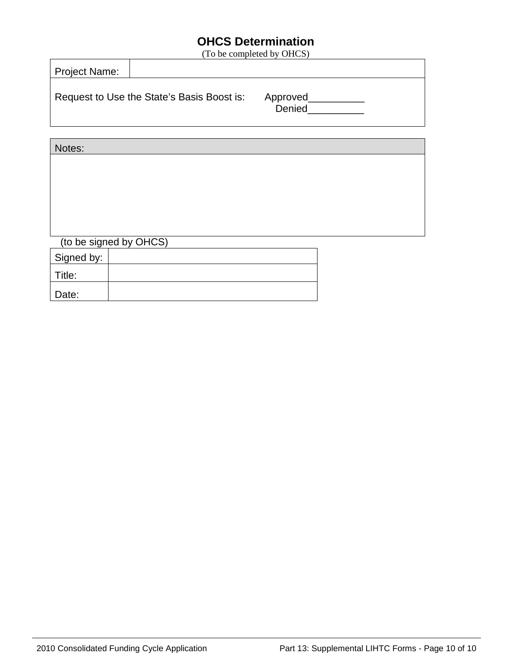# **OHCS Determination**

(To be completed by OHCS)

| <b>Project Name:</b> |                                            |                    |  |
|----------------------|--------------------------------------------|--------------------|--|
|                      | Request to Use the State's Basis Boost is: | Approved<br>Denied |  |

| Notes:     |                        |  |
|------------|------------------------|--|
|            |                        |  |
|            |                        |  |
|            |                        |  |
|            |                        |  |
|            |                        |  |
|            |                        |  |
|            | (to be signed by OHCS) |  |
| Signed by: |                        |  |
| Title:     |                        |  |

Date: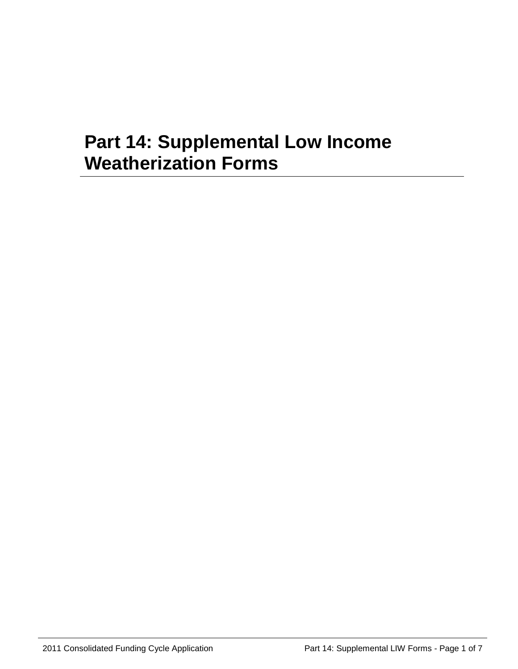# **Part 14: Supplemental Low Income Weatherization Forms**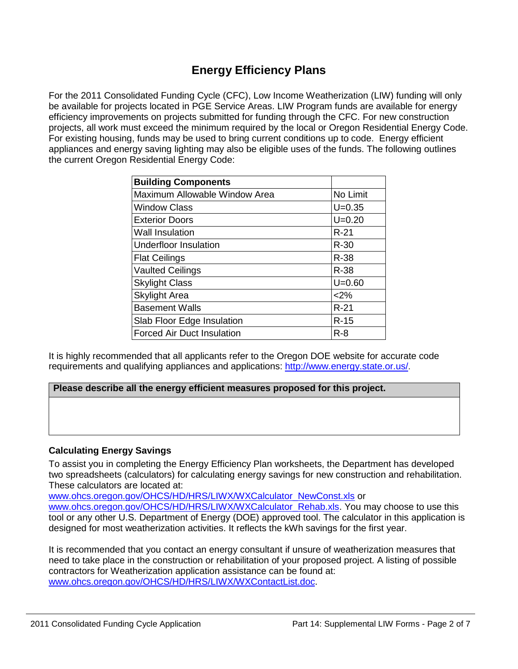# **Energy Efficiency Plans**

For the 2011 Consolidated Funding Cycle (CFC), Low Income Weatherization (LIW) funding will only be available for projects located in PGE Service Areas. LIW Program funds are available for energy efficiency improvements on projects submitted for funding through the CFC. For new construction projects, all work must exceed the minimum required by the local or Oregon Residential Energy Code. For existing housing, funds may be used to bring current conditions up to code. Energy efficient appliances and energy saving lighting may also be eligible uses of the funds. The following outlines the current Oregon Residential Energy Code:

| <b>Building Components</b>    |            |
|-------------------------------|------------|
| Maximum Allowable Window Area | No Limit   |
| <b>Window Class</b>           | $U = 0.35$ |
| <b>Exterior Doors</b>         | $U=0.20$   |
| <b>Wall Insulation</b>        | $R-21$     |
| <b>Underfloor Insulation</b>  | $R-30$     |
| <b>Flat Ceilings</b>          | $R-38$     |
| <b>Vaulted Ceilings</b>       | $R-38$     |
| <b>Skylight Class</b>         | $U = 0.60$ |
| <b>Skylight Area</b>          | <2%        |
| <b>Basement Walls</b>         | $R-21$     |
| Slab Floor Edge Insulation    | $R-15$     |
| Forced Air Duct Insulation    | $R - 8$    |

It is highly recommended that all applicants refer to the Oregon DOE website for accurate code requirements and qualifying appliances and applications: [http://www.energy.state.or.us/.](http://www.energy.state.or.us/)

#### **Please describe all the energy efficient measures proposed for this project.**

#### **Calculating Energy Savings**

To assist you in completing the Energy Efficiency Plan worksheets, the Department has developed two spreadsheets (calculators) for calculating energy savings for new construction and rehabilitation. These calculators are located at:

[www.ohcs.oregon.gov/OHCS/HD/HRS/LIWX/WXCalculator\\_NewConst.xls](http://www.ohcs.oregon.gov/OHCS/HD/HRS/LIWX/WXCalculator_NewConst.xls) or [www.ohcs.oregon.gov/OHCS/HD/HRS/LIWX/WXCalculator\\_Rehab.xls.](http://www.ohcs.oregon.gov/OHCS/HD/HRS/LIWX/WXCalculator_Rehab.xls) You may choose to use this tool or any other U.S. Department of Energy (DOE) approved tool. The calculator in this application is designed for most weatherization activities. It reflects the kWh savings for the first year.

It is recommended that you contact an energy consultant if unsure of weatherization measures that need to take place in the construction or rehabilitation of your proposed project. A listing of possible contractors for Weatherization application assistance can be found at: [www.ohcs.oregon.gov/OHCS/HD/HRS/LIWX/WXContactList.doc.](http://www.ohcs.oregon.gov/OHCS/HD/HRS/LIWX/WXContactList.doc)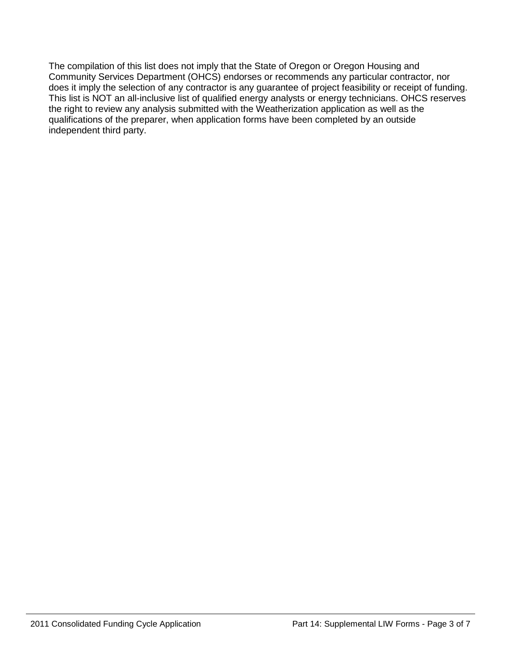The compilation of this list does not imply that the State of Oregon or Oregon Housing and Community Services Department (OHCS) endorses or recommends any particular contractor, nor does it imply the selection of any contractor is any guarantee of project feasibility or receipt of funding. This list is NOT an all-inclusive list of qualified energy analysts or energy technicians. OHCS reserves the right to review any analysis submitted with the Weatherization application as well as the qualifications of the preparer, when application forms have been completed by an outside independent third party.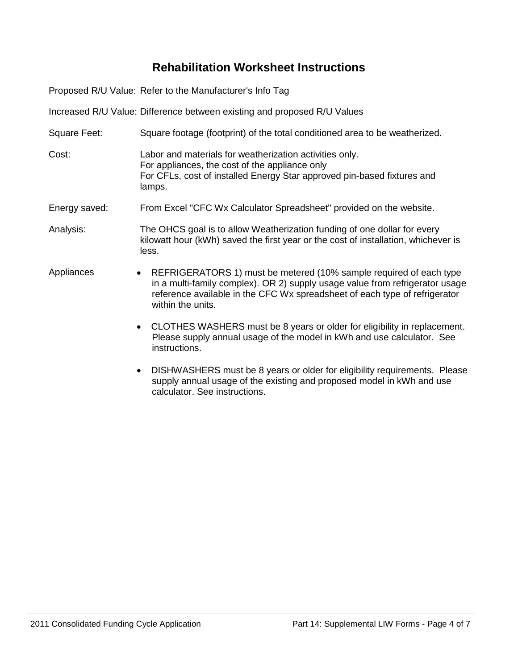# **Rehabilitation Worksheet Instructions**

Proposed R/U Value: Refer to the Manufacturer's Info Tag

Increased R/U Value: Difference between existing and proposed R/U Values

- Square Feet: Square footage (footprint) of the total conditioned area to be weatherized.
- Cost: Labor and materials for weatherization activities only. For appliances, the cost of the appliance only For CFLs, cost of installed Energy Star approved pin-based fixtures and lamps.

#### Energy saved: From Excel "CFC Wx Calculator Spreadsheet" provided on the website.

Analysis: The OHCS goal is to allow Weatherization funding of one dollar for every kilowatt hour (kWh) saved the first year or the cost of installation, whichever is less.

- Appliances REFRIGERATORS 1) must be metered (10% sample required of each type in a multi-family complex). OR 2) supply usage value from refrigerator usage reference available in the CFC Wx spreadsheet of each type of refrigerator within the units.
	- CLOTHES WASHERS must be 8 years or older for eligibility in replacement. Please supply annual usage of the model in kWh and use calculator. See instructions.
	- DISHWASHERS must be 8 years or older for eligibility requirements. Please supply annual usage of the existing and proposed model in kWh and use calculator. See instructions.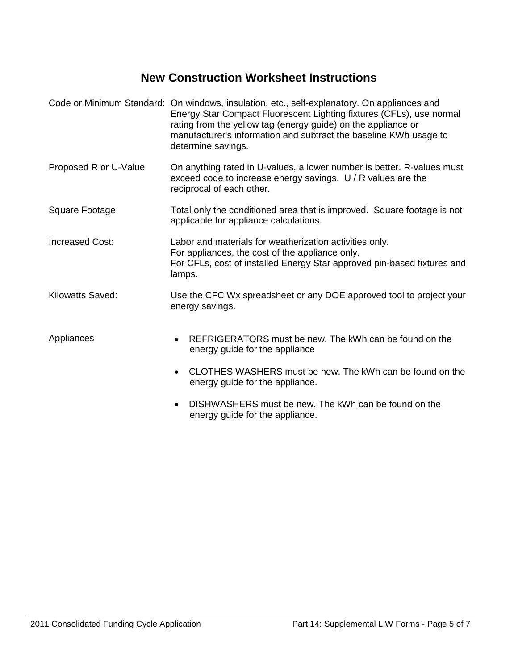# **New Construction Worksheet Instructions**

|                         | Code or Minimum Standard: On windows, insulation, etc., self-explanatory. On appliances and<br>Energy Star Compact Fluorescent Lighting fixtures (CFLs), use normal<br>rating from the yellow tag (energy guide) on the appliance or<br>manufacturer's information and subtract the baseline KWh usage to<br>determine savings. |  |  |
|-------------------------|---------------------------------------------------------------------------------------------------------------------------------------------------------------------------------------------------------------------------------------------------------------------------------------------------------------------------------|--|--|
| Proposed R or U-Value   | On anything rated in U-values, a lower number is better. R-values must<br>exceed code to increase energy savings. U / R values are the<br>reciprocal of each other.                                                                                                                                                             |  |  |
| Square Footage          | Total only the conditioned area that is improved. Square footage is not<br>applicable for appliance calculations.                                                                                                                                                                                                               |  |  |
| <b>Increased Cost:</b>  | Labor and materials for weatherization activities only.<br>For appliances, the cost of the appliance only.<br>For CFLs, cost of installed Energy Star approved pin-based fixtures and<br>lamps.                                                                                                                                 |  |  |
| <b>Kilowatts Saved:</b> | Use the CFC Wx spreadsheet or any DOE approved tool to project your<br>energy savings.                                                                                                                                                                                                                                          |  |  |
| Appliances              | REFRIGERATORS must be new. The kWh can be found on the<br>energy guide for the appliance                                                                                                                                                                                                                                        |  |  |
|                         | CLOTHES WASHERS must be new. The kWh can be found on the<br>$\bullet$<br>energy guide for the appliance.                                                                                                                                                                                                                        |  |  |
|                         | DISHWASHERS must be new. The kWh can be found on the<br>energy guide for the appliance.                                                                                                                                                                                                                                         |  |  |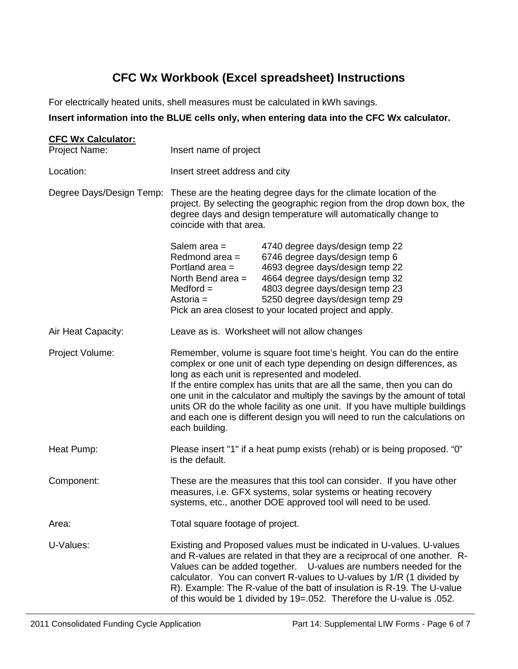# **CFC Wx Workbook (Excel spreadsheet) Instructions**

For electrically heated units, shell measures must be calculated in kWh savings.

### **Insert information into the BLUE cells only, when entering data into the CFC Wx calculator.**

| <b>CFC Wx Calculator:</b><br><b>Project Name:</b> | Insert name of project                                                                                                                                                                                                                                                                                                                                                                                                                                                                                                             |                                                                                                                                                                                                                                                                                                                                                                                                                                                     |  |
|---------------------------------------------------|------------------------------------------------------------------------------------------------------------------------------------------------------------------------------------------------------------------------------------------------------------------------------------------------------------------------------------------------------------------------------------------------------------------------------------------------------------------------------------------------------------------------------------|-----------------------------------------------------------------------------------------------------------------------------------------------------------------------------------------------------------------------------------------------------------------------------------------------------------------------------------------------------------------------------------------------------------------------------------------------------|--|
| Location:                                         | Insert street address and city                                                                                                                                                                                                                                                                                                                                                                                                                                                                                                     |                                                                                                                                                                                                                                                                                                                                                                                                                                                     |  |
| Degree Days/Design Temp:                          | These are the heating degree days for the climate location of the<br>project. By selecting the geographic region from the drop down box, the<br>degree days and design temperature will automatically change to<br>coincide with that area.                                                                                                                                                                                                                                                                                        |                                                                                                                                                                                                                                                                                                                                                                                                                                                     |  |
|                                                   | Salem area $=$<br>Redmond area $=$<br>Portland area $=$<br>North Bend area $=$<br>$Medford =$<br>Astoria $=$                                                                                                                                                                                                                                                                                                                                                                                                                       | 4740 degree days/design temp 22<br>6746 degree days/design temp 6<br>4693 degree days/design temp 22<br>4664 degree days/design temp 32<br>4803 degree days/design temp 23<br>5250 degree days/design temp 29<br>Pick an area closest to your located project and apply.                                                                                                                                                                            |  |
| Air Heat Capacity:                                | Leave as is. Worksheet will not allow changes                                                                                                                                                                                                                                                                                                                                                                                                                                                                                      |                                                                                                                                                                                                                                                                                                                                                                                                                                                     |  |
| Project Volume:                                   | Remember, volume is square foot time's height. You can do the entire<br>complex or one unit of each type depending on design differences, as<br>long as each unit is represented and modeled.<br>If the entire complex has units that are all the same, then you can do<br>one unit in the calculator and multiply the savings by the amount of total<br>units OR do the whole facility as one unit. If you have multiple buildings<br>and each one is different design you will need to run the calculations on<br>each building. |                                                                                                                                                                                                                                                                                                                                                                                                                                                     |  |
| Heat Pump:                                        | Please insert "1" if a heat pump exists (rehab) or is being proposed. "0"<br>is the default.                                                                                                                                                                                                                                                                                                                                                                                                                                       |                                                                                                                                                                                                                                                                                                                                                                                                                                                     |  |
| Component:                                        | These are the measures that this tool can consider. If you have other<br>measures, i.e. GFX systems, solar systems or heating recovery<br>systems, etc., another DOE approved tool will need to be used.                                                                                                                                                                                                                                                                                                                           |                                                                                                                                                                                                                                                                                                                                                                                                                                                     |  |
| Area:                                             | Total square footage of project.                                                                                                                                                                                                                                                                                                                                                                                                                                                                                                   |                                                                                                                                                                                                                                                                                                                                                                                                                                                     |  |
| U-Values:                                         |                                                                                                                                                                                                                                                                                                                                                                                                                                                                                                                                    | Existing and Proposed values must be indicated in U-values. U-values<br>and R-values are related in that they are a reciprocal of one another. R-<br>Values can be added together. U-values are numbers needed for the<br>calculator. You can convert R-values to U-values by 1/R (1 divided by<br>R). Example: The R-value of the batt of insulation is R-19. The U-value<br>of this would be 1 divided by 19=.052. Therefore the U-value is .052. |  |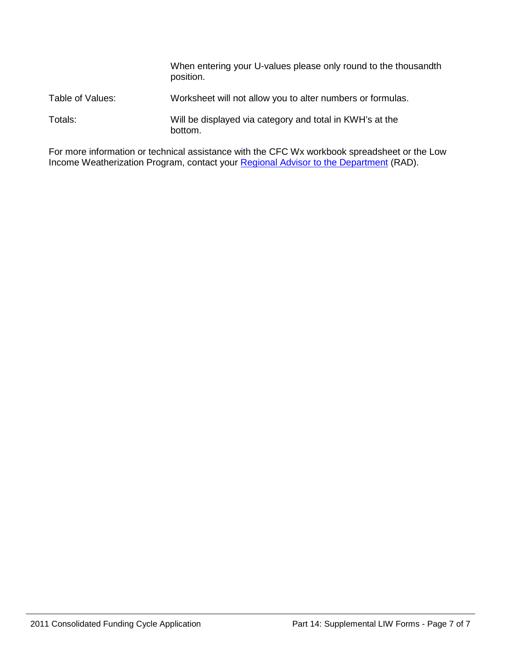|                  | When entering your U-values please only round to the thousandth<br>position. |
|------------------|------------------------------------------------------------------------------|
| Table of Values: | Worksheet will not allow you to alter numbers or formulas.                   |
| Totals:          | Will be displayed via category and total in KWH's at the<br>bottom.          |

For more information or technical assistance with the CFC Wx workbook spreadsheet or the Low Income Weatherization Program, contact your [Regional Advisor to the Department](http://www.ohcs.oregon.gov/OHCS/DO_RegionalAdvisors.shtml) (RAD).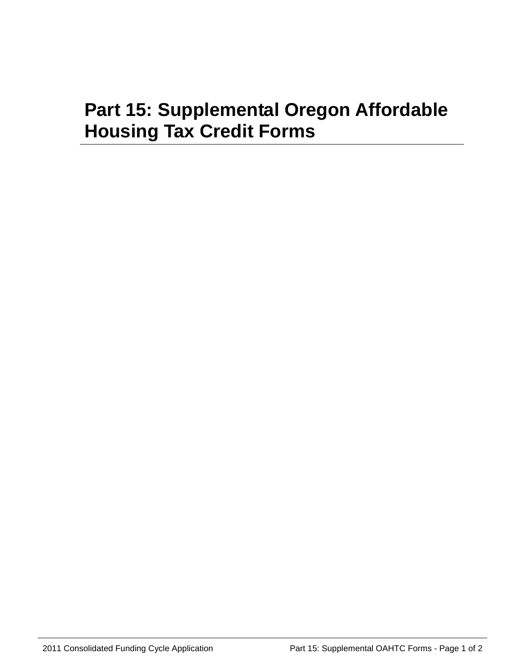## **Part 15: Supplemental Oregon Affordable Housing Tax Credit Forms**